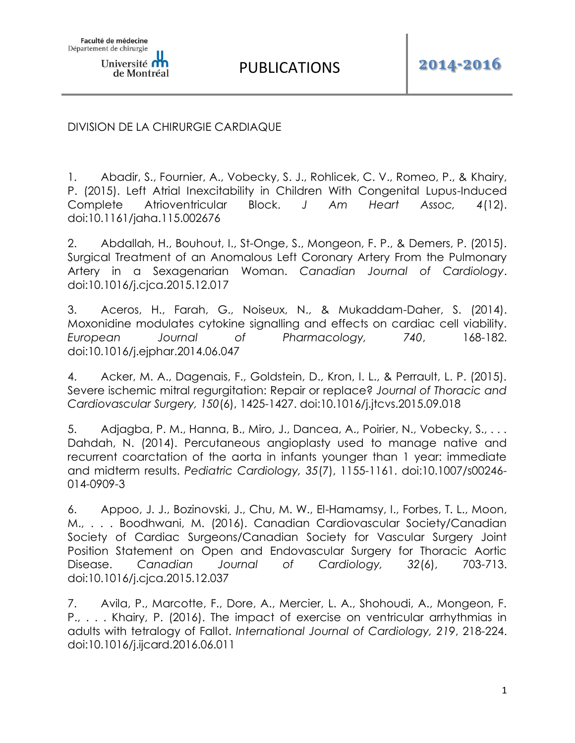DIVISION DE LA CHIRURGIE CARDIAQUE

1. Abadir, S., Fournier, A., Vobecky, S. J., Rohlicek, C. V., Romeo, P., & Khairy, P. (2015). Left Atrial Inexcitability in Children With Congenital Lupus-Induced Complete Atrioventricular Block. *J Am Heart Assoc, 4*(12). doi:10.1161/jaha.115.002676

2. Abdallah, H., Bouhout, I., St-Onge, S., Mongeon, F. P., & Demers, P. (2015). Surgical Treatment of an Anomalous Left Coronary Artery From the Pulmonary Artery in a Sexagenarian Woman. *Canadian Journal of Cardiology*. doi:10.1016/j.cjca.2015.12.017

3. Aceros, H., Farah, G., Noiseux, N., & Mukaddam-Daher, S. (2014). Moxonidine modulates cytokine signalling and effects on cardiac cell viability. *European Journal of Pharmacology, 740*, 168-182. doi:10.1016/j.ejphar.2014.06.047

4. Acker, M. A., Dagenais, F., Goldstein, D., Kron, I. L., & Perrault, L. P. (2015). Severe ischemic mitral regurgitation: Repair or replace? *Journal of Thoracic and Cardiovascular Surgery, 150*(6), 1425-1427. doi:10.1016/j.jtcvs.2015.09.018

5. Adjagba, P. M., Hanna, B., Miro, J., Dancea, A., Poirier, N., Vobecky, S., . . . Dahdah, N. (2014). Percutaneous angioplasty used to manage native and recurrent coarctation of the aorta in infants younger than 1 year: immediate and midterm results. *Pediatric Cardiology, 35*(7), 1155-1161. doi:10.1007/s00246- 014-0909-3

6. Appoo, J. J., Bozinovski, J., Chu, M. W., El-Hamamsy, I., Forbes, T. L., Moon, M., . . . Boodhwani, M. (2016). Canadian Cardiovascular Society/Canadian Society of Cardiac Surgeons/Canadian Society for Vascular Surgery Joint Position Statement on Open and Endovascular Surgery for Thoracic Aortic Disease. *Canadian Journal of Cardiology, 32*(6), 703-713. doi:10.1016/j.cjca.2015.12.037

7. Avila, P., Marcotte, F., Dore, A., Mercier, L. A., Shohoudi, A., Mongeon, F. P., . . . Khairy, P. (2016). The impact of exercise on ventricular arrhythmias in adults with tetralogy of Fallot. *International Journal of Cardiology, 219*, 218-224. doi:10.1016/j.ijcard.2016.06.011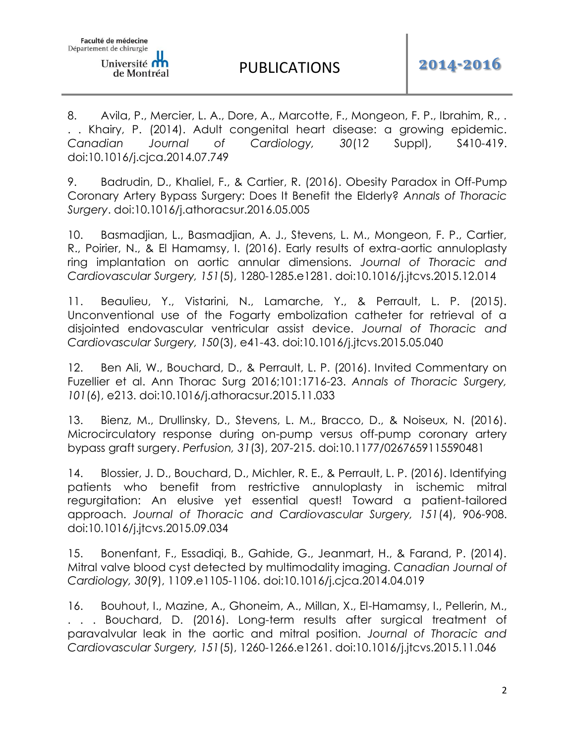8. Avila, P., Mercier, L. A., Dore, A., Marcotte, F., Mongeon, F. P., Ibrahim, R., . . . Khairy, P. (2014). Adult congenital heart disease: a growing epidemic. *Canadian Journal of Cardiology, 30*(12 Suppl), S410-419. doi:10.1016/j.cjca.2014.07.749

9. Badrudin, D., Khaliel, F., & Cartier, R. (2016). Obesity Paradox in Off-Pump Coronary Artery Bypass Surgery: Does It Benefit the Elderly? *Annals of Thoracic Surgery*. doi:10.1016/j.athoracsur.2016.05.005

10. Basmadjian, L., Basmadjian, A. J., Stevens, L. M., Mongeon, F. P., Cartier, R., Poirier, N., & El Hamamsy, I. (2016). Early results of extra-aortic annuloplasty ring implantation on aortic annular dimensions. *Journal of Thoracic and Cardiovascular Surgery, 151*(5), 1280-1285.e1281. doi:10.1016/j.jtcvs.2015.12.014

11. Beaulieu, Y., Vistarini, N., Lamarche, Y., & Perrault, L. P. (2015). Unconventional use of the Fogarty embolization catheter for retrieval of a disjointed endovascular ventricular assist device. *Journal of Thoracic and Cardiovascular Surgery, 150*(3), e41-43. doi:10.1016/j.jtcvs.2015.05.040

12. Ben Ali, W., Bouchard, D., & Perrault, L. P. (2016). Invited Commentary on Fuzellier et al. Ann Thorac Surg 2016;101:1716-23. *Annals of Thoracic Surgery, 101*(6), e213. doi:10.1016/j.athoracsur.2015.11.033

13. Bienz, M., Drullinsky, D., Stevens, L. M., Bracco, D., & Noiseux, N. (2016). Microcirculatory response during on-pump versus off-pump coronary artery bypass graft surgery. *Perfusion, 31*(3), 207-215. doi:10.1177/0267659115590481

14. Blossier, J. D., Bouchard, D., Michler, R. E., & Perrault, L. P. (2016). Identifying patients who benefit from restrictive annuloplasty in ischemic mitral regurgitation: An elusive yet essential quest! Toward a patient-tailored approach. *Journal of Thoracic and Cardiovascular Surgery, 151*(4), 906-908. doi:10.1016/j.jtcvs.2015.09.034

15. Bonenfant, F., Essadiqi, B., Gahide, G., Jeanmart, H., & Farand, P. (2014). Mitral valve blood cyst detected by multimodality imaging. *Canadian Journal of Cardiology, 30*(9), 1109.e1105-1106. doi:10.1016/j.cjca.2014.04.019

16. Bouhout, I., Mazine, A., Ghoneim, A., Millan, X., El-Hamamsy, I., Pellerin, M., . . . Bouchard, D. (2016). Long-term results after surgical treatment of paravalvular leak in the aortic and mitral position. *Journal of Thoracic and Cardiovascular Surgery, 151*(5), 1260-1266.e1261. doi:10.1016/j.jtcvs.2015.11.046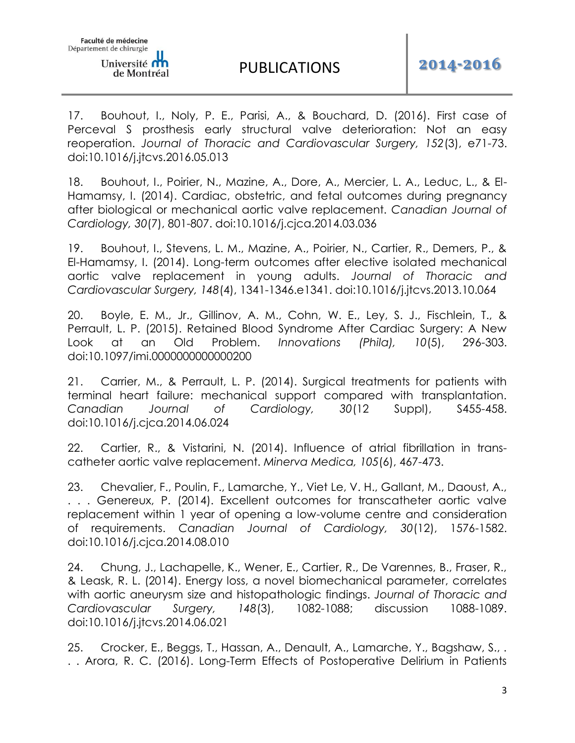17. Bouhout, I., Noly, P. E., Parisi, A., & Bouchard, D. (2016). First case of Perceval S prosthesis early structural valve deterioration: Not an easy reoperation. *Journal of Thoracic and Cardiovascular Surgery, 152*(3), e71-73. doi:10.1016/j.jtcvs.2016.05.013

18. Bouhout, I., Poirier, N., Mazine, A., Dore, A., Mercier, L. A., Leduc, L., & El-Hamamsy, I. (2014). Cardiac, obstetric, and fetal outcomes during pregnancy after biological or mechanical aortic valve replacement. *Canadian Journal of Cardiology, 30*(7), 801-807. doi:10.1016/j.cjca.2014.03.036

19. Bouhout, I., Stevens, L. M., Mazine, A., Poirier, N., Cartier, R., Demers, P., & El-Hamamsy, I. (2014). Long-term outcomes after elective isolated mechanical aortic valve replacement in young adults. *Journal of Thoracic and Cardiovascular Surgery, 148*(4), 1341-1346.e1341. doi:10.1016/j.jtcvs.2013.10.064

20. Boyle, E. M., Jr., Gillinov, A. M., Cohn, W. E., Ley, S. J., Fischlein, T., & Perrault, L. P. (2015). Retained Blood Syndrome After Cardiac Surgery: A New Look at an Old Problem. *Innovations (Phila), 10*(5), 296-303. doi:10.1097/imi.0000000000000200

21. Carrier, M., & Perrault, L. P. (2014). Surgical treatments for patients with terminal heart failure: mechanical support compared with transplantation. *Canadian Journal of Cardiology, 30*(12 Suppl), S455-458. doi:10.1016/j.cjca.2014.06.024

22. Cartier, R., & Vistarini, N. (2014). Influence of atrial fibrillation in transcatheter aortic valve replacement. *Minerva Medica, 105*(6), 467-473.

23. Chevalier, F., Poulin, F., Lamarche, Y., Viet Le, V. H., Gallant, M., Daoust, A., . . . Genereux, P. (2014). Excellent outcomes for transcatheter aortic valve replacement within 1 year of opening a low-volume centre and consideration of requirements. *Canadian Journal of Cardiology, 30*(12), 1576-1582. doi:10.1016/j.cjca.2014.08.010

24. Chung, J., Lachapelle, K., Wener, E., Cartier, R., De Varennes, B., Fraser, R., & Leask, R. L. (2014). Energy loss, a novel biomechanical parameter, correlates with aortic aneurysm size and histopathologic findings. *Journal of Thoracic and Cardiovascular Surgery, 148*(3), 1082-1088; discussion 1088-1089. doi:10.1016/j.jtcvs.2014.06.021

25. Crocker, E., Beggs, T., Hassan, A., Denault, A., Lamarche, Y., Bagshaw, S., . . . Arora, R. C. (2016). Long-Term Effects of Postoperative Delirium in Patients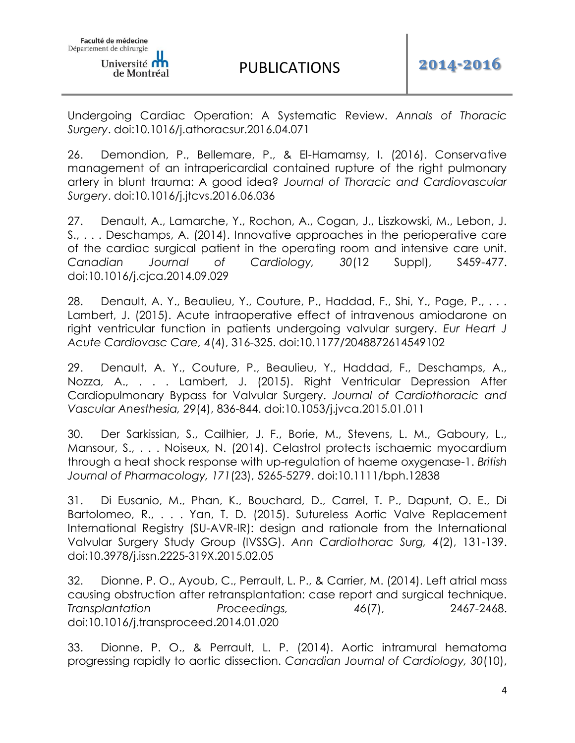Undergoing Cardiac Operation: A Systematic Review. *Annals of Thoracic Surgery*. doi:10.1016/j.athoracsur.2016.04.071

26. Demondion, P., Bellemare, P., & El-Hamamsy, I. (2016). Conservative management of an intrapericardial contained rupture of the right pulmonary artery in blunt trauma: A good idea? *Journal of Thoracic and Cardiovascular Surgery*. doi:10.1016/j.jtcvs.2016.06.036

27. Denault, A., Lamarche, Y., Rochon, A., Cogan, J., Liszkowski, M., Lebon, J. S., . . . Deschamps, A. (2014). Innovative approaches in the perioperative care of the cardiac surgical patient in the operating room and intensive care unit. *Canadian Journal of Cardiology, 30*(12 Suppl), S459-477. doi:10.1016/j.cjca.2014.09.029

28. Denault, A. Y., Beaulieu, Y., Couture, P., Haddad, F., Shi, Y., Page, P., ... Lambert, J. (2015). Acute intraoperative effect of intravenous amiodarone on right ventricular function in patients undergoing valvular surgery. *Eur Heart J Acute Cardiovasc Care, 4*(4), 316-325. doi:10.1177/2048872614549102

29. Denault, A. Y., Couture, P., Beaulieu, Y., Haddad, F., Deschamps, A., Nozza, A., . . . Lambert, J. (2015). Right Ventricular Depression After Cardiopulmonary Bypass for Valvular Surgery. *Journal of Cardiothoracic and Vascular Anesthesia, 29*(4), 836-844. doi:10.1053/j.jvca.2015.01.011

30. Der Sarkissian, S., Cailhier, J. F., Borie, M., Stevens, L. M., Gaboury, L., Mansour, S., . . . Noiseux, N. (2014). Celastrol protects ischaemic myocardium through a heat shock response with up-regulation of haeme oxygenase-1. *British Journal of Pharmacology, 171*(23), 5265-5279. doi:10.1111/bph.12838

31. Di Eusanio, M., Phan, K., Bouchard, D., Carrel, T. P., Dapunt, O. E., Di Bartolomeo, R., . . . Yan, T. D. (2015). Sutureless Aortic Valve Replacement International Registry (SU-AVR-IR): design and rationale from the International Valvular Surgery Study Group (IVSSG). *Ann Cardiothorac Surg, 4*(2), 131-139. doi:10.3978/j.issn.2225-319X.2015.02.05

32. Dionne, P. O., Ayoub, C., Perrault, L. P., & Carrier, M. (2014). Left atrial mass causing obstruction after retransplantation: case report and surgical technique. *Transplantation Proceedings, 46*(7), 2467-2468. doi:10.1016/j.transproceed.2014.01.020

33. Dionne, P. O., & Perrault, L. P. (2014). Aortic intramural hematoma progressing rapidly to aortic dissection. *Canadian Journal of Cardiology, 30*(10),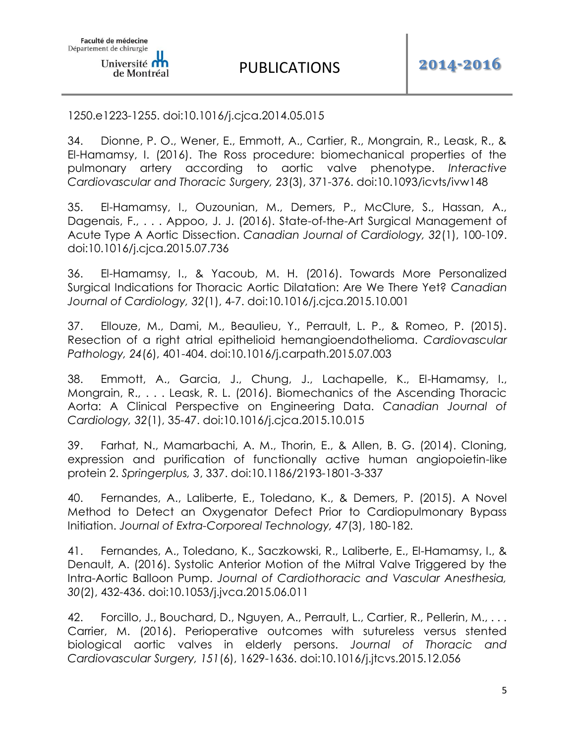1250.e1223-1255. doi:10.1016/j.cjca.2014.05.015

34. Dionne, P. O., Wener, E., Emmott, A., Cartier, R., Mongrain, R., Leask, R., & El-Hamamsy, I. (2016). The Ross procedure: biomechanical properties of the pulmonary artery according to aortic valve phenotype. *Interactive Cardiovascular and Thoracic Surgery, 23*(3), 371-376. doi:10.1093/icvts/ivw148

35. El-Hamamsy, I., Ouzounian, M., Demers, P., McClure, S., Hassan, A., Dagenais, F., . . . Appoo, J. J. (2016). State-of-the-Art Surgical Management of Acute Type A Aortic Dissection. *Canadian Journal of Cardiology, 32*(1), 100-109. doi:10.1016/j.cjca.2015.07.736

36. El-Hamamsy, I., & Yacoub, M. H. (2016). Towards More Personalized Surgical Indications for Thoracic Aortic Dilatation: Are We There Yet? *Canadian Journal of Cardiology, 32*(1), 4-7. doi:10.1016/j.cjca.2015.10.001

37. Ellouze, M., Dami, M., Beaulieu, Y., Perrault, L. P., & Romeo, P. (2015). Resection of a right atrial epithelioid hemangioendothelioma. *Cardiovascular Pathology, 24*(6), 401-404. doi:10.1016/j.carpath.2015.07.003

38. Emmott, A., Garcia, J., Chung, J., Lachapelle, K., El-Hamamsy, I., Mongrain, R., . . . Leask, R. L. (2016). Biomechanics of the Ascending Thoracic Aorta: A Clinical Perspective on Engineering Data. *Canadian Journal of Cardiology, 32*(1), 35-47. doi:10.1016/j.cjca.2015.10.015

39. Farhat, N., Mamarbachi, A. M., Thorin, E., & Allen, B. G. (2014). Cloning, expression and purification of functionally active human angiopoietin-like protein 2. *Springerplus, 3*, 337. doi:10.1186/2193-1801-3-337

40. Fernandes, A., Laliberte, E., Toledano, K., & Demers, P. (2015). A Novel Method to Detect an Oxygenator Defect Prior to Cardiopulmonary Bypass Initiation. *Journal of Extra-Corporeal Technology, 47*(3), 180-182.

41. Fernandes, A., Toledano, K., Saczkowski, R., Laliberte, E., El-Hamamsy, I., & Denault, A. (2016). Systolic Anterior Motion of the Mitral Valve Triggered by the Intra-Aortic Balloon Pump. *Journal of Cardiothoracic and Vascular Anesthesia, 30*(2), 432-436. doi:10.1053/j.jvca.2015.06.011

42. Forcillo, J., Bouchard, D., Nguyen, A., Perrault, L., Cartier, R., Pellerin, M., ... Carrier, M. (2016). Perioperative outcomes with sutureless versus stented biological aortic valves in elderly persons. *Journal of Thoracic and Cardiovascular Surgery, 151*(6), 1629-1636. doi:10.1016/j.jtcvs.2015.12.056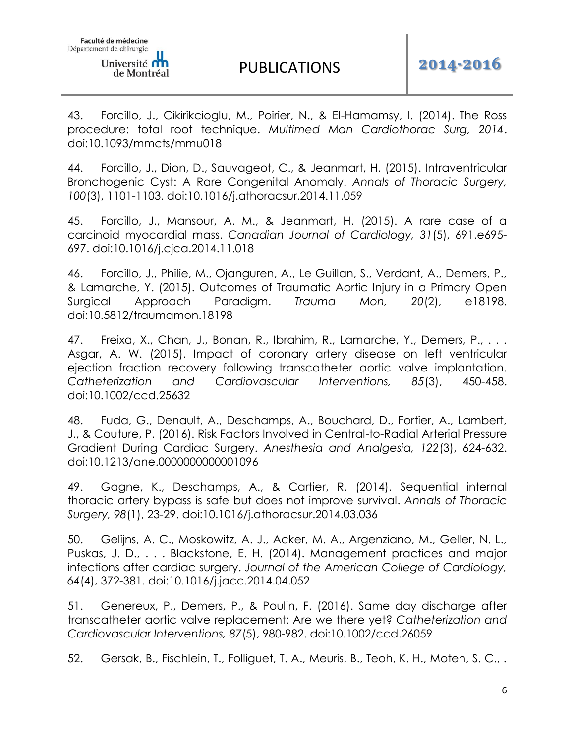de Montréal

43. Forcillo, J., Cikirikcioglu, M., Poirier, N., & El-Hamamsy, I. (2014). The Ross procedure: total root technique. *Multimed Man Cardiothorac Surg, 2014*. doi:10.1093/mmcts/mmu018

44. Forcillo, J., Dion, D., Sauvageot, C., & Jeanmart, H. (2015). Intraventricular Bronchogenic Cyst: A Rare Congenital Anomaly. *Annals of Thoracic Surgery, 100*(3), 1101-1103. doi:10.1016/j.athoracsur.2014.11.059

45. Forcillo, J., Mansour, A. M., & Jeanmart, H. (2015). A rare case of a carcinoid myocardial mass. *Canadian Journal of Cardiology, 31*(5), 691.e695- 697. doi:10.1016/j.cjca.2014.11.018

46. Forcillo, J., Philie, M., Ojanguren, A., Le Guillan, S., Verdant, A., Demers, P., & Lamarche, Y. (2015). Outcomes of Traumatic Aortic Injury in a Primary Open Surgical Approach Paradigm. *Trauma Mon, 20*(2), e18198. doi:10.5812/traumamon.18198

47. Freixa, X., Chan, J., Bonan, R., Ibrahim, R., Lamarche, Y., Demers, P., ... Asgar, A. W. (2015). Impact of coronary artery disease on left ventricular ejection fraction recovery following transcatheter aortic valve implantation. *Catheterization and Cardiovascular Interventions, 85*(3), 450-458. doi:10.1002/ccd.25632

48. Fuda, G., Denault, A., Deschamps, A., Bouchard, D., Fortier, A., Lambert, J., & Couture, P. (2016). Risk Factors Involved in Central-to-Radial Arterial Pressure Gradient During Cardiac Surgery. *Anesthesia and Analgesia, 122*(3), 624-632. doi:10.1213/ane.0000000000001096

49. Gagne, K., Deschamps, A., & Cartier, R. (2014). Sequential internal thoracic artery bypass is safe but does not improve survival. *Annals of Thoracic Surgery, 98*(1), 23-29. doi:10.1016/j.athoracsur.2014.03.036

50. Gelijns, A. C., Moskowitz, A. J., Acker, M. A., Argenziano, M., Geller, N. L., Puskas, J. D., . . . Blackstone, E. H. (2014). Management practices and major infections after cardiac surgery. *Journal of the American College of Cardiology, 64*(4), 372-381. doi:10.1016/j.jacc.2014.04.052

51. Genereux, P., Demers, P., & Poulin, F. (2016). Same day discharge after transcatheter aortic valve replacement: Are we there yet? *Catheterization and Cardiovascular Interventions, 87*(5), 980-982. doi:10.1002/ccd.26059

52. Gersak, B., Fischlein, T., Folliguet, T. A., Meuris, B., Teoh, K. H., Moten, S. C., .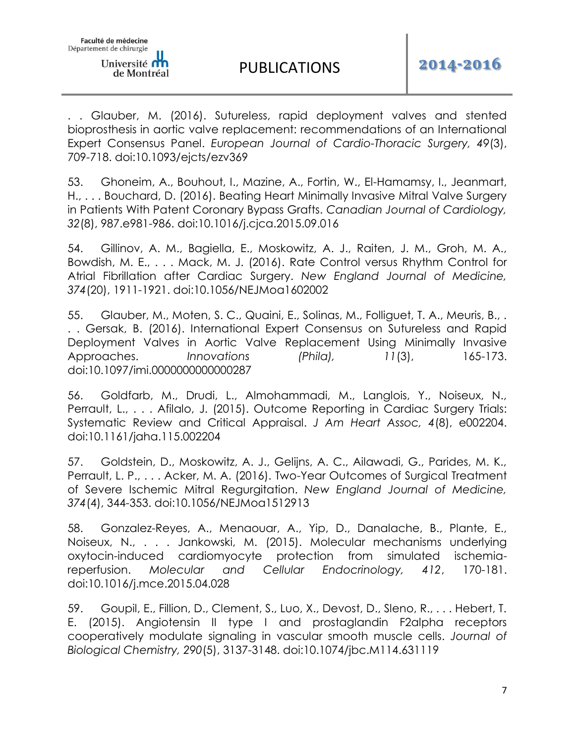

. . Glauber, M. (2016). Sutureless, rapid deployment valves and stented bioprosthesis in aortic valve replacement: recommendations of an International Expert Consensus Panel. *European Journal of Cardio-Thoracic Surgery, 49*(3), 709-718. doi:10.1093/ejcts/ezv369

53. Ghoneim, A., Bouhout, I., Mazine, A., Fortin, W., El-Hamamsy, I., Jeanmart, H., . . . Bouchard, D. (2016). Beating Heart Minimally Invasive Mitral Valve Surgery in Patients With Patent Coronary Bypass Grafts. *Canadian Journal of Cardiology, 32*(8), 987.e981-986. doi:10.1016/j.cjca.2015.09.016

54. Gillinov, A. M., Bagiella, E., Moskowitz, A. J., Raiten, J. M., Groh, M. A., Bowdish, M. E., . . . Mack, M. J. (2016). Rate Control versus Rhythm Control for Atrial Fibrillation after Cardiac Surgery. *New England Journal of Medicine, 374*(20), 1911-1921. doi:10.1056/NEJMoa1602002

55. Glauber, M., Moten, S. C., Quaini, E., Solinas, M., Folliguet, T. A., Meuris, B., . . . Gersak, B. (2016). International Expert Consensus on Sutureless and Rapid Deployment Valves in Aortic Valve Replacement Using Minimally Invasive Approaches. *Innovations (Phila), 11*(3), 165-173. doi:10.1097/imi.0000000000000287

56. Goldfarb, M., Drudi, L., Almohammadi, M., Langlois, Y., Noiseux, N., Perrault, L., . . . Afilalo, J. (2015). Outcome Reporting in Cardiac Surgery Trials: Systematic Review and Critical Appraisal. *J Am Heart Assoc, 4*(8), e002204. doi:10.1161/jaha.115.002204

57. Goldstein, D., Moskowitz, A. J., Gelijns, A. C., Ailawadi, G., Parides, M. K., Perrault, L. P., . . . Acker, M. A. (2016). Two-Year Outcomes of Surgical Treatment of Severe Ischemic Mitral Regurgitation. *New England Journal of Medicine, 374*(4), 344-353. doi:10.1056/NEJMoa1512913

58. Gonzalez-Reyes, A., Menaouar, A., Yip, D., Danalache, B., Plante, E., Noiseux, N., . . . Jankowski, M. (2015). Molecular mechanisms underlying oxytocin-induced cardiomyocyte protection from simulated ischemiareperfusion. *Molecular and Cellular Endocrinology, 412*, 170-181. doi:10.1016/j.mce.2015.04.028

59. Goupil, E., Fillion, D., Clement, S., Luo, X., Devost, D., Sleno, R., . . . Hebert, T. E. (2015). Angiotensin II type I and prostaglandin F2alpha receptors cooperatively modulate signaling in vascular smooth muscle cells. *Journal of Biological Chemistry, 290*(5), 3137-3148. doi:10.1074/jbc.M114.631119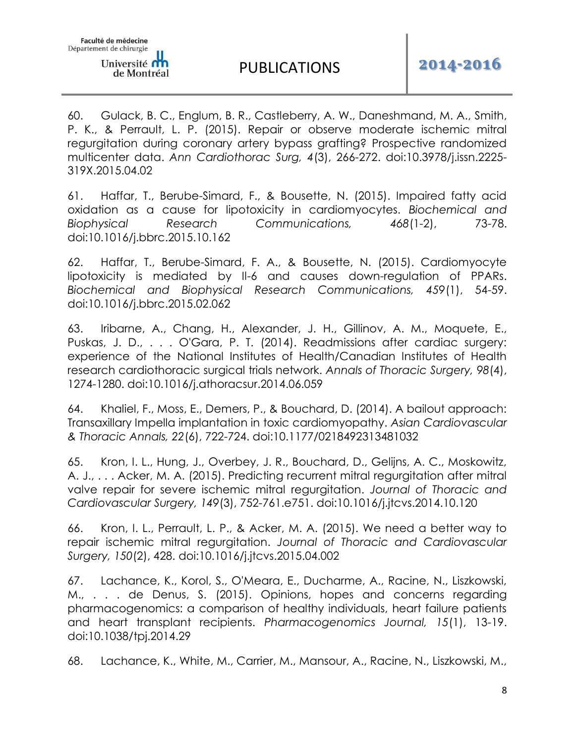60. Gulack, B. C., Englum, B. R., Castleberry, A. W., Daneshmand, M. A., Smith, P. K., & Perrault, L. P. (2015). Repair or observe moderate ischemic mitral regurgitation during coronary artery bypass grafting? Prospective randomized multicenter data. *Ann Cardiothorac Surg, 4*(3), 266-272. doi:10.3978/j.issn.2225- 319X.2015.04.02

61. Haffar, T., Berube-Simard, F., & Bousette, N. (2015). Impaired fatty acid oxidation as a cause for lipotoxicity in cardiomyocytes. *Biochemical and Biophysical Research Communications, 468*(1-2), 73-78. doi:10.1016/j.bbrc.2015.10.162

62. Haffar, T., Berube-Simard, F. A., & Bousette, N. (2015). Cardiomyocyte lipotoxicity is mediated by Il-6 and causes down-regulation of PPARs. *Biochemical and Biophysical Research Communications, 459*(1), 54-59. doi:10.1016/j.bbrc.2015.02.062

63. Iribarne, A., Chang, H., Alexander, J. H., Gillinov, A. M., Moquete, E., Puskas, J. D., . . . O'Gara, P. T. (2014). Readmissions after cardiac surgery: experience of the National Institutes of Health/Canadian Institutes of Health research cardiothoracic surgical trials network. *Annals of Thoracic Surgery, 98*(4), 1274-1280. doi:10.1016/j.athoracsur.2014.06.059

64. Khaliel, F., Moss, E., Demers, P., & Bouchard, D. (2014). A bailout approach: Transaxillary Impella implantation in toxic cardiomyopathy. *Asian Cardiovascular & Thoracic Annals, 22*(6), 722-724. doi:10.1177/0218492313481032

65. Kron, I. L., Hung, J., Overbey, J. R., Bouchard, D., Gelijns, A. C., Moskowitz, A. J., . . . Acker, M. A. (2015). Predicting recurrent mitral regurgitation after mitral valve repair for severe ischemic mitral regurgitation. *Journal of Thoracic and Cardiovascular Surgery, 149*(3), 752-761.e751. doi:10.1016/j.jtcvs.2014.10.120

66. Kron, I. L., Perrault, L. P., & Acker, M. A. (2015). We need a better way to repair ischemic mitral regurgitation. *Journal of Thoracic and Cardiovascular Surgery, 150*(2), 428. doi:10.1016/j.jtcvs.2015.04.002

67. Lachance, K., Korol, S., O'Meara, E., Ducharme, A., Racine, N., Liszkowski, M., . . . de Denus, S. (2015). Opinions, hopes and concerns regarding pharmacogenomics: a comparison of healthy individuals, heart failure patients and heart transplant recipients. *Pharmacogenomics Journal, 15*(1), 13-19. doi:10.1038/tpj.2014.29

68. Lachance, K., White, M., Carrier, M., Mansour, A., Racine, N., Liszkowski, M.,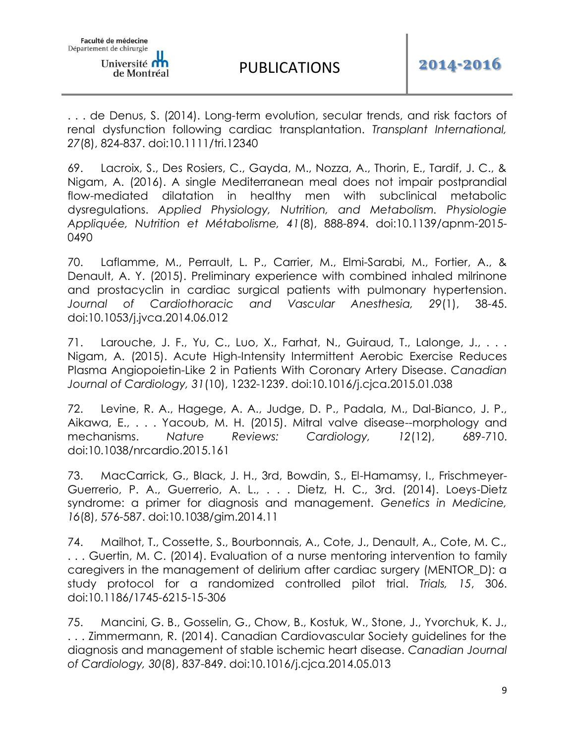. . . de Denus, S. (2014). Long-term evolution, secular trends, and risk factors of renal dysfunction following cardiac transplantation. *Transplant International, 27*(8), 824-837. doi:10.1111/tri.12340

69. Lacroix, S., Des Rosiers, C., Gayda, M., Nozza, A., Thorin, E., Tardif, J. C., & Nigam, A. (2016). A single Mediterranean meal does not impair postprandial flow-mediated dilatation in healthy men with subclinical metabolic dysregulations. *Applied Physiology, Nutrition, and Metabolism. Physiologie Appliquée, Nutrition et Métabolisme, 41*(8), 888-894. doi:10.1139/apnm-2015- 0490

70. Laflamme, M., Perrault, L. P., Carrier, M., Elmi-Sarabi, M., Fortier, A., & Denault, A. Y. (2015). Preliminary experience with combined inhaled milrinone and prostacyclin in cardiac surgical patients with pulmonary hypertension. *Journal of Cardiothoracic and Vascular Anesthesia, 29*(1), 38-45. doi:10.1053/j.jvca.2014.06.012

71. Larouche, J. F., Yu, C., Luo, X., Farhat, N., Guiraud, T., Lalonge, J., . . . Nigam, A. (2015). Acute High-Intensity Intermittent Aerobic Exercise Reduces Plasma Angiopoietin-Like 2 in Patients With Coronary Artery Disease. *Canadian Journal of Cardiology, 31*(10), 1232-1239. doi:10.1016/j.cjca.2015.01.038

72. Levine, R. A., Hagege, A. A., Judge, D. P., Padala, M., Dal-Bianco, J. P., Aikawa, E., . . . Yacoub, M. H. (2015). Mitral valve disease--morphology and mechanisms. *Nature Reviews: Cardiology, 12*(12), 689-710. doi:10.1038/nrcardio.2015.161

73. MacCarrick, G., Black, J. H., 3rd, Bowdin, S., El-Hamamsy, I., Frischmeyer-Guerrerio, P. A., Guerrerio, A. L., . . . Dietz, H. C., 3rd. (2014). Loeys-Dietz syndrome: a primer for diagnosis and management. *Genetics in Medicine, 16*(8), 576-587. doi:10.1038/gim.2014.11

74. Mailhot, T., Cossette, S., Bourbonnais, A., Cote, J., Denault, A., Cote, M. C., . . . Guertin, M. C. (2014). Evaluation of a nurse mentoring intervention to family caregivers in the management of delirium after cardiac surgery (MENTOR\_D): a study protocol for a randomized controlled pilot trial. *Trials, 15*, 306. doi:10.1186/1745-6215-15-306

75. Mancini, G. B., Gosselin, G., Chow, B., Kostuk, W., Stone, J., Yvorchuk, K. J., . . . Zimmermann, R. (2014). Canadian Cardiovascular Society guidelines for the diagnosis and management of stable ischemic heart disease. *Canadian Journal of Cardiology, 30*(8), 837-849. doi:10.1016/j.cjca.2014.05.013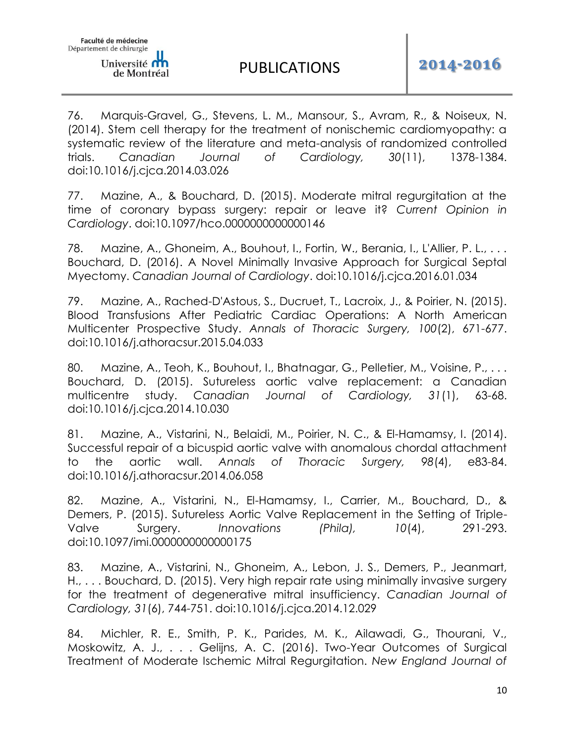76. Marquis-Gravel, G., Stevens, L. M., Mansour, S., Avram, R., & Noiseux, N. (2014). Stem cell therapy for the treatment of nonischemic cardiomyopathy: a systematic review of the literature and meta-analysis of randomized controlled trials. *Canadian Journal of Cardiology, 30*(11), 1378-1384. doi:10.1016/j.cjca.2014.03.026

77. Mazine, A., & Bouchard, D. (2015). Moderate mitral regurgitation at the time of coronary bypass surgery: repair or leave it? *Current Opinion in Cardiology*. doi:10.1097/hco.0000000000000146

78. Mazine, A., Ghoneim, A., Bouhout, I., Fortin, W., Berania, I., L'Allier, P. L., . . . Bouchard, D. (2016). A Novel Minimally Invasive Approach for Surgical Septal Myectomy. *Canadian Journal of Cardiology*. doi:10.1016/j.cjca.2016.01.034

79. Mazine, A., Rached-D'Astous, S., Ducruet, T., Lacroix, J., & Poirier, N. (2015). Blood Transfusions After Pediatric Cardiac Operations: A North American Multicenter Prospective Study. *Annals of Thoracic Surgery, 100*(2), 671-677. doi:10.1016/j.athoracsur.2015.04.033

80. Mazine, A., Teoh, K., Bouhout, I., Bhatnagar, G., Pelletier, M., Voisine, P., ... Bouchard, D. (2015). Sutureless aortic valve replacement: a Canadian multicentre study. *Canadian Journal of Cardiology, 31*(1), 63-68. doi:10.1016/j.cjca.2014.10.030

81. Mazine, A., Vistarini, N., Belaidi, M., Poirier, N. C., & El-Hamamsy, I. (2014). Successful repair of a bicuspid aortic valve with anomalous chordal attachment to the aortic wall. *Annals of Thoracic Surgery, 98*(4), e83-84. doi:10.1016/j.athoracsur.2014.06.058

82. Mazine, A., Vistarini, N., El-Hamamsy, I., Carrier, M., Bouchard, D., & Demers, P. (2015). Sutureless Aortic Valve Replacement in the Setting of Triple-Valve Surgery. *Innovations (Phila), 10*(4), 291-293. doi:10.1097/imi.0000000000000175

83. Mazine, A., Vistarini, N., Ghoneim, A., Lebon, J. S., Demers, P., Jeanmart, H., . . . Bouchard, D. (2015). Very high repair rate using minimally invasive surgery for the treatment of degenerative mitral insufficiency. *Canadian Journal of Cardiology, 31*(6), 744-751. doi:10.1016/j.cjca.2014.12.029

84. Michler, R. E., Smith, P. K., Parides, M. K., Ailawadi, G., Thourani, V., Moskowitz, A. J., . . . Gelijns, A. C. (2016). Two-Year Outcomes of Surgical Treatment of Moderate Ischemic Mitral Regurgitation. *New England Journal of*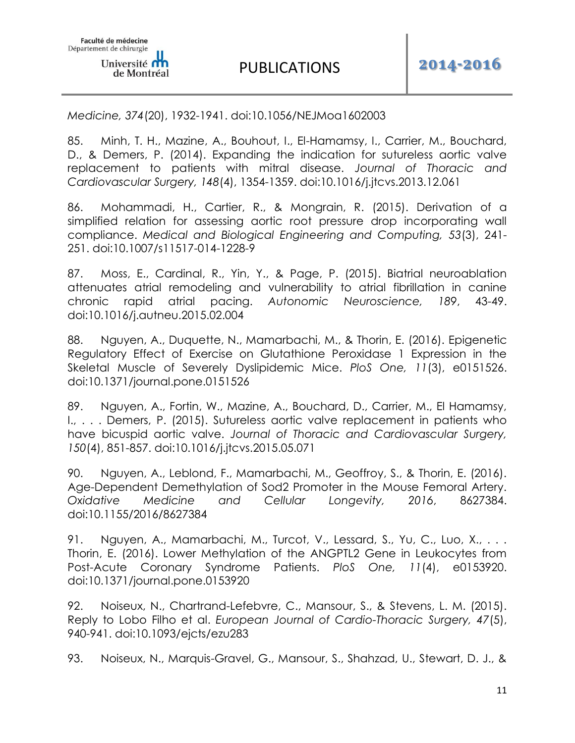*Medicine, 374*(20), 1932-1941. doi:10.1056/NEJMoa1602003

85. Minh, T. H., Mazine, A., Bouhout, I., El-Hamamsy, I., Carrier, M., Bouchard, D., & Demers, P. (2014). Expanding the indication for sutureless aortic valve replacement to patients with mitral disease. *Journal of Thoracic and Cardiovascular Surgery, 148*(4), 1354-1359. doi:10.1016/j.jtcvs.2013.12.061

86. Mohammadi, H., Cartier, R., & Mongrain, R. (2015). Derivation of a simplified relation for assessing aortic root pressure drop incorporating wall compliance. *Medical and Biological Engineering and Computing, 53*(3), 241- 251. doi:10.1007/s11517-014-1228-9

87. Moss, E., Cardinal, R., Yin, Y., & Page, P. (2015). Biatrial neuroablation attenuates atrial remodeling and vulnerability to atrial fibrillation in canine chronic rapid atrial pacing. *Autonomic Neuroscience, 189*, 43-49. doi:10.1016/j.autneu.2015.02.004

88. Nguyen, A., Duquette, N., Mamarbachi, M., & Thorin, E. (2016). Epigenetic Regulatory Effect of Exercise on Glutathione Peroxidase 1 Expression in the Skeletal Muscle of Severely Dyslipidemic Mice. *PloS One, 11*(3), e0151526. doi:10.1371/journal.pone.0151526

89. Nguyen, A., Fortin, W., Mazine, A., Bouchard, D., Carrier, M., El Hamamsy, I., . . . Demers, P. (2015). Sutureless aortic valve replacement in patients who have bicuspid aortic valve. *Journal of Thoracic and Cardiovascular Surgery, 150*(4), 851-857. doi:10.1016/j.jtcvs.2015.05.071

90. Nguyen, A., Leblond, F., Mamarbachi, M., Geoffroy, S., & Thorin, E. (2016). Age-Dependent Demethylation of Sod2 Promoter in the Mouse Femoral Artery. *Oxidative Medicine and Cellular Longevity, 2016*, 8627384. doi:10.1155/2016/8627384

91. Nguyen, A., Mamarbachi, M., Turcot, V., Lessard, S., Yu, C., Luo, X., ... Thorin, E. (2016). Lower Methylation of the ANGPTL2 Gene in Leukocytes from Post-Acute Coronary Syndrome Patients. *PloS One, 11*(4), e0153920. doi:10.1371/journal.pone.0153920

92. Noiseux, N., Chartrand-Lefebvre, C., Mansour, S., & Stevens, L. M. (2015). Reply to Lobo Filho et al. *European Journal of Cardio-Thoracic Surgery, 47*(5), 940-941. doi:10.1093/ejcts/ezu283

93. Noiseux, N., Marquis-Gravel, G., Mansour, S., Shahzad, U., Stewart, D. J., &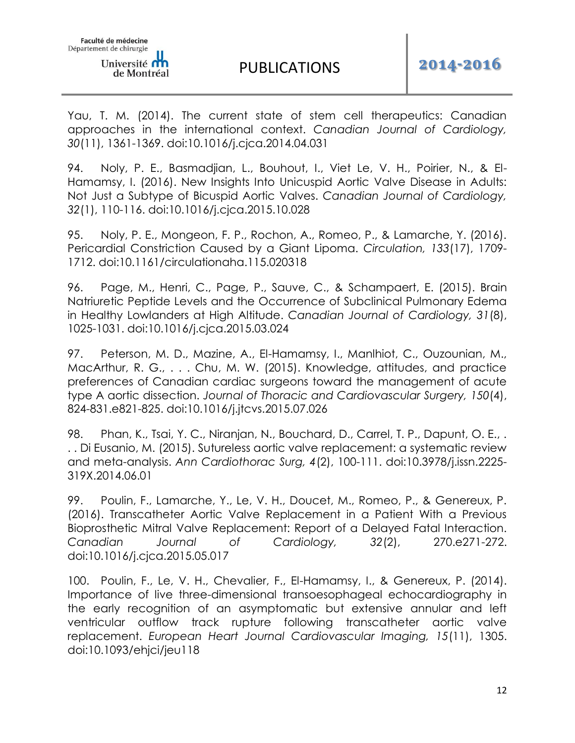Yau, T. M. (2014). The current state of stem cell therapeutics: Canadian approaches in the international context. *Canadian Journal of Cardiology, 30*(11), 1361-1369. doi:10.1016/j.cjca.2014.04.031

94. Noly, P. E., Basmadjian, L., Bouhout, I., Viet Le, V. H., Poirier, N., & El-Hamamsy, I. (2016). New Insights Into Unicuspid Aortic Valve Disease in Adults: Not Just a Subtype of Bicuspid Aortic Valves. *Canadian Journal of Cardiology, 32*(1), 110-116. doi:10.1016/j.cjca.2015.10.028

95. Noly, P. E., Mongeon, F. P., Rochon, A., Romeo, P., & Lamarche, Y. (2016). Pericardial Constriction Caused by a Giant Lipoma. *Circulation, 133*(17), 1709- 1712. doi:10.1161/circulationaha.115.020318

96. Page, M., Henri, C., Page, P., Sauve, C., & Schampaert, E. (2015). Brain Natriuretic Peptide Levels and the Occurrence of Subclinical Pulmonary Edema in Healthy Lowlanders at High Altitude. *Canadian Journal of Cardiology, 31*(8), 1025-1031. doi:10.1016/j.cjca.2015.03.024

97. Peterson, M. D., Mazine, A., El-Hamamsy, I., Manlhiot, C., Ouzounian, M., MacArthur, R. G., . . . Chu, M. W. (2015). Knowledge, attitudes, and practice preferences of Canadian cardiac surgeons toward the management of acute type A aortic dissection. *Journal of Thoracic and Cardiovascular Surgery, 150*(4), 824-831.e821-825. doi:10.1016/j.jtcvs.2015.07.026

98. Phan, K., Tsai, Y. C., Niranjan, N., Bouchard, D., Carrel, T. P., Dapunt, O. E., . . . Di Eusanio, M. (2015). Sutureless aortic valve replacement: a systematic review and meta-analysis. *Ann Cardiothorac Surg, 4*(2), 100-111. doi:10.3978/j.issn.2225- 319X.2014.06.01

99. Poulin, F., Lamarche, Y., Le, V. H., Doucet, M., Romeo, P., & Genereux, P. (2016). Transcatheter Aortic Valve Replacement in a Patient With a Previous Bioprosthetic Mitral Valve Replacement: Report of a Delayed Fatal Interaction. *Canadian Journal of Cardiology, 32*(2), 270.e271-272. doi:10.1016/j.cjca.2015.05.017

100. Poulin, F., Le, V. H., Chevalier, F., El-Hamamsy, I., & Genereux, P. (2014). Importance of live three-dimensional transoesophageal echocardiography in the early recognition of an asymptomatic but extensive annular and left ventricular outflow track rupture following transcatheter aortic valve replacement. *European Heart Journal Cardiovascular Imaging, 15*(11), 1305. doi:10.1093/ehjci/jeu118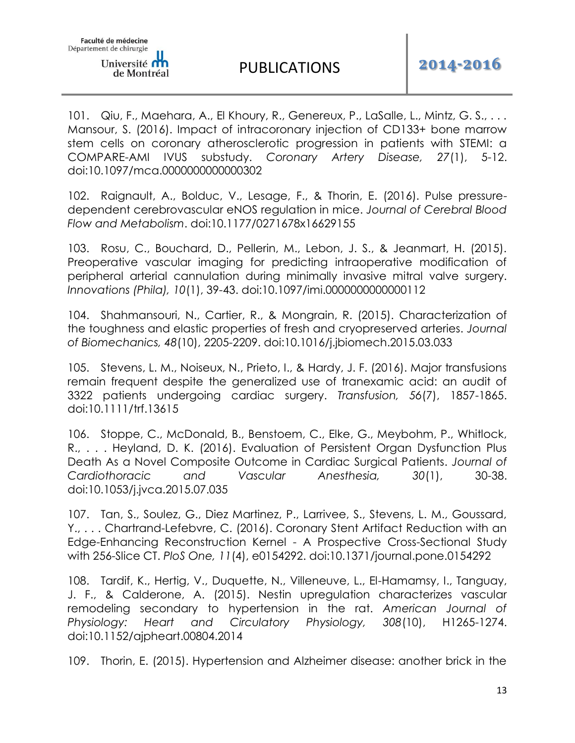101. Qiu, F., Maehara, A., El Khoury, R., Genereux, P., LaSalle, L., Mintz, G. S., . . . Mansour, S. (2016). Impact of intracoronary injection of CD133+ bone marrow stem cells on coronary atherosclerotic progression in patients with STEMI: a COMPARE-AMI IVUS substudy. *Coronary Artery Disease, 27*(1), 5-12. doi:10.1097/mca.0000000000000302

102. Raignault, A., Bolduc, V., Lesage, F., & Thorin, E. (2016). Pulse pressuredependent cerebrovascular eNOS regulation in mice. *Journal of Cerebral Blood Flow and Metabolism*. doi:10.1177/0271678x16629155

103. Rosu, C., Bouchard, D., Pellerin, M., Lebon, J. S., & Jeanmart, H. (2015). Preoperative vascular imaging for predicting intraoperative modification of peripheral arterial cannulation during minimally invasive mitral valve surgery. *Innovations (Phila), 10*(1), 39-43. doi:10.1097/imi.0000000000000112

104. Shahmansouri, N., Cartier, R., & Mongrain, R. (2015). Characterization of the toughness and elastic properties of fresh and cryopreserved arteries. *Journal of Biomechanics, 48*(10), 2205-2209. doi:10.1016/j.jbiomech.2015.03.033

105. Stevens, L. M., Noiseux, N., Prieto, I., & Hardy, J. F. (2016). Major transfusions remain frequent despite the generalized use of tranexamic acid: an audit of 3322 patients undergoing cardiac surgery. *Transfusion, 56*(7), 1857-1865. doi:10.1111/trf.13615

106. Stoppe, C., McDonald, B., Benstoem, C., Elke, G., Meybohm, P., Whitlock, R., . . . Heyland, D. K. (2016). Evaluation of Persistent Organ Dysfunction Plus Death As a Novel Composite Outcome in Cardiac Surgical Patients. *Journal of Cardiothoracic and Vascular Anesthesia, 30*(1), 30-38. doi:10.1053/j.jvca.2015.07.035

107. Tan, S., Soulez, G., Diez Martinez, P., Larrivee, S., Stevens, L. M., Goussard, Y., . . . Chartrand-Lefebvre, C. (2016). Coronary Stent Artifact Reduction with an Edge-Enhancing Reconstruction Kernel - A Prospective Cross-Sectional Study with 256-Slice CT. *PloS One, 11*(4), e0154292. doi:10.1371/journal.pone.0154292

108. Tardif, K., Hertig, V., Duquette, N., Villeneuve, L., El-Hamamsy, I., Tanguay, J. F., & Calderone, A. (2015). Nestin upregulation characterizes vascular remodeling secondary to hypertension in the rat. *American Journal of Physiology: Heart and Circulatory Physiology, 308*(10), H1265-1274. doi:10.1152/ajpheart.00804.2014

109. Thorin, E. (2015). Hypertension and Alzheimer disease: another brick in the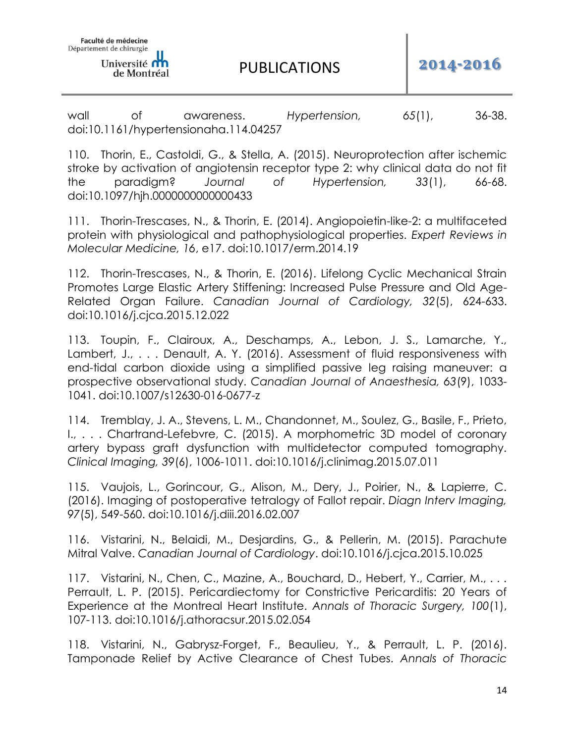de Montréal

PUBLICATIONS **2014-2016**

wall of awareness. *Hypertension, 65*(1), 36-38. doi:10.1161/hypertensionaha.114.04257

110. Thorin, E., Castoldi, G., & Stella, A. (2015). Neuroprotection after ischemic stroke by activation of angiotensin receptor type 2: why clinical data do not fit the paradigm? *Journal of Hypertension, 33*(1), 66-68. doi:10.1097/hjh.0000000000000433

111. Thorin-Trescases, N., & Thorin, E. (2014). Angiopoietin-like-2: a multifaceted protein with physiological and pathophysiological properties. *Expert Reviews in Molecular Medicine, 16*, e17. doi:10.1017/erm.2014.19

112. Thorin-Trescases, N., & Thorin, E. (2016). Lifelong Cyclic Mechanical Strain Promotes Large Elastic Artery Stiffening: Increased Pulse Pressure and Old Age-Related Organ Failure. *Canadian Journal of Cardiology, 32*(5), 624-633. doi:10.1016/j.cjca.2015.12.022

113. Toupin, F., Clairoux, A., Deschamps, A., Lebon, J. S., Lamarche, Y., Lambert, J., ... Denault, A. Y. (2016). Assessment of fluid responsiveness with end-tidal carbon dioxide using a simplified passive leg raising maneuver: a prospective observational study. *Canadian Journal of Anaesthesia, 63*(9), 1033- 1041. doi:10.1007/s12630-016-0677-z

114. Tremblay, J. A., Stevens, L. M., Chandonnet, M., Soulez, G., Basile, F., Prieto, I., . . . Chartrand-Lefebvre, C. (2015). A morphometric 3D model of coronary artery bypass graft dysfunction with multidetector computed tomography. *Clinical Imaging, 39*(6), 1006-1011. doi:10.1016/j.clinimag.2015.07.011

115. Vaujois, L., Gorincour, G., Alison, M., Dery, J., Poirier, N., & Lapierre, C. (2016). Imaging of postoperative tetralogy of Fallot repair. *Diagn Interv Imaging, 97*(5), 549-560. doi:10.1016/j.diii.2016.02.007

116. Vistarini, N., Belaidi, M., Desjardins, G., & Pellerin, M. (2015). Parachute Mitral Valve. *Canadian Journal of Cardiology*. doi:10.1016/j.cjca.2015.10.025

117. Vistarini, N., Chen, C., Mazine, A., Bouchard, D., Hebert, Y., Carrier, M., ... Perrault, L. P. (2015). Pericardiectomy for Constrictive Pericarditis: 20 Years of Experience at the Montreal Heart Institute. *Annals of Thoracic Surgery, 100*(1), 107-113. doi:10.1016/j.athoracsur.2015.02.054

118. Vistarini, N., Gabrysz-Forget, F., Beaulieu, Y., & Perrault, L. P. (2016). Tamponade Relief by Active Clearance of Chest Tubes. *Annals of Thoracic*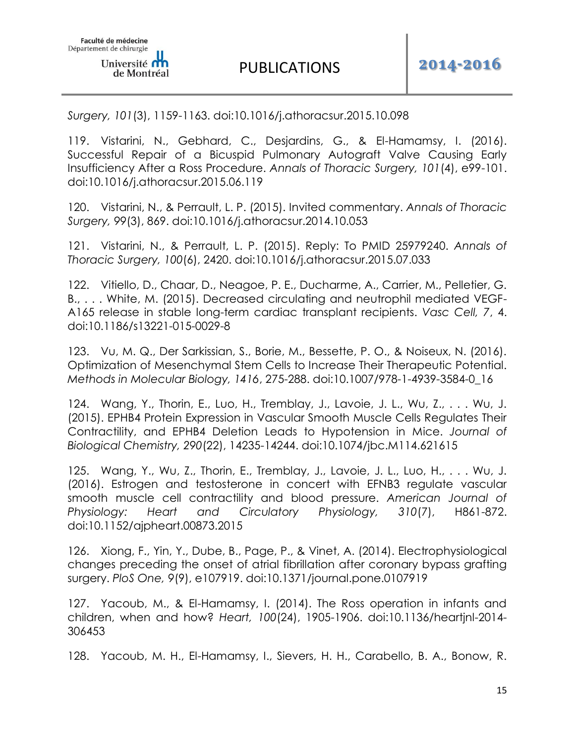*Surgery, 101*(3), 1159-1163. doi:10.1016/j.athoracsur.2015.10.098

119. Vistarini, N., Gebhard, C., Desjardins, G., & El-Hamamsy, I. (2016). Successful Repair of a Bicuspid Pulmonary Autograft Valve Causing Early Insufficiency After a Ross Procedure. *Annals of Thoracic Surgery, 101*(4), e99-101. doi:10.1016/j.athoracsur.2015.06.119

120. Vistarini, N., & Perrault, L. P. (2015). Invited commentary. *Annals of Thoracic Surgery, 99*(3), 869. doi:10.1016/j.athoracsur.2014.10.053

121. Vistarini, N., & Perrault, L. P. (2015). Reply: To PMID 25979240. *Annals of Thoracic Surgery, 100*(6), 2420. doi:10.1016/j.athoracsur.2015.07.033

122. Vitiello, D., Chaar, D., Neagoe, P. E., Ducharme, A., Carrier, M., Pelletier, G. B., . . . White, M. (2015). Decreased circulating and neutrophil mediated VEGF-A165 release in stable long-term cardiac transplant recipients. *Vasc Cell, 7*, 4. doi:10.1186/s13221-015-0029-8

123. Vu, M. Q., Der Sarkissian, S., Borie, M., Bessette, P. O., & Noiseux, N. (2016). Optimization of Mesenchymal Stem Cells to Increase Their Therapeutic Potential. *Methods in Molecular Biology, 1416*, 275-288. doi:10.1007/978-1-4939-3584-0\_16

124. Wang, Y., Thorin, E., Luo, H., Tremblay, J., Lavoie, J. L., Wu, Z., . . . Wu, J. (2015). EPHB4 Protein Expression in Vascular Smooth Muscle Cells Regulates Their Contractility, and EPHB4 Deletion Leads to Hypotension in Mice. *Journal of Biological Chemistry, 290*(22), 14235-14244. doi:10.1074/jbc.M114.621615

125. Wang, Y., Wu, Z., Thorin, E., Tremblay, J., Lavoie, J. L., Luo, H., . . . Wu, J. (2016). Estrogen and testosterone in concert with EFNB3 regulate vascular smooth muscle cell contractility and blood pressure. *American Journal of Physiology: Heart and Circulatory Physiology, 310*(7), H861-872. doi:10.1152/ajpheart.00873.2015

126. Xiong, F., Yin, Y., Dube, B., Page, P., & Vinet, A. (2014). Electrophysiological changes preceding the onset of atrial fibrillation after coronary bypass grafting surgery. *PloS One, 9*(9), e107919. doi:10.1371/journal.pone.0107919

127. Yacoub, M., & El-Hamamsy, I. (2014). The Ross operation in infants and children, when and how? *Heart, 100*(24), 1905-1906. doi:10.1136/heartjnl-2014- 306453

128. Yacoub, M. H., El-Hamamsy, I., Sievers, H. H., Carabello, B. A., Bonow, R.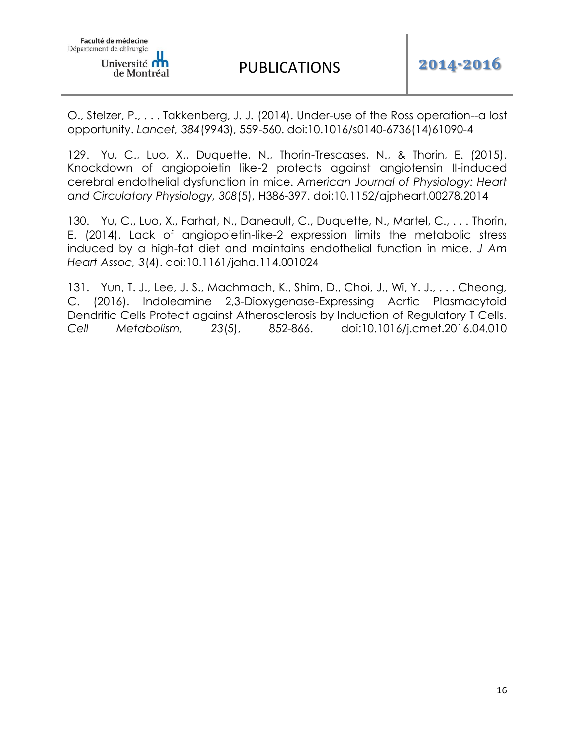O., Stelzer, P., . . . Takkenberg, J. J. (2014). Under-use of the Ross operation--a lost opportunity. *Lancet, 384*(9943), 559-560. doi:10.1016/s0140-6736(14)61090-4

129. Yu, C., Luo, X., Duquette, N., Thorin-Trescases, N., & Thorin, E. (2015). Knockdown of angiopoietin like-2 protects against angiotensin II-induced cerebral endothelial dysfunction in mice. *American Journal of Physiology: Heart and Circulatory Physiology, 308*(5), H386-397. doi:10.1152/ajpheart.00278.2014

130. Yu, C., Luo, X., Farhat, N., Daneault, C., Duquette, N., Martel, C., . . . Thorin, E. (2014). Lack of angiopoietin-like-2 expression limits the metabolic stress induced by a high-fat diet and maintains endothelial function in mice. *J Am Heart Assoc, 3*(4). doi:10.1161/jaha.114.001024

131. Yun, T. J., Lee, J. S., Machmach, K., Shim, D., Choi, J., Wi, Y. J., ... Cheong, C. (2016). Indoleamine 2,3-Dioxygenase-Expressing Aortic Plasmacytoid Dendritic Cells Protect against Atherosclerosis by Induction of Regulatory T Cells. *Cell Metabolism, 23*(5), 852-866. doi:10.1016/j.cmet.2016.04.010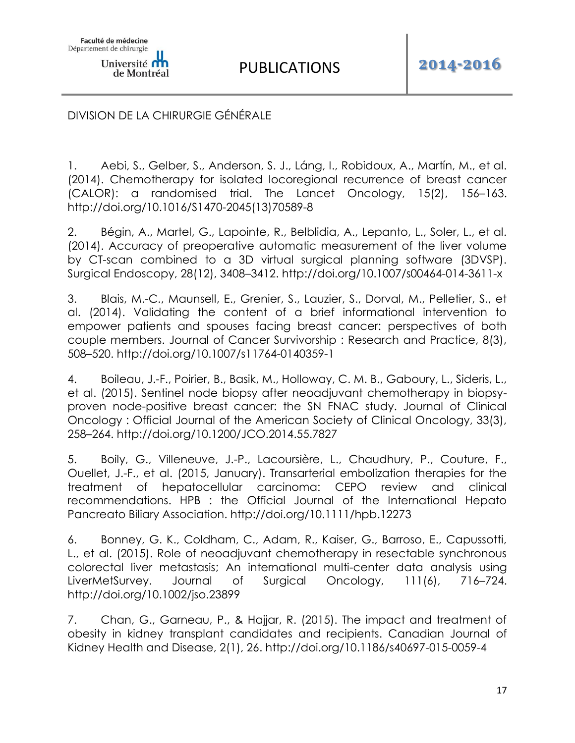# DIVISION DE LA CHIRURGIE GÉNÉRALE

1. Aebi, S., Gelber, S., Anderson, S. J., Láng, I., Robidoux, A., Martín, M., et al. (2014). Chemotherapy for isolated locoregional recurrence of breast cancer (CALOR): a randomised trial. The Lancet Oncology, 15(2), 156–163. http://doi.org/10.1016/S1470-2045(13)70589-8

2. Bégin, A., Martel, G., Lapointe, R., Belblidia, A., Lepanto, L., Soler, L., et al. (2014). Accuracy of preoperative automatic measurement of the liver volume by CT-scan combined to a 3D virtual surgical planning software (3DVSP). Surgical Endoscopy, 28(12), 3408–3412. http://doi.org/10.1007/s00464-014-3611-x

3. Blais, M.-C., Maunsell, E., Grenier, S., Lauzier, S., Dorval, M., Pelletier, S., et al. (2014). Validating the content of a brief informational intervention to empower patients and spouses facing breast cancer: perspectives of both couple members. Journal of Cancer Survivorship : Research and Practice, 8(3), 508–520. http://doi.org/10.1007/s11764-0140359-1

4. Boileau, J.-F., Poirier, B., Basik, M., Holloway, C. M. B., Gaboury, L., Sideris, L., et al. (2015). Sentinel node biopsy after neoadjuvant chemotherapy in biopsyproven node-positive breast cancer: the SN FNAC study. Journal of Clinical Oncology : Official Journal of the American Society of Clinical Oncology, 33(3), 258–264. http://doi.org/10.1200/JCO.2014.55.7827

5. Boily, G., Villeneuve, J.-P., Lacoursière, L., Chaudhury, P., Couture, F., Ouellet, J.-F., et al. (2015, January). Transarterial embolization therapies for the treatment of hepatocellular carcinoma: CEPO review and clinical recommendations. HPB : the Official Journal of the International Hepato Pancreato Biliary Association. http://doi.org/10.1111/hpb.12273

6. Bonney, G. K., Coldham, C., Adam, R., Kaiser, G., Barroso, E., Capussotti, L., et al. (2015). Role of neoadjuvant chemotherapy in resectable synchronous colorectal liver metastasis; An international multi-center data analysis using LiverMetSurvey. Journal of Surgical Oncology, 111(6), 716–724. http://doi.org/10.1002/jso.23899

7. Chan, G., Garneau, P., & Hajjar, R. (2015). The impact and treatment of obesity in kidney transplant candidates and recipients. Canadian Journal of Kidney Health and Disease, 2(1), 26. http://doi.org/10.1186/s40697-015-0059-4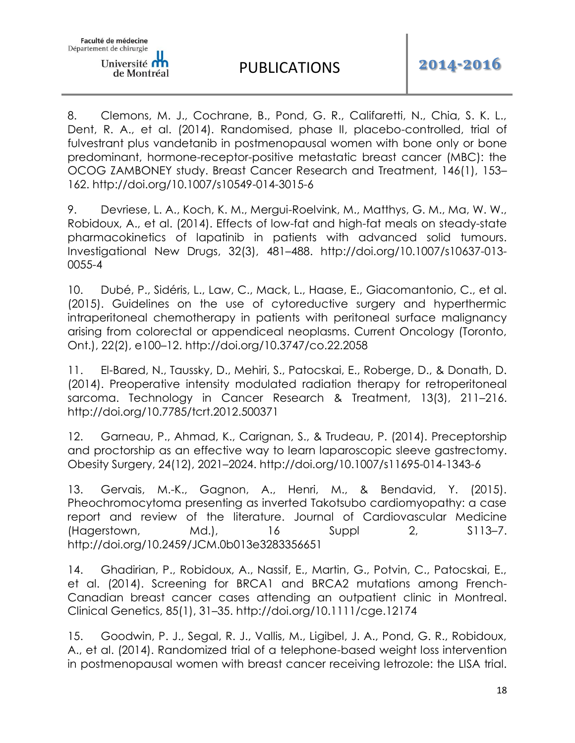8. Clemons, M. J., Cochrane, B., Pond, G. R., Califaretti, N., Chia, S. K. L., Dent, R. A., et al. (2014). Randomised, phase II, placebo-controlled, trial of fulvestrant plus vandetanib in postmenopausal women with bone only or bone predominant, hormone-receptor-positive metastatic breast cancer (MBC): the OCOG ZAMBONEY study. Breast Cancer Research and Treatment, 146(1), 153– 162. http://doi.org/10.1007/s10549-014-3015-6

9. Devriese, L. A., Koch, K. M., Mergui-Roelvink, M., Matthys, G. M., Ma, W. W., Robidoux, A., et al. (2014). Effects of low-fat and high-fat meals on steady-state pharmacokinetics of lapatinib in patients with advanced solid tumours. Investigational New Drugs, 32(3), 481–488. http://doi.org/10.1007/s10637-013- 0055-4

10. Dubé, P., Sidéris, L., Law, C., Mack, L., Haase, E., Giacomantonio, C., et al. (2015). Guidelines on the use of cytoreductive surgery and hyperthermic intraperitoneal chemotherapy in patients with peritoneal surface malignancy arising from colorectal or appendiceal neoplasms. Current Oncology (Toronto, Ont.), 22(2), e100–12. http://doi.org/10.3747/co.22.2058

11. El-Bared, N., Taussky, D., Mehiri, S., Patocskai, E., Roberge, D., & Donath, D. (2014). Preoperative intensity modulated radiation therapy for retroperitoneal sarcoma. Technology in Cancer Research & Treatment, 13(3), 211–216. http://doi.org/10.7785/tcrt.2012.500371

12. Garneau, P., Ahmad, K., Carignan, S., & Trudeau, P. (2014). Preceptorship and proctorship as an effective way to learn laparoscopic sleeve gastrectomy. Obesity Surgery, 24(12), 2021–2024. http://doi.org/10.1007/s11695-014-1343-6

13. Gervais, M.-K., Gagnon, A., Henri, M., & Bendavid, Y. (2015). Pheochromocytoma presenting as inverted Takotsubo cardiomyopathy: a case report and review of the literature. Journal of Cardiovascular Medicine (Hagerstown, Md.), 16 Suppl 2, S113–7. http://doi.org/10.2459/JCM.0b013e3283356651

14. Ghadirian, P., Robidoux, A., Nassif, E., Martin, G., Potvin, C., Patocskai, E., et al. (2014). Screening for BRCA1 and BRCA2 mutations among French-Canadian breast cancer cases attending an outpatient clinic in Montreal. Clinical Genetics, 85(1), 31–35. http://doi.org/10.1111/cge.12174

15. Goodwin, P. J., Segal, R. J., Vallis, M., Ligibel, J. A., Pond, G. R., Robidoux, A., et al. (2014). Randomized trial of a telephone-based weight loss intervention in postmenopausal women with breast cancer receiving letrozole: the LISA trial.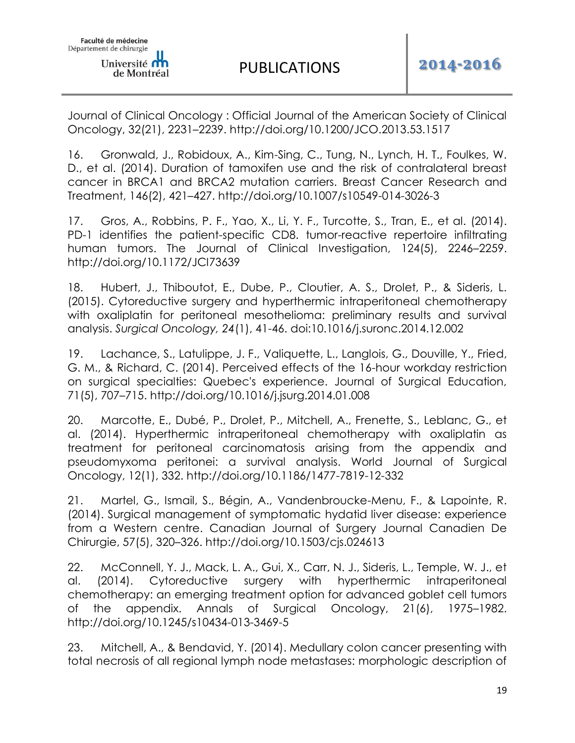Journal of Clinical Oncology : Official Journal of the American Society of Clinical Oncology, 32(21), 2231–2239. http://doi.org/10.1200/JCO.2013.53.1517

16. Gronwald, J., Robidoux, A., Kim-Sing, C., Tung, N., Lynch, H. T., Foulkes, W. D., et al. (2014). Duration of tamoxifen use and the risk of contralateral breast cancer in BRCA1 and BRCA2 mutation carriers. Breast Cancer Research and Treatment, 146(2), 421–427. http://doi.org/10.1007/s10549-014-3026-3

17. Gros, A., Robbins, P. F., Yao, X., Li, Y. F., Turcotte, S., Tran, E., et al. (2014). PD-1 identifies the patient-specific CD8. tumor-reactive repertoire infiltrating human tumors. The Journal of Clinical Investigation, 124(5), 2246–2259. http://doi.org/10.1172/JCI73639

18. Hubert, J., Thiboutot, E., Dube, P., Cloutier, A. S., Drolet, P., & Sideris, L. (2015). Cytoreductive surgery and hyperthermic intraperitoneal chemotherapy with oxaliplatin for peritoneal mesothelioma: preliminary results and survival analysis. *Surgical Oncology, 24*(1), 41-46. doi:10.1016/j.suronc.2014.12.002

19. Lachance, S., Latulippe, J. F., Valiquette, L., Langlois, G., Douville, Y., Fried, G. M., & Richard, C. (2014). Perceived effects of the 16-hour workday restriction on surgical specialties: Quebec's experience. Journal of Surgical Education, 71(5), 707–715. http://doi.org/10.1016/j.jsurg.2014.01.008

20. Marcotte, E., Dubé, P., Drolet, P., Mitchell, A., Frenette, S., Leblanc, G., et al. (2014). Hyperthermic intraperitoneal chemotherapy with oxaliplatin as treatment for peritoneal carcinomatosis arising from the appendix and pseudomyxoma peritonei: a survival analysis. World Journal of Surgical Oncology, 12(1), 332. http://doi.org/10.1186/1477-7819-12-332

21. Martel, G., Ismail, S., Bégin, A., Vandenbroucke-Menu, F., & Lapointe, R. (2014). Surgical management of symptomatic hydatid liver disease: experience from a Western centre. Canadian Journal of Surgery Journal Canadien De Chirurgie, 57(5), 320–326. http://doi.org/10.1503/cjs.024613

22. McConnell, Y. J., Mack, L. A., Gui, X., Carr, N. J., Sideris, L., Temple, W. J., et al. (2014). Cytoreductive surgery with hyperthermic intraperitoneal chemotherapy: an emerging treatment option for advanced goblet cell tumors of the appendix. Annals of Surgical Oncology, 21(6), 1975–1982. http://doi.org/10.1245/s10434-013-3469-5

23. Mitchell, A., & Bendavid, Y. (2014). Medullary colon cancer presenting with total necrosis of all regional lymph node metastases: morphologic description of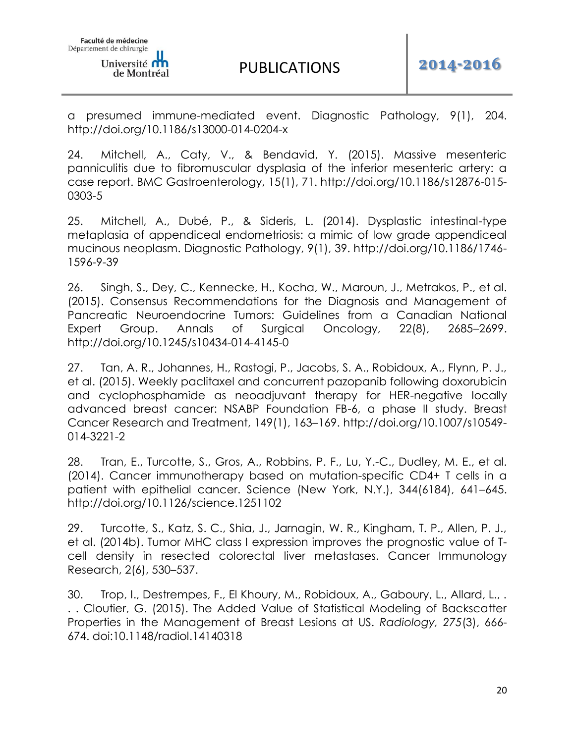a presumed immune-mediated event. Diagnostic Pathology, 9(1), 204. http://doi.org/10.1186/s13000-014-0204-x

24. Mitchell, A., Caty, V., & Bendavid, Y. (2015). Massive mesenteric panniculitis due to fibromuscular dysplasia of the inferior mesenteric artery: a case report. BMC Gastroenterology, 15(1), 71. http://doi.org/10.1186/s12876-015- 0303-5

25. Mitchell, A., Dubé, P., & Sideris, L. (2014). Dysplastic intestinal-type metaplasia of appendiceal endometriosis: a mimic of low grade appendiceal mucinous neoplasm. Diagnostic Pathology, 9(1), 39. http://doi.org/10.1186/1746- 1596-9-39

26. Singh, S., Dey, C., Kennecke, H., Kocha, W., Maroun, J., Metrakos, P., et al. (2015). Consensus Recommendations for the Diagnosis and Management of Pancreatic Neuroendocrine Tumors: Guidelines from a Canadian National Expert Group. Annals of Surgical Oncology, 22(8), 2685–2699. http://doi.org/10.1245/s10434-014-4145-0

27. Tan, A. R., Johannes, H., Rastogi, P., Jacobs, S. A., Robidoux, A., Flynn, P. J., et al. (2015). Weekly paclitaxel and concurrent pazopanib following doxorubicin and cyclophosphamide as neoadjuvant therapy for HER-negative locally advanced breast cancer: NSABP Foundation FB-6, a phase II study. Breast Cancer Research and Treatment, 149(1), 163–169. http://doi.org/10.1007/s10549- 014-3221-2

28. Tran, E., Turcotte, S., Gros, A., Robbins, P. F., Lu, Y.-C., Dudley, M. E., et al. (2014). Cancer immunotherapy based on mutation-specific CD4+ T cells in a patient with epithelial cancer. Science (New York, N.Y.), 344(6184), 641–645. http://doi.org/10.1126/science.1251102

29. Turcotte, S., Katz, S. C., Shia, J., Jarnagin, W. R., Kingham, T. P., Allen, P. J., et al. (2014b). Tumor MHC class I expression improves the prognostic value of Tcell density in resected colorectal liver metastases. Cancer Immunology Research, 2(6), 530–537.

30. Trop, I., Destrempes, F., El Khoury, M., Robidoux, A., Gaboury, L., Allard, L., . . . Cloutier, G. (2015). The Added Value of Statistical Modeling of Backscatter Properties in the Management of Breast Lesions at US. *Radiology, 275*(3), 666- 674. doi:10.1148/radiol.14140318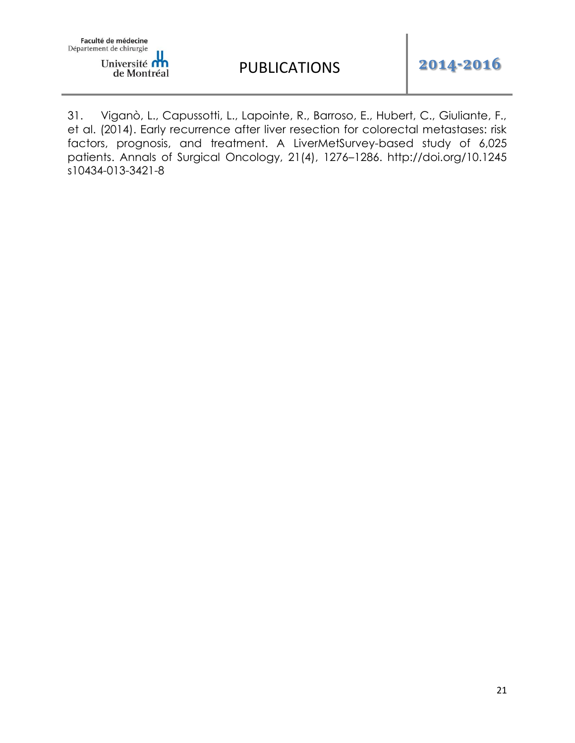

31. Viganò, L., Capussotti, L., Lapointe, R., Barroso, E., Hubert, C., Giuliante, F., et al. (2014). Early recurrence after liver resection for colorectal metastases: risk factors, prognosis, and treatment. A LiverMetSurvey-based study of 6,025 patients. Annals of Surgical Oncology, 21(4), 1276–1286. http://doi.org/10.1245 s10434-013-3421-8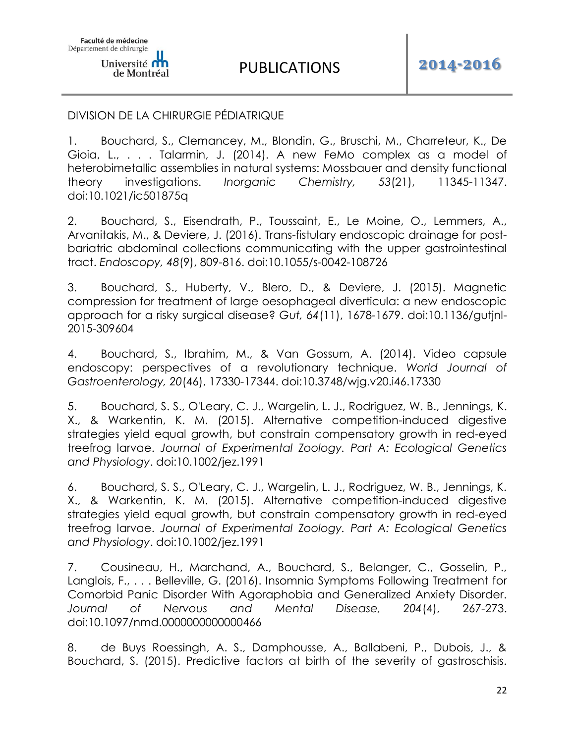## DIVISION DE LA CHIRURGIE PÉDIATRIQUE

1. Bouchard, S., Clemancey, M., Blondin, G., Bruschi, M., Charreteur, K., De Gioia, L., . . . Talarmin, J. (2014). A new FeMo complex as a model of heterobimetallic assemblies in natural systems: Mossbauer and density functional theory investigations. *Inorganic Chemistry, 53*(21), 11345-11347. doi:10.1021/ic501875q

2. Bouchard, S., Eisendrath, P., Toussaint, E., Le Moine, O., Lemmers, A., Arvanitakis, M., & Deviere, J. (2016). Trans-fistulary endoscopic drainage for postbariatric abdominal collections communicating with the upper gastrointestinal tract. *Endoscopy, 48*(9), 809-816. doi:10.1055/s-0042-108726

3. Bouchard, S., Huberty, V., Blero, D., & Deviere, J. (2015). Magnetic compression for treatment of large oesophageal diverticula: a new endoscopic approach for a risky surgical disease? *Gut, 64*(11), 1678-1679. doi:10.1136/gutjnl-2015-309604

4. Bouchard, S., Ibrahim, M., & Van Gossum, A. (2014). Video capsule endoscopy: perspectives of a revolutionary technique. *World Journal of Gastroenterology, 20*(46), 17330-17344. doi:10.3748/wjg.v20.i46.17330

5. Bouchard, S. S., O'Leary, C. J., Wargelin, L. J., Rodriguez, W. B., Jennings, K. X., & Warkentin, K. M. (2015). Alternative competition-induced digestive strategies yield equal growth, but constrain compensatory growth in red-eyed treefrog larvae. *Journal of Experimental Zoology. Part A: Ecological Genetics and Physiology*. doi:10.1002/jez.1991

6. Bouchard, S. S., O'Leary, C. J., Wargelin, L. J., Rodriguez, W. B., Jennings, K. X., & Warkentin, K. M. (2015). Alternative competition-induced digestive strategies yield equal growth, but constrain compensatory growth in red-eyed treefrog larvae. *Journal of Experimental Zoology. Part A: Ecological Genetics and Physiology*. doi:10.1002/jez.1991

7. Cousineau, H., Marchand, A., Bouchard, S., Belanger, C., Gosselin, P., Langlois, F., . . . Belleville, G. (2016). Insomnia Symptoms Following Treatment for Comorbid Panic Disorder With Agoraphobia and Generalized Anxiety Disorder. *Journal of Nervous and Mental Disease, 204*(4), 267-273. doi:10.1097/nmd.0000000000000466

8. de Buys Roessingh, A. S., Damphousse, A., Ballabeni, P., Dubois, J., & Bouchard, S. (2015). Predictive factors at birth of the severity of gastroschisis.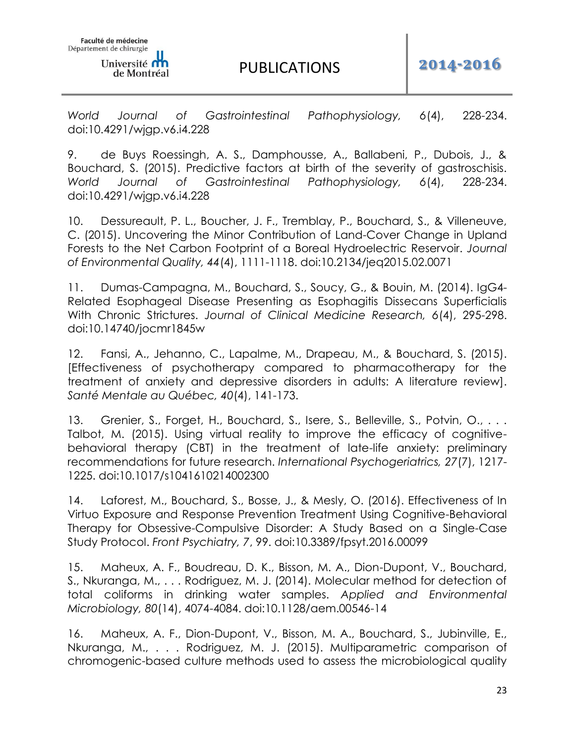*World Journal of Gastrointestinal Pathophysiology, 6*(4), 228-234. doi:10.4291/wjgp.v6.i4.228

9. de Buys Roessingh, A. S., Damphousse, A., Ballabeni, P., Dubois, J., & Bouchard, S. (2015). Predictive factors at birth of the severity of gastroschisis. *World Journal of Gastrointestinal Pathophysiology, 6*(4), 228-234. doi:10.4291/wjgp.v6.i4.228

10. Dessureault, P. L., Boucher, J. F., Tremblay, P., Bouchard, S., & Villeneuve, C. (2015). Uncovering the Minor Contribution of Land-Cover Change in Upland Forests to the Net Carbon Footprint of a Boreal Hydroelectric Reservoir. *Journal of Environmental Quality, 44*(4), 1111-1118. doi:10.2134/jeq2015.02.0071

11. Dumas-Campagna, M., Bouchard, S., Soucy, G., & Bouin, M. (2014). IgG4- Related Esophageal Disease Presenting as Esophagitis Dissecans Superficialis With Chronic Strictures. *Journal of Clinical Medicine Research, 6*(4), 295-298. doi:10.14740/jocmr1845w

12. Fansi, A., Jehanno, C., Lapalme, M., Drapeau, M., & Bouchard, S. (2015). [Effectiveness of psychotherapy compared to pharmacotherapy for the treatment of anxiety and depressive disorders in adults: A literature review]. *Santé Mentale au Québec, 40*(4), 141-173.

13. Grenier, S., Forget, H., Bouchard, S., Isere, S., Belleville, S., Potvin, O., ... Talbot, M. (2015). Using virtual reality to improve the efficacy of cognitivebehavioral therapy (CBT) in the treatment of late-life anxiety: preliminary recommendations for future research. *International Psychogeriatrics, 27*(7), 1217- 1225. doi:10.1017/s1041610214002300

14. Laforest, M., Bouchard, S., Bosse, J., & Mesly, O. (2016). Effectiveness of In Virtuo Exposure and Response Prevention Treatment Using Cognitive-Behavioral Therapy for Obsessive-Compulsive Disorder: A Study Based on a Single-Case Study Protocol. *Front Psychiatry, 7*, 99. doi:10.3389/fpsyt.2016.00099

15. Maheux, A. F., Boudreau, D. K., Bisson, M. A., Dion-Dupont, V., Bouchard, S., Nkuranga, M., . . . Rodriguez, M. J. (2014). Molecular method for detection of total coliforms in drinking water samples. *Applied and Environmental Microbiology, 80*(14), 4074-4084. doi:10.1128/aem.00546-14

16. Maheux, A. F., Dion-Dupont, V., Bisson, M. A., Bouchard, S., Jubinville, E., Nkuranga, M., . . . Rodriguez, M. J. (2015). Multiparametric comparison of chromogenic-based culture methods used to assess the microbiological quality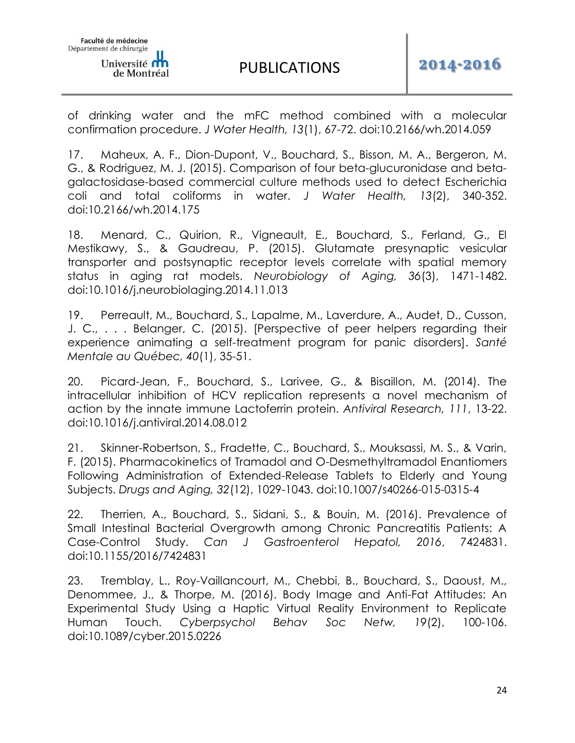of drinking water and the mFC method combined with a molecular confirmation procedure. *J Water Health, 13*(1), 67-72. doi:10.2166/wh.2014.059

17. Maheux, A. F., Dion-Dupont, V., Bouchard, S., Bisson, M. A., Bergeron, M. G., & Rodriguez, M. J. (2015). Comparison of four beta-glucuronidase and betagalactosidase-based commercial culture methods used to detect Escherichia coli and total coliforms in water. *J Water Health, 13*(2), 340-352. doi:10.2166/wh.2014.175

18. Menard, C., Quirion, R., Vigneault, E., Bouchard, S., Ferland, G., El Mestikawy, S., & Gaudreau, P. (2015). Glutamate presynaptic vesicular transporter and postsynaptic receptor levels correlate with spatial memory status in aging rat models. *Neurobiology of Aging, 36*(3), 1471-1482. doi:10.1016/j.neurobiolaging.2014.11.013

19. Perreault, M., Bouchard, S., Lapalme, M., Laverdure, A., Audet, D., Cusson, J. C., . . . Belanger, C. (2015). [Perspective of peer helpers regarding their experience animating a self-treatment program for panic disorders]. *Santé Mentale au Québec, 40*(1), 35-51.

20. Picard-Jean, F., Bouchard, S., Larivee, G., & Bisaillon, M. (2014). The intracellular inhibition of HCV replication represents a novel mechanism of action by the innate immune Lactoferrin protein. *Antiviral Research, 111*, 13-22. doi:10.1016/j.antiviral.2014.08.012

21. Skinner-Robertson, S., Fradette, C., Bouchard, S., Mouksassi, M. S., & Varin, F. (2015). Pharmacokinetics of Tramadol and O-Desmethyltramadol Enantiomers Following Administration of Extended-Release Tablets to Elderly and Young Subjects. *Drugs and Aging, 32*(12), 1029-1043. doi:10.1007/s40266-015-0315-4

22. Therrien, A., Bouchard, S., Sidani, S., & Bouin, M. (2016). Prevalence of Small Intestinal Bacterial Overgrowth among Chronic Pancreatitis Patients: A Case-Control Study. *Can J Gastroenterol Hepatol, 2016*, 7424831. doi:10.1155/2016/7424831

23. Tremblay, L., Roy-Vaillancourt, M., Chebbi, B., Bouchard, S., Daoust, M., Denommee, J., & Thorpe, M. (2016). Body Image and Anti-Fat Attitudes: An Experimental Study Using a Haptic Virtual Reality Environment to Replicate Human Touch. *Cyberpsychol Behav Soc Netw, 19*(2), 100-106. doi:10.1089/cyber.2015.0226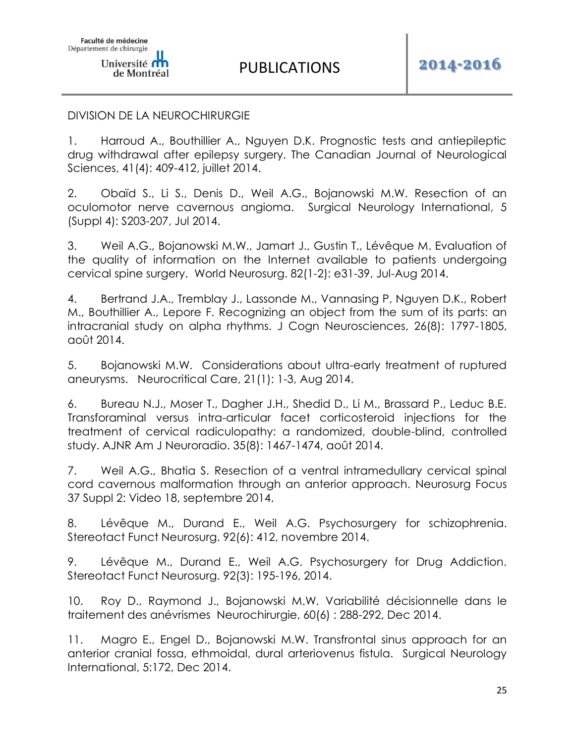#### DIVISION DE LA NEUROCHIRURGIE

1. Harroud A., Bouthillier A., Nguyen D.K. Prognostic tests and antiepileptic drug withdrawal after epilepsy surgery. The Canadian Journal of Neurological Sciences, 41(4): 409-412, juillet 2014.

2. Obaïd S., Li S., Denis D., Weil A.G., Bojanowski M.W. Resection of an oculomotor nerve cavernous angioma. Surgical Neurology International, 5 (Suppl 4): S203-207, Jul 2014.

3. Weil A.G., Bojanowski M.W., Jamart J., Gustin T., Lévêque M. Evaluation of the quality of information on the Internet available to patients undergoing cervical spine surgery. World Neurosurg. 82(1-2): e31-39, Jul-Aug 2014.

4. Bertrand J.A., Tremblay J., Lassonde M., Vannasing P, Nguyen D.K., Robert M., Bouthillier A., Lepore F. Recognizing an object from the sum of its parts: an intracranial study on alpha rhythms. J Cogn Neurosciences, 26(8): 1797-1805, août 2014.

5. Bojanowski M.W. Considerations about ultra-early treatment of ruptured aneurysms. Neurocritical Care, 21(1): 1-3, Aug 2014.

6. Bureau N.J., Moser T., Dagher J.H., Shedid D., Li M., Brassard P., Leduc B.E. Transforaminal versus intra-articular facet corticosteroid injections for the treatment of cervical radiculopathy: a randomized, double-blind, controlled study. AJNR Am J Neuroradio. 35(8): 1467-1474, août 2014.

7. Weil A.G., Bhatia S. Resection of a ventral intramedullary cervical spinal cord cavernous malformation through an anterior approach. Neurosurg Focus 37 Suppl 2: Video 18, septembre 2014.

8. Lévêque M., Durand E., Weil A.G. Psychosurgery for schizophrenia. Stereotact Funct Neurosurg. 92(6): 412, novembre 2014.

9. Lévêque M., Durand E., Weil A.G. Psychosurgery for Drug Addiction. Stereotact Funct Neurosurg. 92(3): 195-196, 2014.

10. Roy D., Raymond J., Bojanowski M.W. Variabilité décisionnelle dans le traitement des anévrismes Neurochirurgie, 60(6) : 288-292, Dec 2014.

11. Magro E., Engel D., Bojanowski M.W. Transfrontal sinus approach for an anterior cranial fossa, ethmoidal, dural arteriovenus fistula. Surgical Neurology International, 5:172, Dec 2014.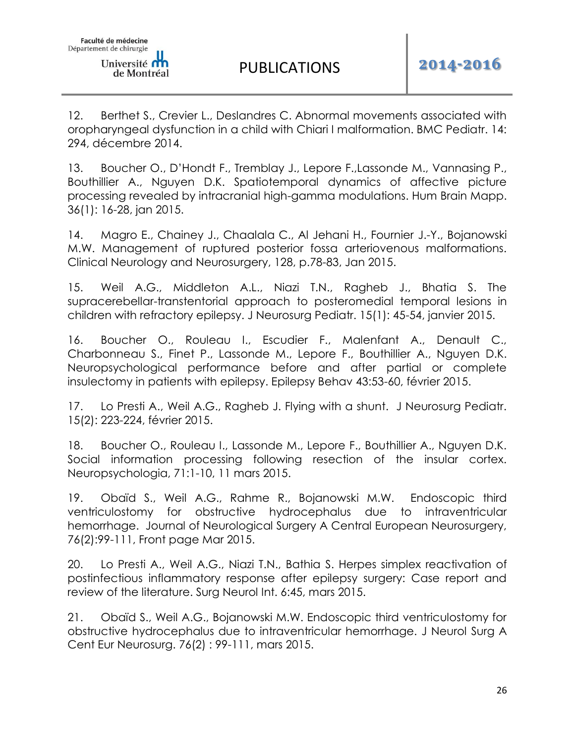de Montréal

12. Berthet S., Crevier L., Deslandres C. Abnormal movements associated with oropharyngeal dysfunction in a child with Chiari I malformation. BMC Pediatr. 14: 294, décembre 2014.

13. Boucher O., D'Hondt F., Tremblay J., Lepore F.,Lassonde M., Vannasing P., Bouthillier A., Nguyen D.K. Spatiotemporal dynamics of affective picture processing revealed by intracranial high-gamma modulations. Hum Brain Mapp. 36(1): 16-28, jan 2015.

14. Magro E., Chainey J., Chaalala C., Al Jehani H., Fournier J.-Y., Bojanowski M.W. Management of ruptured posterior fossa arteriovenous malformations. Clinical Neurology and Neurosurgery, 128, p.78-83, Jan 2015.

15. Weil A.G., Middleton A.L., Niazi T.N., Ragheb J., Bhatia S. The supracerebellar-transtentorial approach to posteromedial temporal lesions in children with refractory epilepsy. J Neurosurg Pediatr. 15(1): 45-54, janvier 2015.

16. Boucher O., Rouleau I., Escudier F., Malenfant A., Denault C., Charbonneau S., Finet P., Lassonde M., Lepore F., Bouthillier A., Nguyen D.K. Neuropsychological performance before and after partial or complete insulectomy in patients with epilepsy. Epilepsy Behav 43:53-60, février 2015.

17. Lo Presti A., Weil A.G., Ragheb J. Flying with a shunt. J Neurosurg Pediatr. 15(2): 223-224, février 2015.

18. Boucher O., Rouleau I., Lassonde M., Lepore F., Bouthillier A., Nguyen D.K. Social information processing following resection of the insular cortex. Neuropsychologia, 71:1-10, 11 mars 2015.

19. Obaïd S., Weil A.G., Rahme R., Bojanowski M.W. Endoscopic third ventriculostomy for obstructive hydrocephalus due to intraventricular hemorrhage. Journal of Neurological Surgery A Central European Neurosurgery, 76(2):99-111, Front page Mar 2015.

20. Lo Presti A., Weil A.G., Niazi T.N., Bathia S. Herpes simplex reactivation of postinfectious inflammatory response after epilepsy surgery: Case report and review of the literature. Surg Neurol Int. 6:45, mars 2015.

21. Obaïd S., Weil A.G., Bojanowski M.W. Endoscopic third ventriculostomy for obstructive hydrocephalus due to intraventricular hemorrhage. J Neurol Surg A Cent Eur Neurosurg. 76(2) : 99-111, mars 2015.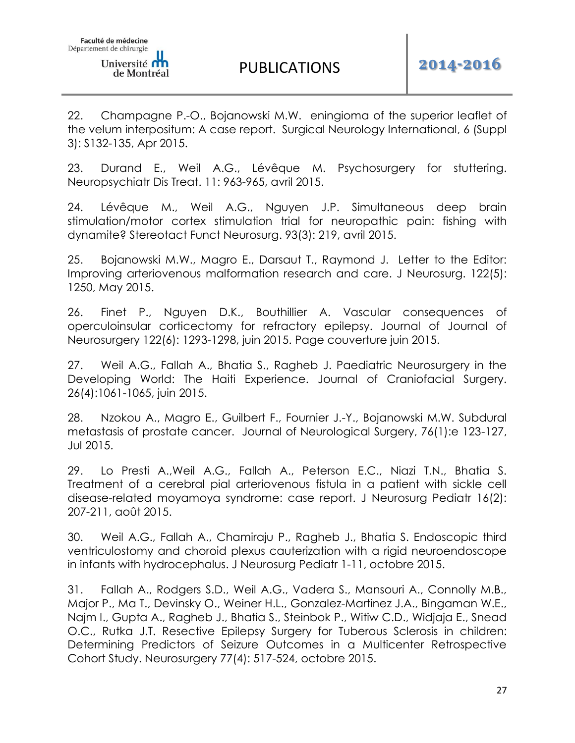22. Champagne P.-O., Bojanowski M.W. eningioma of the superior leaflet of the velum interpositum: A case report. Surgical Neurology International, 6 (Suppl 3): S132-135, Apr 2015.

23. Durand E., Weil A.G., Lévêque M. Psychosurgery for stuttering. Neuropsychiatr Dis Treat. 11: 963-965, avril 2015.

24. Lévêque M., Weil A.G., Nguyen J.P. Simultaneous deep brain stimulation/motor cortex stimulation trial for neuropathic pain: fishing with dynamite? Stereotact Funct Neurosurg. 93(3): 219, avril 2015.

25. Bojanowski M.W., Magro E., Darsaut T., Raymond J. Letter to the Editor: Improving arteriovenous malformation research and care. J Neurosurg. 122(5): 1250, May 2015.

26. Finet P., Nguyen D.K., Bouthillier A. Vascular consequences of operculoinsular corticectomy for refractory epilepsy. Journal of Journal of Neurosurgery 122(6): 1293-1298, juin 2015. Page couverture juin 2015.

27. Weil A.G., Fallah A., Bhatia S., Ragheb J. Paediatric Neurosurgery in the Developing World: The Haiti Experience. Journal of Craniofacial Surgery. 26(4):1061-1065, juin 2015.

28. Nzokou A., Magro E., Guilbert F., Fournier J.-Y., Bojanowski M.W. Subdural metastasis of prostate cancer. Journal of Neurological Surgery, 76(1):e 123-127, Jul 2015.

29. Lo Presti A.,Weil A.G., Fallah A., Peterson E.C., Niazi T.N., Bhatia S. Treatment of a cerebral pial arteriovenous fistula in a patient with sickle cell disease-related moyamoya syndrome: case report. J Neurosurg Pediatr 16(2): 207-211, août 2015.

30. Weil A.G., Fallah A., Chamiraju P., Ragheb J., Bhatia S. Endoscopic third ventriculostomy and choroid plexus cauterization with a rigid neuroendoscope in infants with hydrocephalus. J Neurosurg Pediatr 1-11, octobre 2015.

31. Fallah A., Rodgers S.D., Weil A.G., Vadera S., Mansouri A., Connolly M.B., Major P., Ma T., Devinsky O., Weiner H.L., Gonzalez-Martinez J.A., Bingaman W.E., Najm I., Gupta A., Ragheb J., Bhatia S., Steinbok P., Witiw C.D., Widjaja E., Snead O.C., Rutka J.T. Resective Epilepsy Surgery for Tuberous Sclerosis in children: Determining Predictors of Seizure Outcomes in a Multicenter Retrospective Cohort Study. Neurosurgery 77(4): 517-524, octobre 2015.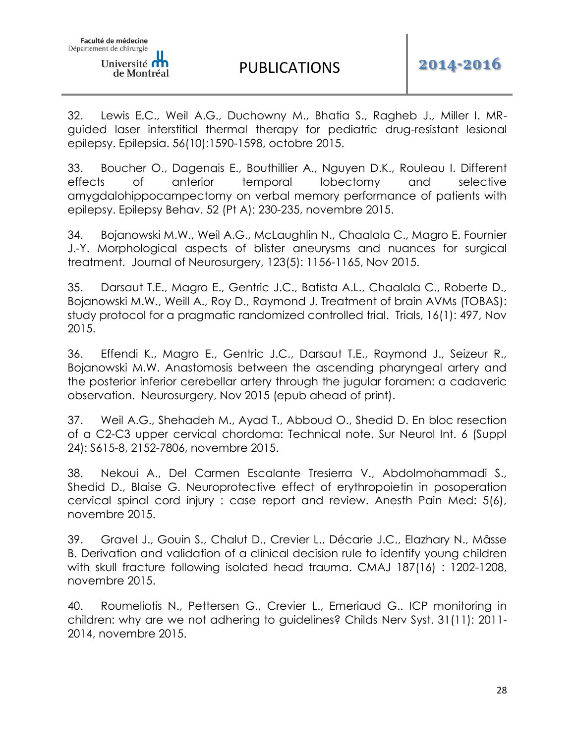32. Lewis E.C., Weil A.G., Duchowny M., Bhatia S., Ragheb J., Miller I. MRguided laser interstitial thermal therapy for pediatric drug-resistant lesional epilepsy. Epilepsia. 56(10):1590-1598, octobre 2015.

33. Boucher O., Dagenais E., Bouthillier A., Nguyen D.K., Rouleau I. Different effects of anterior temporal lobectomy and selective amygdalohippocampectomy on verbal memory performance of patients with epilepsy. Epilepsy Behav. 52 (Pt A): 230-235, novembre 2015.

34. Bojanowski M.W., Weil A.G., McLaughlin N., Chaalala C., Magro E. Fournier J.-Y. Morphological aspects of blister aneurysms and nuances for surgical treatment. Journal of Neurosurgery, 123(5): 1156-1165, Nov 2015.

35. Darsaut T.E., Magro E., Gentric J.C., Batista A.L., Chaalala C., Roberte D., Bojanowski M.W., Weill A., Roy D., Raymond J. Treatment of brain AVMs (TOBAS): study protocol for a pragmatic randomized controlled trial. Trials, 16(1): 497, Nov 2015.

36. Effendi K., Magro E., Gentric J.C., Darsaut T.E., Raymond J., Seizeur R., Bojanowski M.W. Anastomosis between the ascending pharyngeal artery and the posterior inferior cerebellar artery through the jugular foramen: a cadaveric observation. Neurosurgery, Nov 2015 (epub ahead of print).

37. Weil A.G., Shehadeh M., Ayad T., Abboud O., Shedid D. En bloc resection of a C2-C3 upper cervical chordoma: Technical note. Sur Neurol Int. 6 (Suppl 24): S615-8, 2152-7806, novembre 2015.

38. Nekoui A., Del Carmen Escalante Tresierra V., Abdolmohammadi S., Shedid D., Blaise G. Neuroprotective effect of erythropoietin in posoperation cervical spinal cord injury : case report and review. Anesth Pain Med: 5(6), novembre 2015.

39. Gravel J., Gouin S., Chalut D., Crevier L., Décarie J.C., Elazhary N., Mâsse B. Derivation and validation of a clinical decision rule to identify young children with skull fracture following isolated head trauma. CMAJ 187(16) : 1202-1208, novembre 2015.

40. Roumeliotis N., Pettersen G., Crevier L., Emeriaud G.. ICP monitoring in children: why are we not adhering to guidelines? Childs Nerv Syst. 31(11): 2011- 2014, novembre 2015.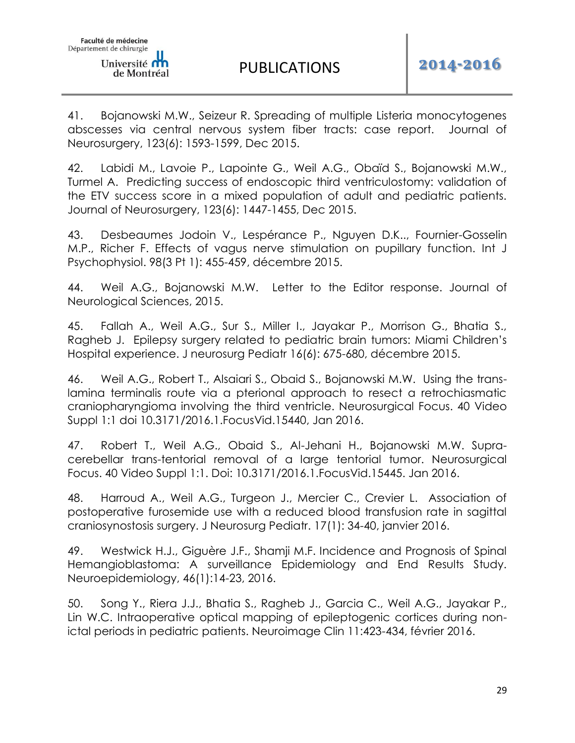41. Bojanowski M.W., Seizeur R. Spreading of multiple Listeria monocytogenes abscesses via central nervous system fiber tracts: case report. Journal of Neurosurgery, 123(6): 1593-1599, Dec 2015.

42. Labidi M., Lavoie P., Lapointe G., Weil A.G., Obaïd S., Bojanowski M.W., Turmel A. Predicting success of endoscopic third ventriculostomy: validation of the ETV success score in a mixed population of adult and pediatric patients. Journal of Neurosurgery, 123(6): 1447-1455, Dec 2015.

43. Desbeaumes Jodoin V., Lespérance P., Nguyen D.K.., Fournier-Gosselin M.P., Richer F. Effects of vagus nerve stimulation on pupillary function. Int J Psychophysiol. 98(3 Pt 1): 455-459, décembre 2015.

44. Weil A.G., Bojanowski M.W. Letter to the Editor response. Journal of Neurological Sciences, 2015.

45. Fallah A., Weil A.G., Sur S., Miller I., Jayakar P., Morrison G., Bhatia S., Ragheb J. Epilepsy surgery related to pediatric brain tumors: Miami Children's Hospital experience. J neurosurg Pediatr 16(6): 675-680, décembre 2015.

46. Weil A.G., Robert T., Alsaiari S., Obaid S., Bojanowski M.W. Using the translamina terminalis route via a pterional approach to resect a retrochiasmatic craniopharyngioma involving the third ventricle. Neurosurgical Focus. 40 Video Suppl 1:1 doi 10.3171/2016.1.FocusVid.15440, Jan 2016.

47. Robert T., Weil A.G., Obaid S., Al-Jehani H., Bojanowski M.W. Supracerebellar trans-tentorial removal of a large tentorial tumor. Neurosurgical Focus. 40 Video Suppl 1:1. Doi: 10.3171/2016.1.FocusVid.15445. Jan 2016.

48. Harroud A., Weil A.G., Turgeon J., Mercier C., Crevier L. Association of postoperative furosemide use with a reduced blood transfusion rate in sagittal craniosynostosis surgery. J Neurosurg Pediatr. 17(1): 34-40, janvier 2016.

49. Westwick H.J., Giguère J.F., Shamji M.F. Incidence and Prognosis of Spinal Hemangioblastoma: A surveillance Epidemiology and End Results Study. Neuroepidemiology, 46(1):14-23, 2016.

50. Song Y., Riera J.J., Bhatia S., Ragheb J., Garcia C., Weil A.G., Jayakar P., Lin W.C. Intraoperative optical mapping of epileptogenic cortices during nonictal periods in pediatric patients. Neuroimage Clin 11:423-434, février 2016.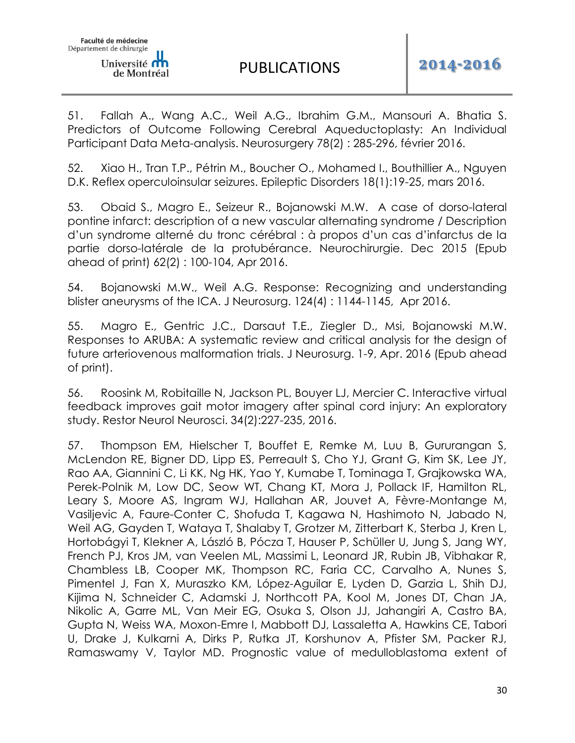51. Fallah A., Wang A.C., Weil A.G., Ibrahim G.M., Mansouri A. Bhatia S. Predictors of Outcome Following Cerebral Aqueductoplasty: An Individual Participant Data Meta-analysis. Neurosurgery 78(2) : 285-296, février 2016.

52. Xiao H., Tran T.P., Pétrin M., Boucher O., Mohamed I., Bouthillier A., Nguyen D.K. Reflex operculoinsular seizures. Epileptic Disorders 18(1):19-25, mars 2016.

53. Obaid S., Magro E., Seizeur R., Bojanowski M.W. A case of dorso-lateral pontine infarct: description of a new vascular alternating syndrome / Description d'un syndrome alterné du tronc cérébral : à propos d'un cas d'infarctus de la partie dorso-latérale de la protubérance. Neurochirurgie. Dec 2015 (Epub ahead of print) 62(2) : 100-104, Apr 2016.

54. Bojanowski M.W., Weil A.G. Response: Recognizing and understanding blister aneurysms of the ICA. J Neurosurg. 124(4) : 1144-1145, Apr 2016.

55. Magro E., Gentric J.C., Darsaut T.E., Ziegler D., Msi, Bojanowski M.W. Responses to ARUBA: A systematic review and critical analysis for the design of future arteriovenous malformation trials. J Neurosurg. 1-9, Apr. 2016 (Epub ahead of print).

56. Roosink M, Robitaille N, Jackson PL, Bouyer LJ, Mercier C. Interactive virtual feedback improves gait motor imagery after spinal cord injury: An exploratory study. Restor Neurol Neurosci. 34(2):227-235, 2016.

57. Thompson EM, Hielscher T, Bouffet E, Remke M, Luu B, Gururangan S, McLendon RE, Bigner DD, Lipp ES, Perreault S, Cho YJ, Grant G, Kim SK, Lee JY, Rao AA, Giannini C, Li KK, Ng HK, Yao Y, Kumabe T, Tominaga T, Grajkowska WA, Perek-Polnik M, Low DC, Seow WT, Chang KT, Mora J, Pollack IF, Hamilton RL, Leary S, Moore AS, Ingram WJ, Hallahan AR, Jouvet A, Fèvre-Montange M, Vasiljevic A, Faure-Conter C, Shofuda T, Kagawa N, Hashimoto N, Jabado N, Weil AG, Gayden T, Wataya T, Shalaby T, Grotzer M, Zitterbart K, Sterba J, Kren L, Hortobágyi T, Klekner A, László B, Pócza T, Hauser P, Schüller U, Jung S, Jang WY, French PJ, Kros JM, van Veelen ML, Massimi L, Leonard JR, Rubin JB, Vibhakar R, Chambless LB, Cooper MK, Thompson RC, Faria CC, Carvalho A, Nunes S, Pimentel J, Fan X, Muraszko KM, López-Aguilar E, Lyden D, Garzia L, Shih DJ, Kijima N, Schneider C, Adamski J, Northcott PA, Kool M, Jones DT, Chan JA, Nikolic A, Garre ML, Van Meir EG, Osuka S, Olson JJ, Jahangiri A, Castro BA, Gupta N, Weiss WA, Moxon-Emre I, Mabbott DJ, Lassaletta A, Hawkins CE, Tabori U, Drake J, Kulkarni A, Dirks P, Rutka JT, Korshunov A, Pfister SM, Packer RJ, Ramaswamy V, Taylor MD. Prognostic value of medulloblastoma extent of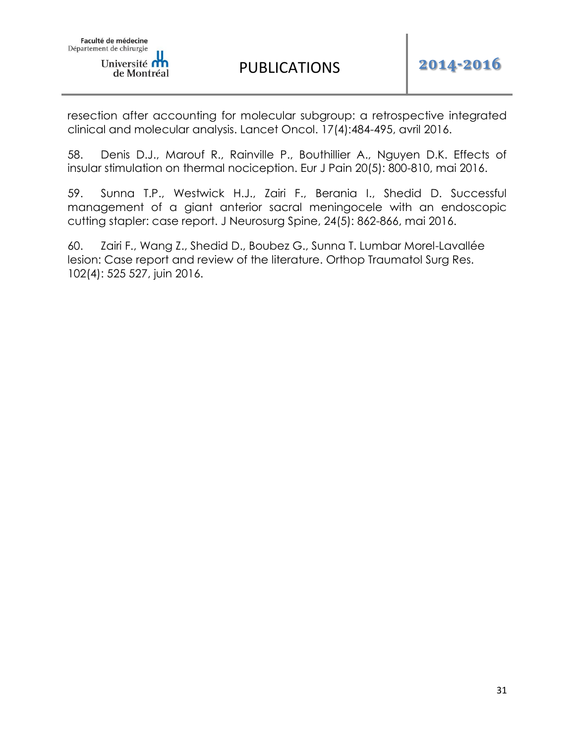PUBLICATIONS **2014-2016**

resection after accounting for molecular subgroup: a retrospective integrated clinical and molecular analysis. Lancet Oncol. 17(4):484-495, avril 2016.

58. Denis D.J., Marouf R., Rainville P., Bouthillier A., Nguyen D.K. Effects of insular stimulation on thermal nociception. Eur J Pain 20(5): 800-810, mai 2016.

59. Sunna T.P., Westwick H.J., Zairi F., Berania I., Shedid D. Successful management of a giant anterior sacral meningocele with an endoscopic cutting stapler: case report. J Neurosurg Spine, 24(5): 862-866, mai 2016.

60. Zairi F., Wang Z., Shedid D., Boubez G., Sunna T. Lumbar Morel-Lavallée lesion: Case report and review of the literature. Orthop Traumatol Surg Res. 102(4): 525 527, juin 2016.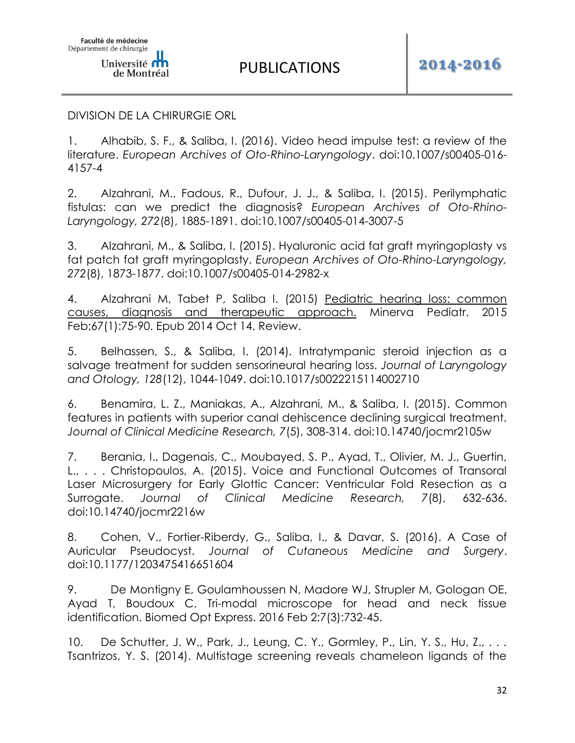#### DIVISION DE LA CHIRURGIE ORL

1. Alhabib, S. F., & Saliba, I. (2016). Video head impulse test: a review of the literature. *European Archives of Oto-Rhino-Laryngology*. doi:10.1007/s00405-016- 4157-4

2. Alzahrani, M., Fadous, R., Dufour, J. J., & Saliba, I. (2015). Perilymphatic fistulas: can we predict the diagnosis? *European Archives of Oto-Rhino-Laryngology, 272*(8), 1885-1891. doi:10.1007/s00405-014-3007-5

3. Alzahrani, M., & Saliba, I. (2015). Hyaluronic acid fat graft myringoplasty vs fat patch fat graft myringoplasty. *European Archives of Oto-Rhino-Laryngology, 272*(8), 1873-1877. doi:10.1007/s00405-014-2982-x

4. Alzahrani M, Tabet P, Saliba I. (2015) Pediatric hearing loss: common [causes, diagnosis and therapeutic approach.](https://www.ncbi.nlm.nih.gov/pubmed/25312238) Minerva Pediatr. 2015 Feb;67(1):75-90. Epub 2014 Oct 14. Review.

5. Belhassen, S., & Saliba, I. (2014). Intratympanic steroid injection as a salvage treatment for sudden sensorineural hearing loss. *Journal of Laryngology and Otology, 128*(12), 1044-1049. doi:10.1017/s0022215114002710

6. Benamira, L. Z., Maniakas, A., Alzahrani, M., & Saliba, I. (2015). Common features in patients with superior canal dehiscence declining surgical treatment. *Journal of Clinical Medicine Research, 7*(5), 308-314. doi:10.14740/jocmr2105w

7. Berania, I., Dagenais, C., Moubayed, S. P., Ayad, T., Olivier, M. J., Guertin, L., . . . Christopoulos, A. (2015). Voice and Functional Outcomes of Transoral Laser Microsurgery for Early Glottic Cancer: Ventricular Fold Resection as a Surrogate. *Journal of Clinical Medicine Research, 7*(8), 632-636. doi:10.14740/jocmr2216w

8. Cohen, V., Fortier-Riberdy, G., Saliba, I., & Davar, S. (2016). A Case of Auricular Pseudocyst. *Journal of Cutaneous Medicine and Surgery*. doi:10.1177/1203475416651604

9. De Montigny E, Goulamhoussen N, Madore WJ, Strupler M, Gologan OE, Ayad T, Boudoux C. Tri-modal microscope for head and neck tissue identification. Biomed Opt Express. 2016 Feb 2;7(3):732-45.

10. De Schutter, J. W., Park, J., Leung, C. Y., Gormley, P., Lin, Y. S., Hu, Z., . . . Tsantrizos, Y. S. (2014). Multistage screening reveals chameleon ligands of the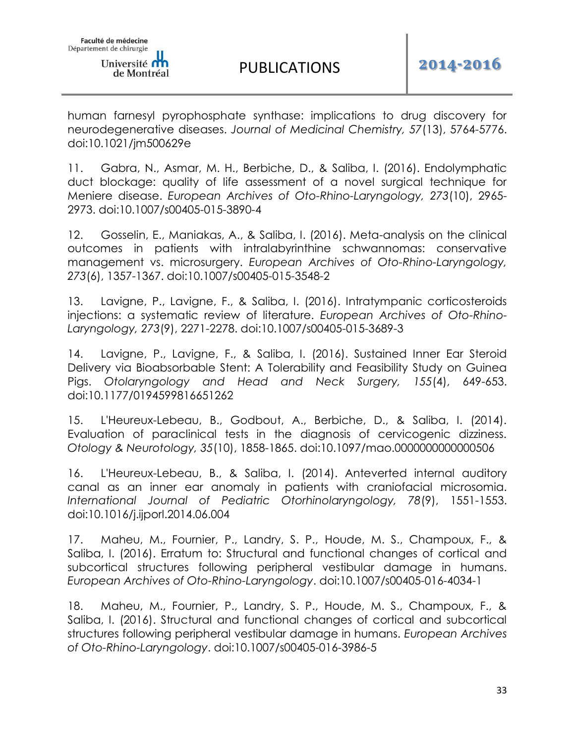human farnesyl pyrophosphate synthase: implications to drug discovery for neurodegenerative diseases. *Journal of Medicinal Chemistry, 57*(13), 5764-5776. doi:10.1021/jm500629e

11. Gabra, N., Asmar, M. H., Berbiche, D., & Saliba, I. (2016). Endolymphatic duct blockage: quality of life assessment of a novel surgical technique for Meniere disease. *European Archives of Oto-Rhino-Laryngology, 273*(10), 2965- 2973. doi:10.1007/s00405-015-3890-4

12. Gosselin, E., Maniakas, A., & Saliba, I. (2016). Meta-analysis on the clinical outcomes in patients with intralabyrinthine schwannomas: conservative management vs. microsurgery. *European Archives of Oto-Rhino-Laryngology, 273*(6), 1357-1367. doi:10.1007/s00405-015-3548-2

13. Lavigne, P., Lavigne, F., & Saliba, I. (2016). Intratympanic corticosteroids injections: a systematic review of literature. *European Archives of Oto-Rhino-Laryngology, 273*(9), 2271-2278. doi:10.1007/s00405-015-3689-3

14. Lavigne, P., Lavigne, F., & Saliba, I. (2016). Sustained Inner Ear Steroid Delivery via Bioabsorbable Stent: A Tolerability and Feasibility Study on Guinea Pigs. *Otolaryngology and Head and Neck Surgery, 155*(4), 649-653. doi:10.1177/0194599816651262

15. L'Heureux-Lebeau, B., Godbout, A., Berbiche, D., & Saliba, I. (2014). Evaluation of paraclinical tests in the diagnosis of cervicogenic dizziness. *Otology & Neurotology, 35*(10), 1858-1865. doi:10.1097/mao.0000000000000506

16. L'Heureux-Lebeau, B., & Saliba, I. (2014). Anteverted internal auditory canal as an inner ear anomaly in patients with craniofacial microsomia. *International Journal of Pediatric Otorhinolaryngology, 78*(9), 1551-1553. doi:10.1016/j.ijporl.2014.06.004

17. Maheu, M., Fournier, P., Landry, S. P., Houde, M. S., Champoux, F., & Saliba, I. (2016). Erratum to: Structural and functional changes of cortical and subcortical structures following peripheral vestibular damage in humans. *European Archives of Oto-Rhino-Laryngology*. doi:10.1007/s00405-016-4034-1

18. Maheu, M., Fournier, P., Landry, S. P., Houde, M. S., Champoux, F., & Saliba, I. (2016). Structural and functional changes of cortical and subcortical structures following peripheral vestibular damage in humans. *European Archives of Oto-Rhino-Laryngology*. doi:10.1007/s00405-016-3986-5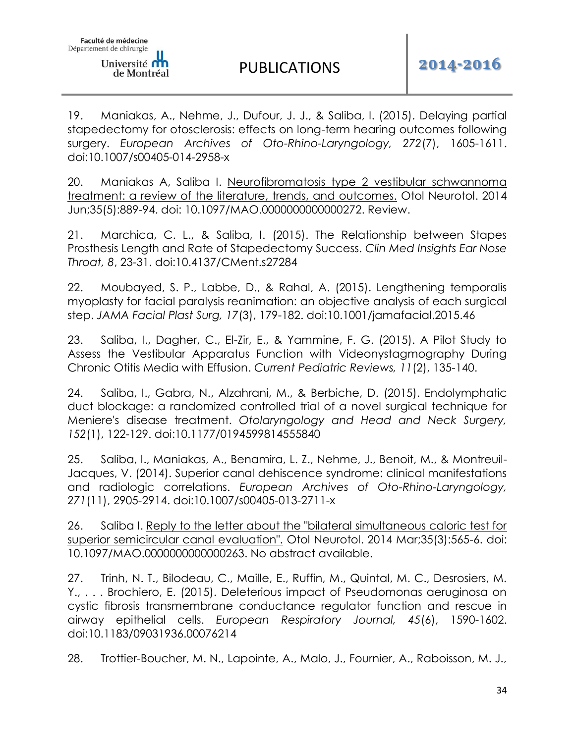19. Maniakas, A., Nehme, J., Dufour, J. J., & Saliba, I. (2015). Delaying partial stapedectomy for otosclerosis: effects on long-term hearing outcomes following surgery. *European Archives of Oto-Rhino-Laryngology, 272*(7), 1605-1611. doi:10.1007/s00405-014-2958-x

20. Maniakas A, Saliba I. [Neurofibromatosis type 2 vestibular schwannoma](https://www.ncbi.nlm.nih.gov/pubmed/24675066)  [treatment: a review of the literature, trends, and outcomes.](https://www.ncbi.nlm.nih.gov/pubmed/24675066) Otol Neurotol. 2014 Jun;35(5):889-94. doi: 10.1097/MAO.0000000000000272. Review.

21. Marchica, C. L., & Saliba, I. (2015). The Relationship between Stapes Prosthesis Length and Rate of Stapedectomy Success. *Clin Med Insights Ear Nose Throat, 8*, 23-31. doi:10.4137/CMent.s27284

22. Moubayed, S. P., Labbe, D., & Rahal, A. (2015). Lengthening temporalis myoplasty for facial paralysis reanimation: an objective analysis of each surgical step. *JAMA Facial Plast Surg, 17*(3), 179-182. doi:10.1001/jamafacial.2015.46

23. Saliba, I., Dagher, C., El-Zir, E., & Yammine, F. G. (2015). A Pilot Study to Assess the Vestibular Apparatus Function with Videonystagmography During Chronic Otitis Media with Effusion. *Current Pediatric Reviews, 11*(2), 135-140.

24. Saliba, I., Gabra, N., Alzahrani, M., & Berbiche, D. (2015). Endolymphatic duct blockage: a randomized controlled trial of a novel surgical technique for Meniere's disease treatment. *Otolaryngology and Head and Neck Surgery, 152*(1), 122-129. doi:10.1177/0194599814555840

25. Saliba, I., Maniakas, A., Benamira, L. Z., Nehme, J., Benoit, M., & Montreuil-Jacques, V. (2014). Superior canal dehiscence syndrome: clinical manifestations and radiologic correlations. *European Archives of Oto-Rhino-Laryngology, 271*(11), 2905-2914. doi:10.1007/s00405-013-2711-x

26. Saliba I. [Reply to the letter about the "bilateral simultaneous caloric test for](https://www.ncbi.nlm.nih.gov/pubmed/24492138)  [superior semicircular canal evaluation".](https://www.ncbi.nlm.nih.gov/pubmed/24492138) Otol Neurotol. 2014 Mar;35(3):565-6. doi: 10.1097/MAO.0000000000000263. No abstract available.

27. Trinh, N. T., Bilodeau, C., Maille, E., Ruffin, M., Quintal, M. C., Desrosiers, M. Y., . . . Brochiero, E. (2015). Deleterious impact of Pseudomonas aeruginosa on cystic fibrosis transmembrane conductance regulator function and rescue in airway epithelial cells. *European Respiratory Journal, 45*(6), 1590-1602. doi:10.1183/09031936.00076214

28. Trottier-Boucher, M. N., Lapointe, A., Malo, J., Fournier, A., Raboisson, M. J.,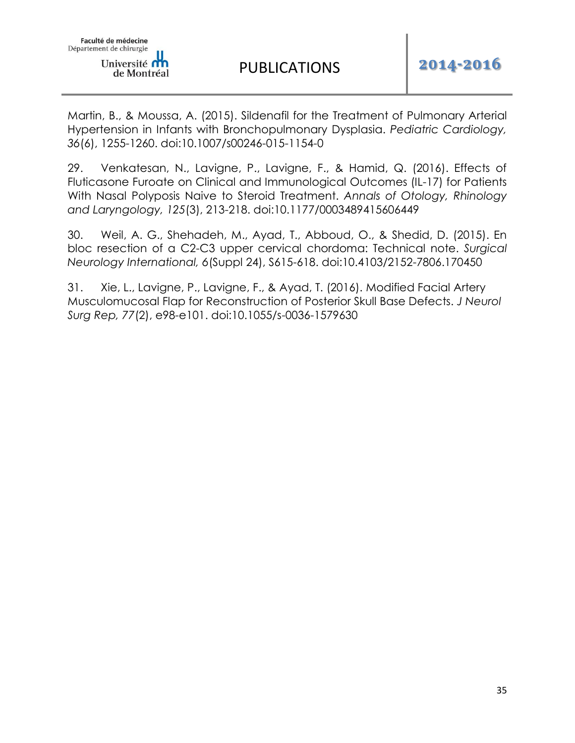

PUBLICATIONS **2014-2016**

Martin, B., & Moussa, A. (2015). Sildenafil for the Treatment of Pulmonary Arterial Hypertension in Infants with Bronchopulmonary Dysplasia. *Pediatric Cardiology, 36*(6), 1255-1260. doi:10.1007/s00246-015-1154-0

29. Venkatesan, N., Lavigne, P., Lavigne, F., & Hamid, Q. (2016). Effects of Fluticasone Furoate on Clinical and Immunological Outcomes (IL-17) for Patients With Nasal Polyposis Naive to Steroid Treatment. *Annals of Otology, Rhinology and Laryngology, 125*(3), 213-218. doi:10.1177/0003489415606449

30. Weil, A. G., Shehadeh, M., Ayad, T., Abboud, O., & Shedid, D. (2015). En bloc resection of a C2-C3 upper cervical chordoma: Technical note. *Surgical Neurology International, 6*(Suppl 24), S615-618. doi:10.4103/2152-7806.170450

31. Xie, L., Lavigne, P., Lavigne, F., & Ayad, T. (2016). Modified Facial Artery Musculomucosal Flap for Reconstruction of Posterior Skull Base Defects. *J Neurol Surg Rep, 77*(2), e98-e101. doi:10.1055/s-0036-1579630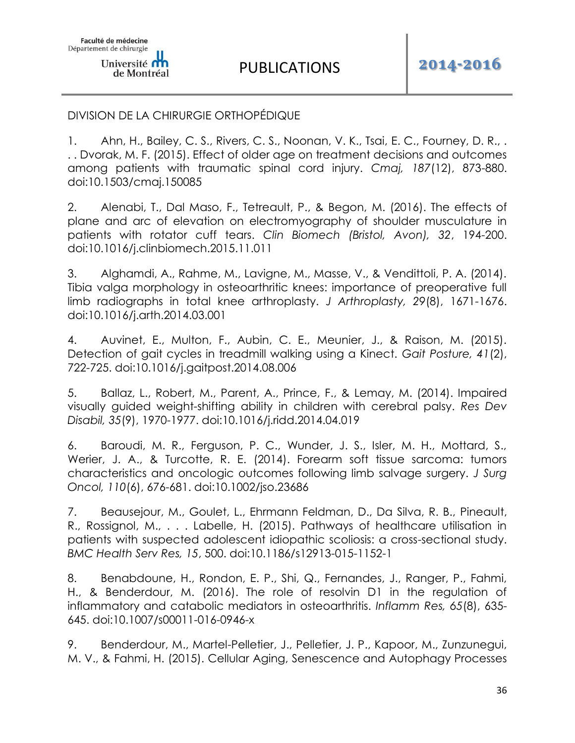## DIVISION DE LA CHIRURGIE ORTHOPÉDIQUE

1. Ahn, H., Bailey, C. S., Rivers, C. S., Noonan, V. K., Tsai, E. C., Fourney, D. R., . . . Dvorak, M. F. (2015). Effect of older age on treatment decisions and outcomes among patients with traumatic spinal cord injury. *Cmaj, 187*(12), 873-880. doi:10.1503/cmaj.150085

2. Alenabi, T., Dal Maso, F., Tetreault, P., & Begon, M. (2016). The effects of plane and arc of elevation on electromyography of shoulder musculature in patients with rotator cuff tears. *Clin Biomech (Bristol, Avon), 32*, 194-200. doi:10.1016/j.clinbiomech.2015.11.011

3. Alghamdi, A., Rahme, M., Lavigne, M., Masse, V., & Vendittoli, P. A. (2014). Tibia valga morphology in osteoarthritic knees: importance of preoperative full limb radiographs in total knee arthroplasty. *J Arthroplasty, 29*(8), 1671-1676. doi:10.1016/j.arth.2014.03.001

4. Auvinet, E., Multon, F., Aubin, C. E., Meunier, J., & Raison, M. (2015). Detection of gait cycles in treadmill walking using a Kinect. *Gait Posture, 41*(2), 722-725. doi:10.1016/j.gaitpost.2014.08.006

5. Ballaz, L., Robert, M., Parent, A., Prince, F., & Lemay, M. (2014). Impaired visually guided weight-shifting ability in children with cerebral palsy. *Res Dev Disabil, 35*(9), 1970-1977. doi:10.1016/j.ridd.2014.04.019

6. Baroudi, M. R., Ferguson, P. C., Wunder, J. S., Isler, M. H., Mottard, S., Werier, J. A., & Turcotte, R. E. (2014). Forearm soft tissue sarcoma: tumors characteristics and oncologic outcomes following limb salvage surgery. *J Surg Oncol, 110*(6), 676-681. doi:10.1002/jso.23686

7. Beausejour, M., Goulet, L., Ehrmann Feldman, D., Da Silva, R. B., Pineault, R., Rossignol, M., . . . Labelle, H. (2015). Pathways of healthcare utilisation in patients with suspected adolescent idiopathic scoliosis: a cross-sectional study. *BMC Health Serv Res, 15*, 500. doi:10.1186/s12913-015-1152-1

8. Benabdoune, H., Rondon, E. P., Shi, Q., Fernandes, J., Ranger, P., Fahmi, H., & Benderdour, M. (2016). The role of resolvin D1 in the regulation of inflammatory and catabolic mediators in osteoarthritis. *Inflamm Res, 65*(8), 635- 645. doi:10.1007/s00011-016-0946-x

9. Benderdour, M., Martel-Pelletier, J., Pelletier, J. P., Kapoor, M., Zunzunegui, M. V., & Fahmi, H. (2015). Cellular Aging, Senescence and Autophagy Processes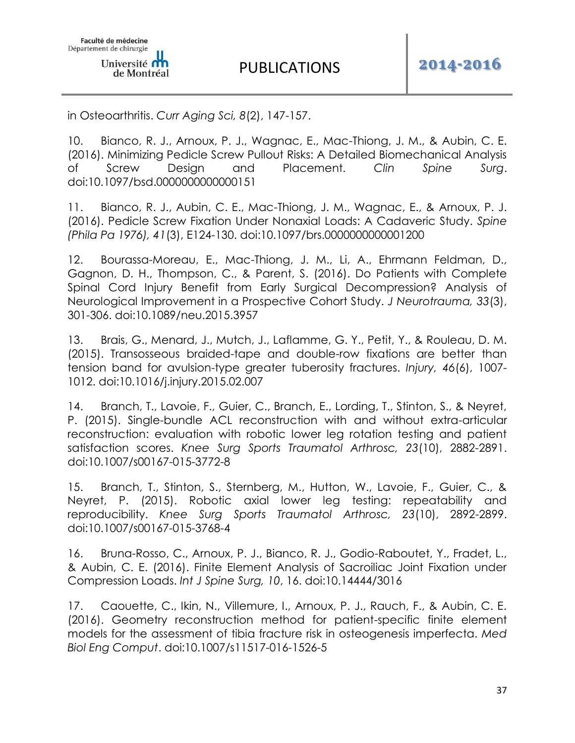in Osteoarthritis. *Curr Aging Sci, 8*(2), 147-157.

10. Bianco, R. J., Arnoux, P. J., Wagnac, E., Mac-Thiong, J. M., & Aubin, C. E. (2016). Minimizing Pedicle Screw Pullout Risks: A Detailed Biomechanical Analysis of Screw Design and Placement. *Clin Spine Surg*. doi:10.1097/bsd.0000000000000151

11. Bianco, R. J., Aubin, C. E., Mac-Thiong, J. M., Wagnac, E., & Arnoux, P. J. (2016). Pedicle Screw Fixation Under Nonaxial Loads: A Cadaveric Study. *Spine (Phila Pa 1976), 41*(3), E124-130. doi:10.1097/brs.0000000000001200

12. Bourassa-Moreau, E., Mac-Thiong, J. M., Li, A., Ehrmann Feldman, D., Gagnon, D. H., Thompson, C., & Parent, S. (2016). Do Patients with Complete Spinal Cord Injury Benefit from Early Surgical Decompression? Analysis of Neurological Improvement in a Prospective Cohort Study. *J Neurotrauma, 33*(3), 301-306. doi:10.1089/neu.2015.3957

13. Brais, G., Menard, J., Mutch, J., Laflamme, G. Y., Petit, Y., & Rouleau, D. M. (2015). Transosseous braided-tape and double-row fixations are better than tension band for avulsion-type greater tuberosity fractures. *Injury, 46*(6), 1007- 1012. doi:10.1016/j.injury.2015.02.007

14. Branch, T., Lavoie, F., Guier, C., Branch, E., Lording, T., Stinton, S., & Neyret, P. (2015). Single-bundle ACL reconstruction with and without extra-articular reconstruction: evaluation with robotic lower leg rotation testing and patient satisfaction scores. *Knee Surg Sports Traumatol Arthrosc, 23*(10), 2882-2891. doi:10.1007/s00167-015-3772-8

15. Branch, T., Stinton, S., Sternberg, M., Hutton, W., Lavoie, F., Guier, C., & Neyret, P. (2015). Robotic axial lower leg testing: repeatability and reproducibility. *Knee Surg Sports Traumatol Arthrosc, 23*(10), 2892-2899. doi:10.1007/s00167-015-3768-4

16. Bruna-Rosso, C., Arnoux, P. J., Bianco, R. J., Godio-Raboutet, Y., Fradet, L., & Aubin, C. E. (2016). Finite Element Analysis of Sacroiliac Joint Fixation under Compression Loads. *Int J Spine Surg, 10*, 16. doi:10.14444/3016

17. Caouette, C., Ikin, N., Villemure, I., Arnoux, P. J., Rauch, F., & Aubin, C. E. (2016). Geometry reconstruction method for patient-specific finite element models for the assessment of tibia fracture risk in osteogenesis imperfecta. *Med Biol Eng Comput*. doi:10.1007/s11517-016-1526-5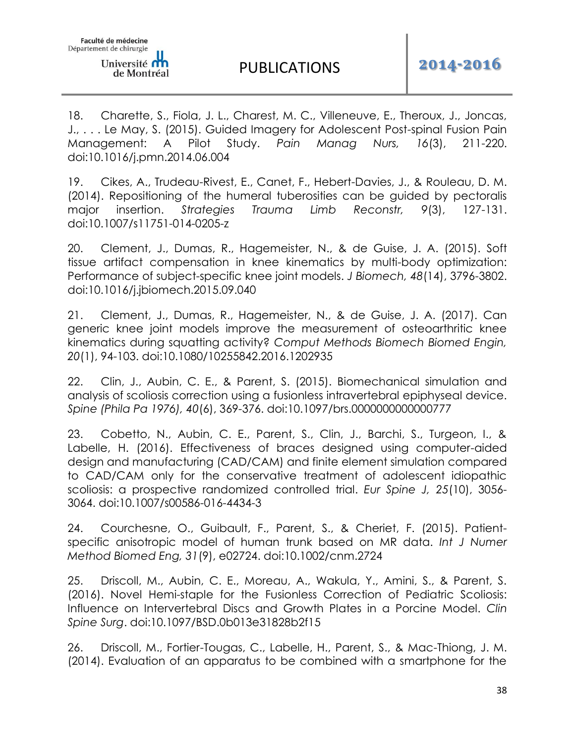18. Charette, S., Fiola, J. L., Charest, M. C., Villeneuve, E., Theroux, J., Joncas, J., . . . Le May, S. (2015). Guided Imagery for Adolescent Post-spinal Fusion Pain Management: A Pilot Study. *Pain Manag Nurs, 16*(3), 211-220. doi:10.1016/j.pmn.2014.06.004

19. Cikes, A., Trudeau-Rivest, E., Canet, F., Hebert-Davies, J., & Rouleau, D. M. (2014). Repositioning of the humeral tuberosities can be guided by pectoralis major insertion. *Strategies Trauma Limb Reconstr, 9*(3), 127-131. doi:10.1007/s11751-014-0205-z

20. Clement, J., Dumas, R., Hagemeister, N., & de Guise, J. A. (2015). Soft tissue artifact compensation in knee kinematics by multi-body optimization: Performance of subject-specific knee joint models. *J Biomech, 48*(14), 3796-3802. doi:10.1016/j.jbiomech.2015.09.040

21. Clement, J., Dumas, R., Hagemeister, N., & de Guise, J. A. (2017). Can generic knee joint models improve the measurement of osteoarthritic knee kinematics during squatting activity? *Comput Methods Biomech Biomed Engin, 20*(1), 94-103. doi:10.1080/10255842.2016.1202935

22. Clin, J., Aubin, C. E., & Parent, S. (2015). Biomechanical simulation and analysis of scoliosis correction using a fusionless intravertebral epiphyseal device. *Spine (Phila Pa 1976), 40*(6), 369-376. doi:10.1097/brs.0000000000000777

23. Cobetto, N., Aubin, C. E., Parent, S., Clin, J., Barchi, S., Turgeon, I., & Labelle, H. (2016). Effectiveness of braces designed using computer-aided design and manufacturing (CAD/CAM) and finite element simulation compared to CAD/CAM only for the conservative treatment of adolescent idiopathic scoliosis: a prospective randomized controlled trial. *Eur Spine J, 25*(10), 3056- 3064. doi:10.1007/s00586-016-4434-3

24. Courchesne, O., Guibault, F., Parent, S., & Cheriet, F. (2015). Patientspecific anisotropic model of human trunk based on MR data. *Int J Numer Method Biomed Eng, 31*(9), e02724. doi:10.1002/cnm.2724

25. Driscoll, M., Aubin, C. E., Moreau, A., Wakula, Y., Amini, S., & Parent, S. (2016). Novel Hemi-staple for the Fusionless Correction of Pediatric Scoliosis: Influence on Intervertebral Discs and Growth Plates in a Porcine Model. *Clin Spine Surg*. doi:10.1097/BSD.0b013e31828b2f15

26. Driscoll, M., Fortier-Tougas, C., Labelle, H., Parent, S., & Mac-Thiong, J. M. (2014). Evaluation of an apparatus to be combined with a smartphone for the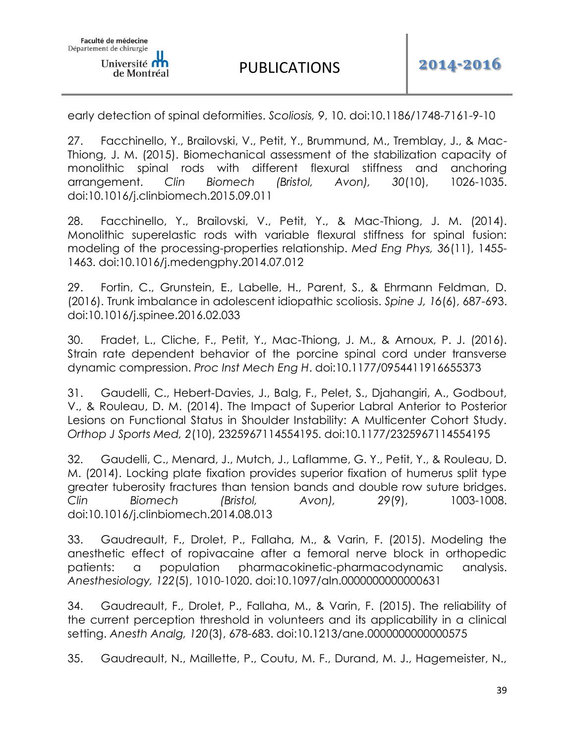early detection of spinal deformities. *Scoliosis, 9*, 10. doi:10.1186/1748-7161-9-10

27. Facchinello, Y., Brailovski, V., Petit, Y., Brummund, M., Tremblay, J., & Mac-Thiong, J. M. (2015). Biomechanical assessment of the stabilization capacity of monolithic spinal rods with different flexural stiffness and anchoring arrangement. *Clin Biomech (Bristol, Avon), 30*(10), 1026-1035. doi:10.1016/j.clinbiomech.2015.09.011

28. Facchinello, Y., Brailovski, V., Petit, Y., & Mac-Thiong, J. M. (2014). Monolithic superelastic rods with variable flexural stiffness for spinal fusion: modeling of the processing-properties relationship. *Med Eng Phys, 36*(11), 1455- 1463. doi:10.1016/j.medengphy.2014.07.012

29. Fortin, C., Grunstein, E., Labelle, H., Parent, S., & Ehrmann Feldman, D. (2016). Trunk imbalance in adolescent idiopathic scoliosis. *Spine J, 16*(6), 687-693. doi:10.1016/j.spinee.2016.02.033

30. Fradet, L., Cliche, F., Petit, Y., Mac-Thiong, J. M., & Arnoux, P. J. (2016). Strain rate dependent behavior of the porcine spinal cord under transverse dynamic compression. *Proc Inst Mech Eng H*. doi:10.1177/0954411916655373

31. Gaudelli, C., Hebert-Davies, J., Balg, F., Pelet, S., Djahangiri, A., Godbout, V., & Rouleau, D. M. (2014). The Impact of Superior Labral Anterior to Posterior Lesions on Functional Status in Shoulder Instability: A Multicenter Cohort Study. *Orthop J Sports Med, 2*(10), 2325967114554195. doi:10.1177/2325967114554195

32. Gaudelli, C., Menard, J., Mutch, J., Laflamme, G. Y., Petit, Y., & Rouleau, D. M. (2014). Locking plate fixation provides superior fixation of humerus split type greater tuberosity fractures than tension bands and double row suture bridges. *Clin Biomech (Bristol, Avon), 29*(9), 1003-1008. doi:10.1016/j.clinbiomech.2014.08.013

33. Gaudreault, F., Drolet, P., Fallaha, M., & Varin, F. (2015). Modeling the anesthetic effect of ropivacaine after a femoral nerve block in orthopedic patients: a population pharmacokinetic-pharmacodynamic analysis. *Anesthesiology, 122*(5), 1010-1020. doi:10.1097/aln.0000000000000631

34. Gaudreault, F., Drolet, P., Fallaha, M., & Varin, F. (2015). The reliability of the current perception threshold in volunteers and its applicability in a clinical setting. *Anesth Analg, 120*(3), 678-683. doi:10.1213/ane.0000000000000575

35. Gaudreault, N., Maillette, P., Coutu, M. F., Durand, M. J., Hagemeister, N.,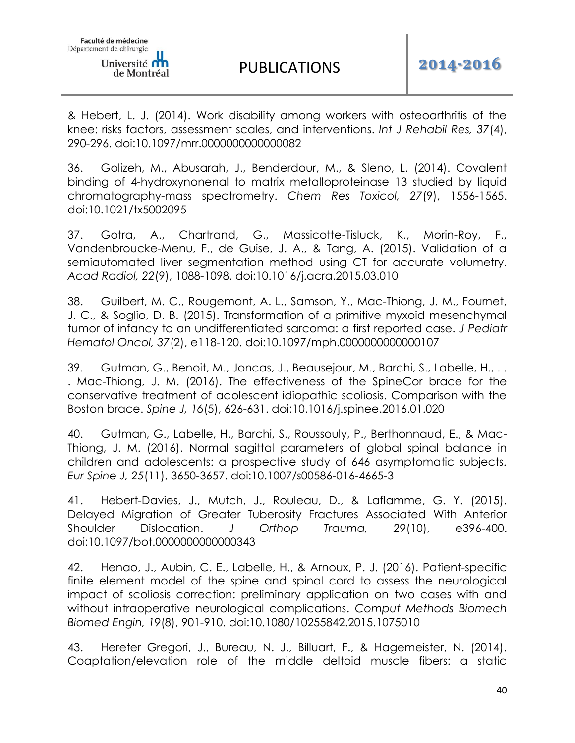& Hebert, L. J. (2014). Work disability among workers with osteoarthritis of the knee: risks factors, assessment scales, and interventions. *Int J Rehabil Res, 37*(4), 290-296. doi:10.1097/mrr.0000000000000082

36. Golizeh, M., Abusarah, J., Benderdour, M., & Sleno, L. (2014). Covalent binding of 4-hydroxynonenal to matrix metalloproteinase 13 studied by liquid chromatography-mass spectrometry. *Chem Res Toxicol, 27*(9), 1556-1565. doi:10.1021/tx5002095

37. Gotra, A., Chartrand, G., Massicotte-Tisluck, K., Morin-Roy, F., Vandenbroucke-Menu, F., de Guise, J. A., & Tang, A. (2015). Validation of a semiautomated liver segmentation method using CT for accurate volumetry. *Acad Radiol, 22*(9), 1088-1098. doi:10.1016/j.acra.2015.03.010

38. Guilbert, M. C., Rougemont, A. L., Samson, Y., Mac-Thiong, J. M., Fournet, J. C., & Soglio, D. B. (2015). Transformation of a primitive myxoid mesenchymal tumor of infancy to an undifferentiated sarcoma: a first reported case. *J Pediatr Hematol Oncol, 37*(2), e118-120. doi:10.1097/mph.0000000000000107

39. Gutman, G., Benoit, M., Joncas, J., Beausejour, M., Barchi, S., Labelle, H., . . . Mac-Thiong, J. M. (2016). The effectiveness of the SpineCor brace for the conservative treatment of adolescent idiopathic scoliosis. Comparison with the Boston brace. *Spine J, 16*(5), 626-631. doi:10.1016/j.spinee.2016.01.020

40. Gutman, G., Labelle, H., Barchi, S., Roussouly, P., Berthonnaud, E., & Mac-Thiong, J. M. (2016). Normal sagittal parameters of global spinal balance in children and adolescents: a prospective study of 646 asymptomatic subjects. *Eur Spine J, 25*(11), 3650-3657. doi:10.1007/s00586-016-4665-3

41. Hebert-Davies, J., Mutch, J., Rouleau, D., & Laflamme, G. Y. (2015). Delayed Migration of Greater Tuberosity Fractures Associated With Anterior Shoulder Dislocation. *J Orthop Trauma, 29*(10), e396-400. doi:10.1097/bot.0000000000000343

42. Henao, J., Aubin, C. E., Labelle, H., & Arnoux, P. J. (2016). Patient-specific finite element model of the spine and spinal cord to assess the neurological impact of scoliosis correction: preliminary application on two cases with and without intraoperative neurological complications. *Comput Methods Biomech Biomed Engin, 19*(8), 901-910. doi:10.1080/10255842.2015.1075010

43. Hereter Gregori, J., Bureau, N. J., Billuart, F., & Hagemeister, N. (2014). Coaptation/elevation role of the middle deltoid muscle fibers: a static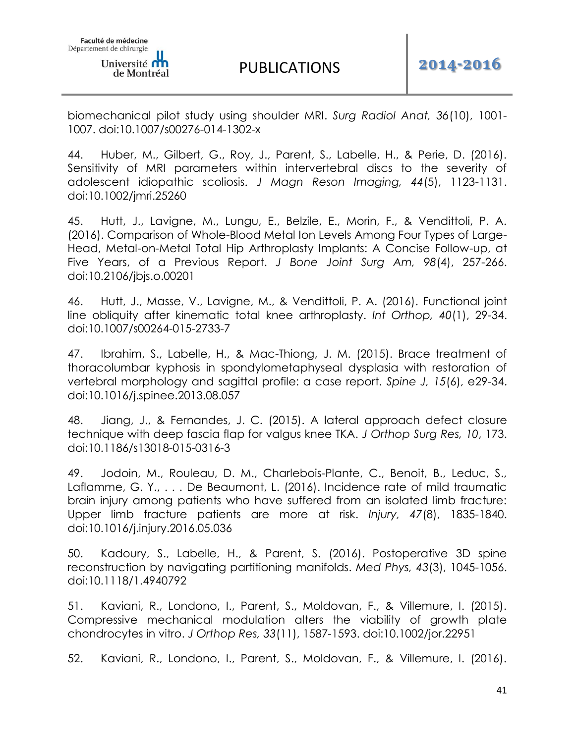biomechanical pilot study using shoulder MRI. *Surg Radiol Anat, 36*(10), 1001- 1007. doi:10.1007/s00276-014-1302-x

44. Huber, M., Gilbert, G., Roy, J., Parent, S., Labelle, H., & Perie, D. (2016). Sensitivity of MRI parameters within intervertebral discs to the severity of adolescent idiopathic scoliosis. *J Magn Reson Imaging, 44*(5), 1123-1131. doi:10.1002/jmri.25260

45. Hutt, J., Lavigne, M., Lungu, E., Belzile, E., Morin, F., & Vendittoli, P. A. (2016). Comparison of Whole-Blood Metal Ion Levels Among Four Types of Large-Head, Metal-on-Metal Total Hip Arthroplasty Implants: A Concise Follow-up, at Five Years, of a Previous Report. *J Bone Joint Surg Am, 98*(4), 257-266. doi:10.2106/jbjs.o.00201

46. Hutt, J., Masse, V., Lavigne, M., & Vendittoli, P. A. (2016). Functional joint line obliquity after kinematic total knee arthroplasty. *Int Orthop, 40*(1), 29-34. doi:10.1007/s00264-015-2733-7

47. Ibrahim, S., Labelle, H., & Mac-Thiong, J. M. (2015). Brace treatment of thoracolumbar kyphosis in spondylometaphyseal dysplasia with restoration of vertebral morphology and sagittal profile: a case report. *Spine J, 15*(6), e29-34. doi:10.1016/j.spinee.2013.08.057

48. Jiang, J., & Fernandes, J. C. (2015). A lateral approach defect closure technique with deep fascia flap for valgus knee TKA. *J Orthop Surg Res, 10*, 173. doi:10.1186/s13018-015-0316-3

49. Jodoin, M., Rouleau, D. M., Charlebois-Plante, C., Benoit, B., Leduc, S., Laflamme, G. Y., ... De Beaumont, L. (2016). Incidence rate of mild traumatic brain injury among patients who have suffered from an isolated limb fracture: Upper limb fracture patients are more at risk. *Injury, 47*(8), 1835-1840. doi:10.1016/j.injury.2016.05.036

50. Kadoury, S., Labelle, H., & Parent, S. (2016). Postoperative 3D spine reconstruction by navigating partitioning manifolds. *Med Phys, 43*(3), 1045-1056. doi:10.1118/1.4940792

51. Kaviani, R., Londono, I., Parent, S., Moldovan, F., & Villemure, I. (2015). Compressive mechanical modulation alters the viability of growth plate chondrocytes in vitro. *J Orthop Res, 33*(11), 1587-1593. doi:10.1002/jor.22951

52. Kaviani, R., Londono, I., Parent, S., Moldovan, F., & Villemure, I. (2016).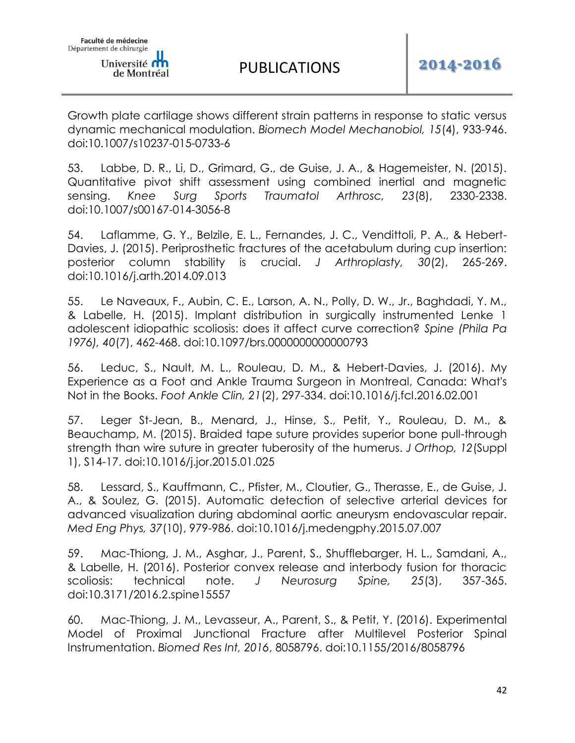Growth plate cartilage shows different strain patterns in response to static versus dynamic mechanical modulation. *Biomech Model Mechanobiol, 15*(4), 933-946. doi:10.1007/s10237-015-0733-6

53. Labbe, D. R., Li, D., Grimard, G., de Guise, J. A., & Hagemeister, N. (2015). Quantitative pivot shift assessment using combined inertial and magnetic sensing. *Knee Surg Sports Traumatol Arthrosc, 23*(8), 2330-2338. doi:10.1007/s00167-014-3056-8

54. Laflamme, G. Y., Belzile, E. L., Fernandes, J. C., Vendittoli, P. A., & Hebert-Davies, J. (2015). Periprosthetic fractures of the acetabulum during cup insertion: posterior column stability is crucial. *J Arthroplasty, 30*(2), 265-269. doi:10.1016/j.arth.2014.09.013

55. Le Naveaux, F., Aubin, C. E., Larson, A. N., Polly, D. W., Jr., Baghdadi, Y. M., & Labelle, H. (2015). Implant distribution in surgically instrumented Lenke 1 adolescent idiopathic scoliosis: does it affect curve correction? *Spine (Phila Pa 1976), 40*(7), 462-468. doi:10.1097/brs.0000000000000793

56. Leduc, S., Nault, M. L., Rouleau, D. M., & Hebert-Davies, J. (2016). My Experience as a Foot and Ankle Trauma Surgeon in Montreal, Canada: What's Not in the Books. *Foot Ankle Clin, 21*(2), 297-334. doi:10.1016/j.fcl.2016.02.001

57. Leger St-Jean, B., Menard, J., Hinse, S., Petit, Y., Rouleau, D. M., & Beauchamp, M. (2015). Braided tape suture provides superior bone pull-through strength than wire suture in greater tuberosity of the humerus. *J Orthop, 12*(Suppl 1), S14-17. doi:10.1016/j.jor.2015.01.025

58. Lessard, S., Kauffmann, C., Pfister, M., Cloutier, G., Therasse, E., de Guise, J. A., & Soulez, G. (2015). Automatic detection of selective arterial devices for advanced visualization during abdominal aortic aneurysm endovascular repair. *Med Eng Phys, 37*(10), 979-986. doi:10.1016/j.medengphy.2015.07.007

59. Mac-Thiong, J. M., Asghar, J., Parent, S., Shufflebarger, H. L., Samdani, A., & Labelle, H. (2016). Posterior convex release and interbody fusion for thoracic scoliosis: technical note. *J Neurosurg Spine, 25*(3), 357-365. doi:10.3171/2016.2.spine15557

60. Mac-Thiong, J. M., Levasseur, A., Parent, S., & Petit, Y. (2016). Experimental Model of Proximal Junctional Fracture after Multilevel Posterior Spinal Instrumentation. *Biomed Res Int, 2016*, 8058796. doi:10.1155/2016/8058796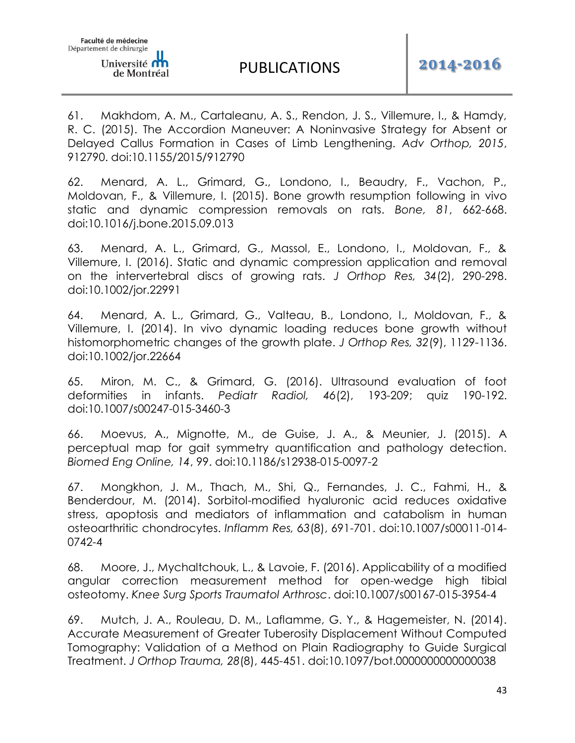61. Makhdom, A. M., Cartaleanu, A. S., Rendon, J. S., Villemure, I., & Hamdy, R. C. (2015). The Accordion Maneuver: A Noninvasive Strategy for Absent or Delayed Callus Formation in Cases of Limb Lengthening. *Adv Orthop, 2015*, 912790. doi:10.1155/2015/912790

62. Menard, A. L., Grimard, G., Londono, I., Beaudry, F., Vachon, P., Moldovan, F., & Villemure, I. (2015). Bone growth resumption following in vivo static and dynamic compression removals on rats. *Bone, 81*, 662-668. doi:10.1016/j.bone.2015.09.013

63. Menard, A. L., Grimard, G., Massol, E., Londono, I., Moldovan, F., & Villemure, I. (2016). Static and dynamic compression application and removal on the intervertebral discs of growing rats. *J Orthop Res, 34*(2), 290-298. doi:10.1002/jor.22991

64. Menard, A. L., Grimard, G., Valteau, B., Londono, I., Moldovan, F., & Villemure, I. (2014). In vivo dynamic loading reduces bone growth without histomorphometric changes of the growth plate. *J Orthop Res, 32*(9), 1129-1136. doi:10.1002/jor.22664

65. Miron, M. C., & Grimard, G. (2016). Ultrasound evaluation of foot deformities in infants. *Pediatr Radiol, 46*(2), 193-209; quiz 190-192. doi:10.1007/s00247-015-3460-3

66. Moevus, A., Mignotte, M., de Guise, J. A., & Meunier, J. (2015). A perceptual map for gait symmetry quantification and pathology detection. *Biomed Eng Online, 14*, 99. doi:10.1186/s12938-015-0097-2

67. Mongkhon, J. M., Thach, M., Shi, Q., Fernandes, J. C., Fahmi, H., & Benderdour, M. (2014). Sorbitol-modified hyaluronic acid reduces oxidative stress, apoptosis and mediators of inflammation and catabolism in human osteoarthritic chondrocytes. *Inflamm Res, 63*(8), 691-701. doi:10.1007/s00011-014- 0742-4

68. Moore, J., Mychaltchouk, L., & Lavoie, F. (2016). Applicability of a modified angular correction measurement method for open-wedge high tibial osteotomy. *Knee Surg Sports Traumatol Arthrosc*. doi:10.1007/s00167-015-3954-4

69. Mutch, J. A., Rouleau, D. M., Laflamme, G. Y., & Hagemeister, N. (2014). Accurate Measurement of Greater Tuberosity Displacement Without Computed Tomography: Validation of a Method on Plain Radiography to Guide Surgical Treatment. *J Orthop Trauma, 28*(8), 445-451. doi:10.1097/bot.0000000000000038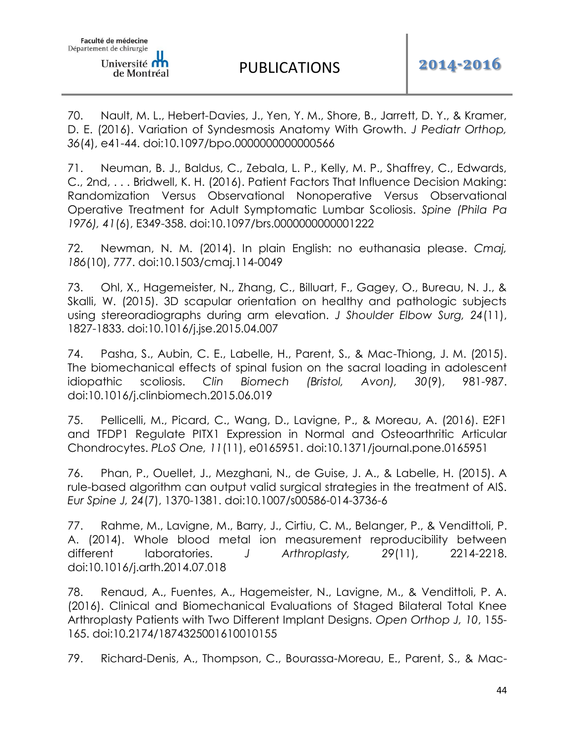70. Nault, M. L., Hebert-Davies, J., Yen, Y. M., Shore, B., Jarrett, D. Y., & Kramer, D. E. (2016). Variation of Syndesmosis Anatomy With Growth. *J Pediatr Orthop, 36*(4), e41-44. doi:10.1097/bpo.0000000000000566

71. Neuman, B. J., Baldus, C., Zebala, L. P., Kelly, M. P., Shaffrey, C., Edwards, C., 2nd, . . . Bridwell, K. H. (2016). Patient Factors That Influence Decision Making: Randomization Versus Observational Nonoperative Versus Observational Operative Treatment for Adult Symptomatic Lumbar Scoliosis. *Spine (Phila Pa 1976), 41*(6), E349-358. doi:10.1097/brs.0000000000001222

72. Newman, N. M. (2014). In plain English: no euthanasia please. *Cmaj, 186*(10), 777. doi:10.1503/cmaj.114-0049

73. Ohl, X., Hagemeister, N., Zhang, C., Billuart, F., Gagey, O., Bureau, N. J., & Skalli, W. (2015). 3D scapular orientation on healthy and pathologic subjects using stereoradiographs during arm elevation. *J Shoulder Elbow Surg, 24*(11), 1827-1833. doi:10.1016/j.jse.2015.04.007

74. Pasha, S., Aubin, C. E., Labelle, H., Parent, S., & Mac-Thiong, J. M. (2015). The biomechanical effects of spinal fusion on the sacral loading in adolescent idiopathic scoliosis. *Clin Biomech (Bristol, Avon), 30*(9), 981-987. doi:10.1016/j.clinbiomech.2015.06.019

75. Pellicelli, M., Picard, C., Wang, D., Lavigne, P., & Moreau, A. (2016). E2F1 and TFDP1 Regulate PITX1 Expression in Normal and Osteoarthritic Articular Chondrocytes. *PLoS One, 11*(11), e0165951. doi:10.1371/journal.pone.0165951

76. Phan, P., Ouellet, J., Mezghani, N., de Guise, J. A., & Labelle, H. (2015). A rule-based algorithm can output valid surgical strategies in the treatment of AIS. *Eur Spine J, 24*(7), 1370-1381. doi:10.1007/s00586-014-3736-6

77. Rahme, M., Lavigne, M., Barry, J., Cirtiu, C. M., Belanger, P., & Vendittoli, P. A. (2014). Whole blood metal ion measurement reproducibility between different laboratories. *J Arthroplasty, 29*(11), 2214-2218. doi:10.1016/j.arth.2014.07.018

78. Renaud, A., Fuentes, A., Hagemeister, N., Lavigne, M., & Vendittoli, P. A. (2016). Clinical and Biomechanical Evaluations of Staged Bilateral Total Knee Arthroplasty Patients with Two Different Implant Designs. *Open Orthop J, 10*, 155- 165. doi:10.2174/1874325001610010155

79. Richard-Denis, A., Thompson, C., Bourassa-Moreau, E., Parent, S., & Mac-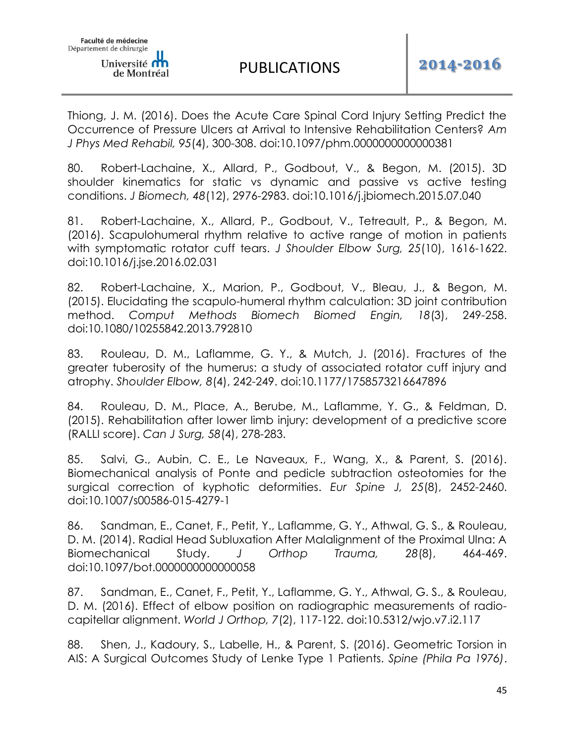Thiong, J. M. (2016). Does the Acute Care Spinal Cord Injury Setting Predict the Occurrence of Pressure Ulcers at Arrival to Intensive Rehabilitation Centers? *Am J Phys Med Rehabil, 95*(4), 300-308. doi:10.1097/phm.0000000000000381

80. Robert-Lachaine, X., Allard, P., Godbout, V., & Begon, M. (2015). 3D shoulder kinematics for static vs dynamic and passive vs active testing conditions. *J Biomech, 48*(12), 2976-2983. doi:10.1016/j.jbiomech.2015.07.040

81. Robert-Lachaine, X., Allard, P., Godbout, V., Tetreault, P., & Begon, M. (2016). Scapulohumeral rhythm relative to active range of motion in patients with symptomatic rotator cuff tears. *J Shoulder Elbow Surg, 25*(10), 1616-1622. doi:10.1016/j.jse.2016.02.031

82. Robert-Lachaine, X., Marion, P., Godbout, V., Bleau, J., & Begon, M. (2015). Elucidating the scapulo-humeral rhythm calculation: 3D joint contribution method. *Comput Methods Biomech Biomed Engin, 18*(3), 249-258. doi:10.1080/10255842.2013.792810

83. Rouleau, D. M., Laflamme, G. Y., & Mutch, J. (2016). Fractures of the greater tuberosity of the humerus: a study of associated rotator cuff injury and atrophy. *Shoulder Elbow, 8*(4), 242-249. doi:10.1177/1758573216647896

84. Rouleau, D. M., Place, A., Berube, M., Laflamme, Y. G., & Feldman, D. (2015). Rehabilitation after lower limb injury: development of a predictive score (RALLI score). *Can J Surg, 58*(4), 278-283.

85. Salvi, G., Aubin, C. E., Le Naveaux, F., Wang, X., & Parent, S. (2016). Biomechanical analysis of Ponte and pedicle subtraction osteotomies for the surgical correction of kyphotic deformities. *Eur Spine J, 25*(8), 2452-2460. doi:10.1007/s00586-015-4279-1

86. Sandman, E., Canet, F., Petit, Y., Laflamme, G. Y., Athwal, G. S., & Rouleau, D. M. (2014). Radial Head Subluxation After Malalignment of the Proximal Ulna: A Biomechanical Study. *J Orthop Trauma, 28*(8), 464-469. doi:10.1097/bot.0000000000000058

87. Sandman, E., Canet, F., Petit, Y., Laflamme, G. Y., Athwal, G. S., & Rouleau, D. M. (2016). Effect of elbow position on radiographic measurements of radiocapitellar alignment. *World J Orthop, 7*(2), 117-122. doi:10.5312/wjo.v7.i2.117

88. Shen, J., Kadoury, S., Labelle, H., & Parent, S. (2016). Geometric Torsion in AIS: A Surgical Outcomes Study of Lenke Type 1 Patients. *Spine (Phila Pa 1976)*.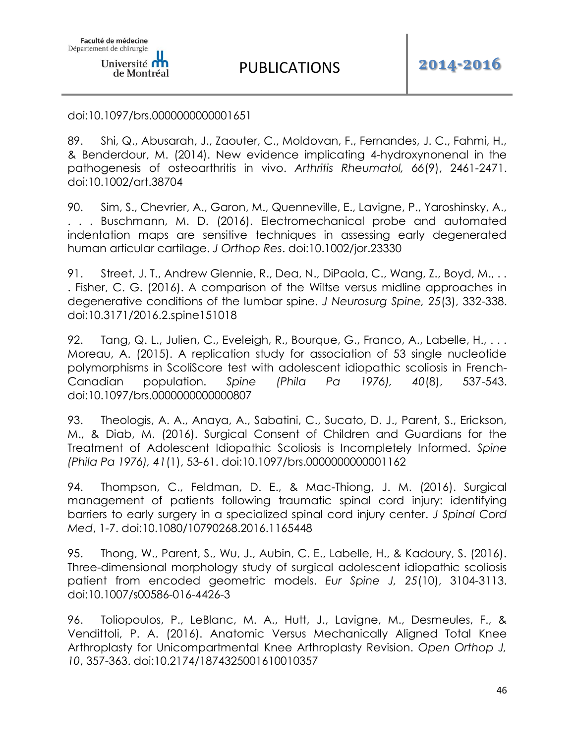#### doi:10.1097/brs.0000000000001651

89. Shi, Q., Abusarah, J., Zaouter, C., Moldovan, F., Fernandes, J. C., Fahmi, H., & Benderdour, M. (2014). New evidence implicating 4-hydroxynonenal in the pathogenesis of osteoarthritis in vivo. *Arthritis Rheumatol, 66*(9), 2461-2471. doi:10.1002/art.38704

90. Sim, S., Chevrier, A., Garon, M., Quenneville, E., Lavigne, P., Yaroshinsky, A., Buschmann, M. D. (2016). Electromechanical probe and automated indentation maps are sensitive techniques in assessing early degenerated human articular cartilage. *J Orthop Res*. doi:10.1002/jor.23330

91. Street, J. T., Andrew Glennie, R., Dea, N., DiPaola, C., Wang, Z., Boyd, M., .. . Fisher, C. G. (2016). A comparison of the Wiltse versus midline approaches in degenerative conditions of the lumbar spine. *J Neurosurg Spine, 25*(3), 332-338. doi:10.3171/2016.2.spine151018

92. Tang, Q. L., Julien, C., Eveleigh, R., Bourque, G., Franco, A., Labelle, H., ... Moreau, A. (2015). A replication study for association of 53 single nucleotide polymorphisms in ScoliScore test with adolescent idiopathic scoliosis in French-Canadian population. *Spine (Phila Pa 1976), 40*(8), 537-543. doi:10.1097/brs.0000000000000807

93. Theologis, A. A., Anaya, A., Sabatini, C., Sucato, D. J., Parent, S., Erickson, M., & Diab, M. (2016). Surgical Consent of Children and Guardians for the Treatment of Adolescent Idiopathic Scoliosis is Incompletely Informed. *Spine (Phila Pa 1976), 41*(1), 53-61. doi:10.1097/brs.0000000000001162

94. Thompson, C., Feldman, D. E., & Mac-Thiong, J. M. (2016). Surgical management of patients following traumatic spinal cord injury: identifying barriers to early surgery in a specialized spinal cord injury center. *J Spinal Cord Med*, 1-7. doi:10.1080/10790268.2016.1165448

95. Thong, W., Parent, S., Wu, J., Aubin, C. E., Labelle, H., & Kadoury, S. (2016). Three-dimensional morphology study of surgical adolescent idiopathic scoliosis patient from encoded geometric models. *Eur Spine J, 25*(10), 3104-3113. doi:10.1007/s00586-016-4426-3

96. Toliopoulos, P., LeBlanc, M. A., Hutt, J., Lavigne, M., Desmeules, F., & Vendittoli, P. A. (2016). Anatomic Versus Mechanically Aligned Total Knee Arthroplasty for Unicompartmental Knee Arthroplasty Revision. *Open Orthop J, 10*, 357-363. doi:10.2174/1874325001610010357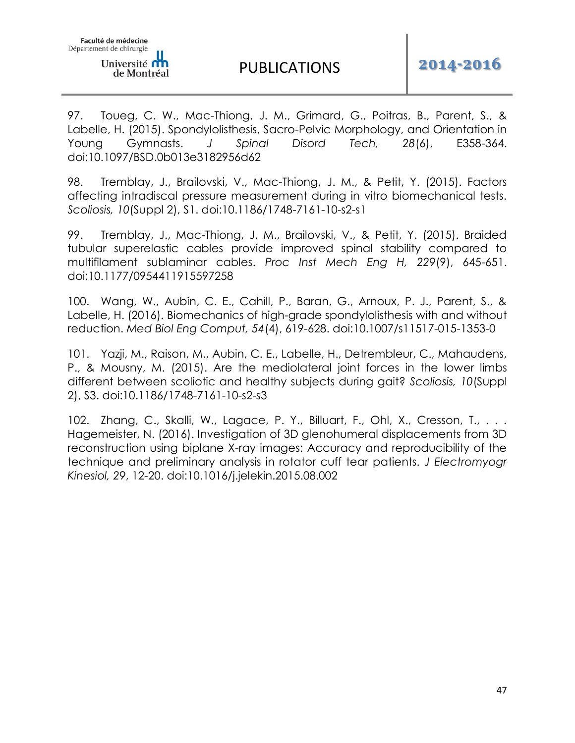97. Toueg, C. W., Mac-Thiong, J. M., Grimard, G., Poitras, B., Parent, S., & Labelle, H. (2015). Spondylolisthesis, Sacro-Pelvic Morphology, and Orientation in Young Gymnasts. *J Spinal Disord Tech, 28*(6), E358-364. doi:10.1097/BSD.0b013e3182956d62

98. Tremblay, J., Brailovski, V., Mac-Thiong, J. M., & Petit, Y. (2015). Factors affecting intradiscal pressure measurement during in vitro biomechanical tests. *Scoliosis, 10*(Suppl 2), S1. doi:10.1186/1748-7161-10-s2-s1

99. Tremblay, J., Mac-Thiong, J. M., Brailovski, V., & Petit, Y. (2015). Braided tubular superelastic cables provide improved spinal stability compared to multifilament sublaminar cables. *Proc Inst Mech Eng H, 229*(9), 645-651. doi:10.1177/0954411915597258

100. Wang, W., Aubin, C. E., Cahill, P., Baran, G., Arnoux, P. J., Parent, S., & Labelle, H. (2016). Biomechanics of high-grade spondylolisthesis with and without reduction. *Med Biol Eng Comput, 54*(4), 619-628. doi:10.1007/s11517-015-1353-0

101. Yazji, M., Raison, M., Aubin, C. E., Labelle, H., Detrembleur, C., Mahaudens, P., & Mousny, M. (2015). Are the mediolateral joint forces in the lower limbs different between scoliotic and healthy subjects during gait? *Scoliosis, 10*(Suppl 2), S3. doi:10.1186/1748-7161-10-s2-s3

102. Zhang, C., Skalli, W., Lagace, P. Y., Billuart, F., Ohl, X., Cresson, T., ... Hagemeister, N. (2016). Investigation of 3D glenohumeral displacements from 3D reconstruction using biplane X-ray images: Accuracy and reproducibility of the technique and preliminary analysis in rotator cuff tear patients. *J Electromyogr Kinesiol, 29*, 12-20. doi:10.1016/j.jelekin.2015.08.002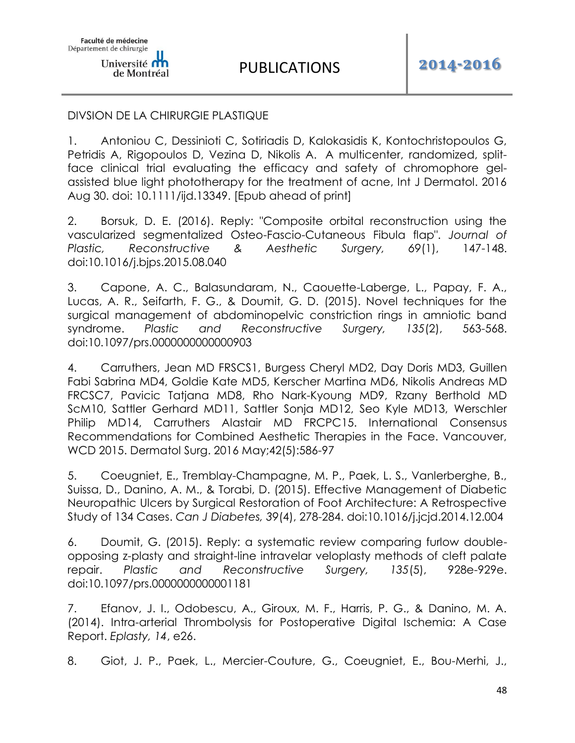## DIVSION DE LA CHIRURGIE PLASTIQUE

1. Antoniou C, Dessinioti C, Sotiriadis D, Kalokasidis K, Kontochristopoulos G, Petridis A, Rigopoulos D, Vezina D, Nikolis A. A multicenter, randomized, splitface clinical trial evaluating the efficacy and safety of chromophore gelassisted blue light phototherapy for the treatment of acne, Int J Dermatol. 2016 Aug 30. doi: 10.1111/ijd.13349. [Epub ahead of print]

2. Borsuk, D. E. (2016). Reply: "Composite orbital reconstruction using the vascularized segmentalized Osteo-Fascio-Cutaneous Fibula flap". *Journal of Plastic, Reconstructive & Aesthetic Surgery, 69*(1), 147-148. doi:10.1016/j.bjps.2015.08.040

3. Capone, A. C., Balasundaram, N., Caouette-Laberge, L., Papay, F. A., Lucas, A. R., Seifarth, F. G., & Doumit, G. D. (2015). Novel techniques for the surgical management of abdominopelvic constriction rings in amniotic band syndrome. *Plastic and Reconstructive Surgery, 135*(2), 563-568. doi:10.1097/prs.0000000000000903

4. Carruthers, Jean MD FRSCS1, Burgess Cheryl MD2, Day Doris MD3, Guillen Fabi Sabrina MD4, Goldie Kate MD5, Kerscher Martina MD6, Nikolis Andreas MD FRCSC7, Pavicic Tatjana MD8, Rho Nark-Kyoung MD9, Rzany Berthold MD ScM10, Sattler Gerhard MD11, Sattler Sonja MD12, Seo Kyle MD13, Werschler Philip MD14, Carruthers Alastair MD FRCPC15. International Consensus Recommendations for Combined Aesthetic Therapies in the Face. Vancouver, WCD 2015. Dermatol Surg. 2016 May;42(5):586-97

5. Coeugniet, E., Tremblay-Champagne, M. P., Paek, L. S., Vanlerberghe, B., Suissa, D., Danino, A. M., & Torabi, D. (2015). Effective Management of Diabetic Neuropathic Ulcers by Surgical Restoration of Foot Architecture: A Retrospective Study of 134 Cases. *Can J Diabetes, 39*(4), 278-284. doi:10.1016/j.jcjd.2014.12.004

6. Doumit, G. (2015). Reply: a systematic review comparing furlow doubleopposing z-plasty and straight-line intravelar veloplasty methods of cleft palate repair. *Plastic and Reconstructive Surgery, 135*(5), 928e-929e. doi:10.1097/prs.0000000000001181

7. Efanov, J. I., Odobescu, A., Giroux, M. F., Harris, P. G., & Danino, M. A. (2014). Intra-arterial Thrombolysis for Postoperative Digital Ischemia: A Case Report. *Eplasty, 14*, e26.

8. Giot, J. P., Paek, L., Mercier-Couture, G., Coeugniet, E., Bou-Merhi, J.,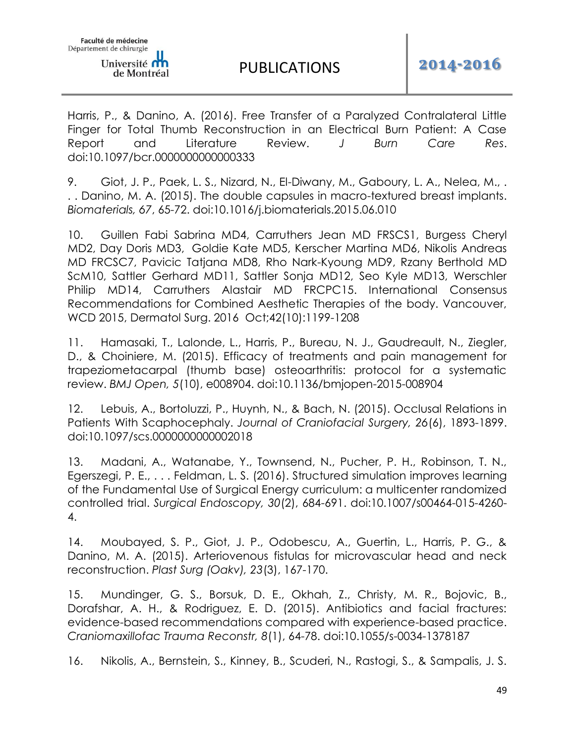Harris, P., & Danino, A. (2016). Free Transfer of a Paralyzed Contralateral Little Finger for Total Thumb Reconstruction in an Electrical Burn Patient: A Case Report and Literature Review. *J Burn Care Res*. doi:10.1097/bcr.0000000000000333

9. Giot, J. P., Paek, L. S., Nizard, N., El-Diwany, M., Gaboury, L. A., Nelea, M., . . . Danino, M. A. (2015). The double capsules in macro-textured breast implants. *Biomaterials, 67*, 65-72. doi:10.1016/j.biomaterials.2015.06.010

10. Guillen Fabi Sabrina MD4, Carruthers Jean MD FRSCS1, Burgess Cheryl MD2, Day Doris MD3, Goldie Kate MD5, Kerscher Martina MD6, Nikolis Andreas MD FRCSC7, Pavicic Tatjana MD8, Rho Nark-Kyoung MD9, Rzany Berthold MD ScM10, Sattler Gerhard MD11, Sattler Sonja MD12, Seo Kyle MD13, Werschler Philip MD14, Carruthers Alastair MD FRCPC15. International Consensus Recommendations for Combined Aesthetic Therapies of the body. Vancouver, WCD 2015, Dermatol Surg. 2016 Oct;42(10):1199-1208

11. Hamasaki, T., Lalonde, L., Harris, P., Bureau, N. J., Gaudreault, N., Ziegler, D., & Choiniere, M. (2015). Efficacy of treatments and pain management for trapeziometacarpal (thumb base) osteoarthritis: protocol for a systematic review. *BMJ Open, 5*(10), e008904. doi:10.1136/bmjopen-2015-008904

12. Lebuis, A., Bortoluzzi, P., Huynh, N., & Bach, N. (2015). Occlusal Relations in Patients With Scaphocephaly. *Journal of Craniofacial Surgery, 26*(6), 1893-1899. doi:10.1097/scs.0000000000002018

13. Madani, A., Watanabe, Y., Townsend, N., Pucher, P. H., Robinson, T. N., Egerszegi, P. E., . . . Feldman, L. S. (2016). Structured simulation improves learning of the Fundamental Use of Surgical Energy curriculum: a multicenter randomized controlled trial. *Surgical Endoscopy, 30*(2), 684-691. doi:10.1007/s00464-015-4260- 4.

14. Moubayed, S. P., Giot, J. P., Odobescu, A., Guertin, L., Harris, P. G., & Danino, M. A. (2015). Arteriovenous fistulas for microvascular head and neck reconstruction. *Plast Surg (Oakv), 23*(3), 167-170.

15. Mundinger, G. S., Borsuk, D. E., Okhah, Z., Christy, M. R., Bojovic, B., Dorafshar, A. H., & Rodriguez, E. D. (2015). Antibiotics and facial fractures: evidence-based recommendations compared with experience-based practice. *Craniomaxillofac Trauma Reconstr, 8*(1), 64-78. doi:10.1055/s-0034-1378187

16. Nikolis, A., Bernstein, S., Kinney, B., Scuderi, N., Rastogi, S., & Sampalis, J. S.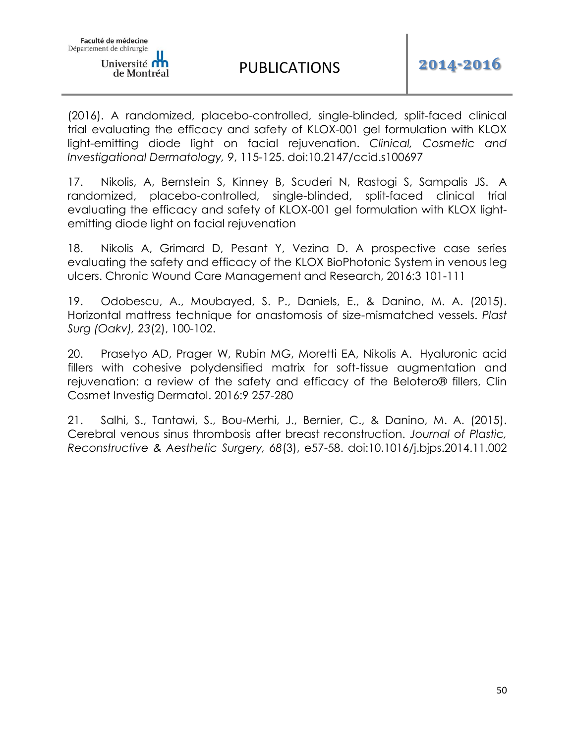(2016). A randomized, placebo-controlled, single-blinded, split-faced clinical trial evaluating the efficacy and safety of KLOX-001 gel formulation with KLOX light-emitting diode light on facial rejuvenation. *Clinical, Cosmetic and Investigational Dermatology, 9*, 115-125. doi:10.2147/ccid.s100697

17. Nikolis, A, Bernstein S, Kinney B, Scuderi N, Rastogi S, Sampalis JS. A randomized, placebo-controlled, single-blinded, split-faced clinical trial evaluating the efficacy and safety of KLOX-001 gel formulation with KLOX lightemitting diode light on facial rejuvenation

18. Nikolis A, Grimard D, Pesant Y, Vezina D. A prospective case series evaluating the safety and efficacy of the KLOX BioPhotonic System in venous leg ulcers. Chronic Wound Care Management and Research, 2016:3 101-111

19. Odobescu, A., Moubayed, S. P., Daniels, E., & Danino, M. A. (2015). Horizontal mattress technique for anastomosis of size-mismatched vessels. *Plast Surg (Oakv), 23*(2), 100-102.

20. Prasetyo AD, Prager W, Rubin MG, Moretti EA, Nikolis A. Hyaluronic acid fillers with cohesive polydensified matrix for soft-tissue augmentation and rejuvenation: a review of the safety and efficacy of the Belotero® fillers, Clin Cosmet Investig Dermatol. 2016:9 257-280

21. Salhi, S., Tantawi, S., Bou-Merhi, J., Bernier, C., & Danino, M. A. (2015). Cerebral venous sinus thrombosis after breast reconstruction. *Journal of Plastic, Reconstructive & Aesthetic Surgery, 68*(3), e57-58. doi:10.1016/j.bjps.2014.11.002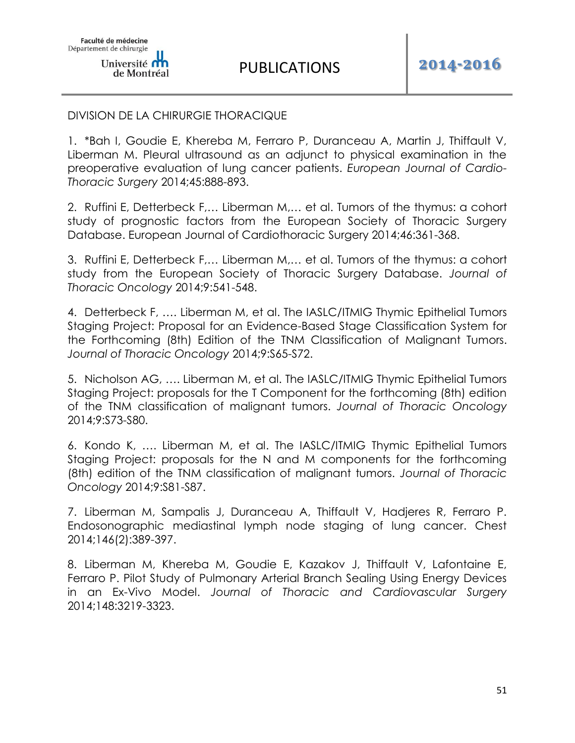### DIVISION DE LA CHIRURGIE THORACIQUE

1. \*Bah I, Goudie E, Khereba M, Ferraro P, Duranceau A, Martin J, Thiffault V, Liberman M. Pleural ultrasound as an adjunct to physical examination in the preoperative evaluation of lung cancer patients. *European Journal of Cardio-Thoracic Surgery* 2014;45:888-893.

2. Ruffini E, Detterbeck F,… Liberman M,… et al. Tumors of the thymus: a cohort study of prognostic factors from the European Society of Thoracic Surgery Database. European Journal of Cardiothoracic Surgery 2014;46:361-368.

3. Ruffini E, Detterbeck F,… Liberman M,… et al. Tumors of the thymus: a cohort study from the European Society of Thoracic Surgery Database. *Journal of Thoracic Oncology* 2014;9:541-548.

4. Detterbeck F, …. Liberman M, et al. The IASLC/ITMIG Thymic Epithelial Tumors Staging Project: Proposal for an Evidence-Based Stage Classification System for the Forthcoming (8th) Edition of the TNM Classification of Malignant Tumors. *Journal of Thoracic Oncology* 2014;9:S65-S72.

5. Nicholson AG, …. Liberman M, et al. The IASLC/ITMIG Thymic Epithelial Tumors Staging Project: proposals for the T Component for the forthcoming (8th) edition of the TNM classification of malignant tumors. *Journal of Thoracic Oncology*  2014;9:S73-S80.

6. Kondo K, …. Liberman M, et al. The IASLC/ITMIG Thymic Epithelial Tumors Staging Project: proposals for the N and M components for the forthcoming (8th) edition of the TNM classification of malignant tumors. *Journal of Thoracic Oncology* 2014;9:S81-S87.

7. Liberman M, Sampalis J, Duranceau A, Thiffault V, Hadjeres R, Ferraro P. Endosonographic mediastinal lymph node staging of lung cancer. Chest 2014;146(2):389-397.

8. Liberman M, Khereba M, Goudie E, Kazakov J, Thiffault V, Lafontaine E, Ferraro P. Pilot Study of Pulmonary Arterial Branch Sealing Using Energy Devices in an Ex-Vivo Model. *Journal of Thoracic and Cardiovascular Surgery* 2014;148:3219-3323.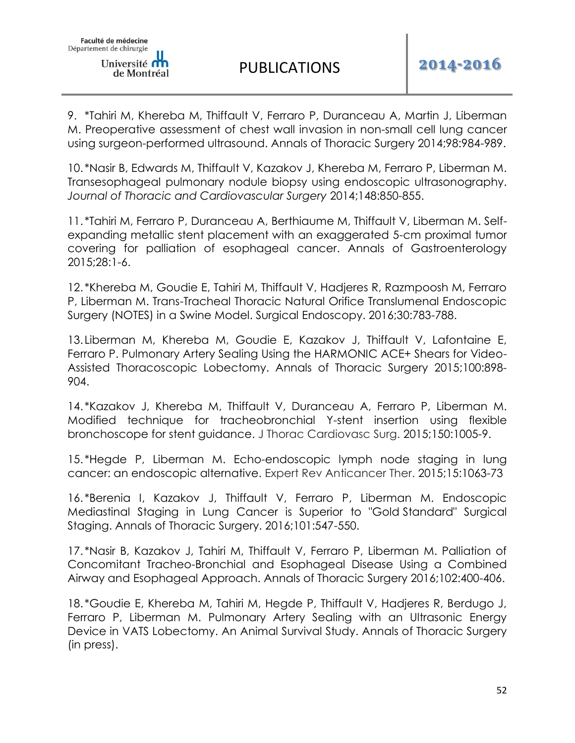9. \*Tahiri M, Khereba M, Thiffault V, Ferraro P, Duranceau A, Martin J, Liberman M. Preoperative assessment of chest wall invasion in non-small cell lung cancer using surgeon-performed ultrasound. Annals of Thoracic Surgery 2014;98:984-989.

10. \*Nasir B, Edwards M, Thiffault V, Kazakov J, Khereba M, Ferraro P, Liberman M. Transesophageal pulmonary nodule biopsy using endoscopic ultrasonography. *Journal of Thoracic and Cardiovascular Surgery* 2014;148:850-855.

11. \*Tahiri M, Ferraro P, Duranceau A, Berthiaume M, Thiffault V, Liberman M. Selfexpanding metallic stent placement with an exaggerated 5-cm proximal tumor covering for palliation of esophageal cancer. Annals of Gastroenterology 2015;28:1-6.

12. \*Khereba M, Goudie E, Tahiri M, Thiffault V, Hadjeres R, Razmpoosh M, Ferraro P, Liberman M. Trans-Tracheal Thoracic Natural Orifice Translumenal Endoscopic Surgery (NOTES) in a Swine Model. Surgical Endoscopy. 2016;30:783-788.

13.Liberman M, Khereba M, Goudie E, Kazakov J, Thiffault V, Lafontaine E, Ferraro P. Pulmonary Artery Sealing Using the HARMONIC ACE+ Shears for Video-Assisted Thoracoscopic Lobectomy. Annals of Thoracic Surgery 2015;100:898- 904.

14. \*Kazakov J, Khereba M, Thiffault V, Duranceau A, Ferraro P, Liberman M. Modified technique for tracheobronchial Y-stent insertion using flexible bronchoscope for stent guidance. J Thorac Cardiovasc Surg. 2015;150:1005-9.

15. \*Hegde P, Liberman M. Echo-endoscopic lymph node staging in lung cancer: an endoscopic alternative. Expert Rev Anticancer Ther. 2015;15:1063-73

16. \*Berenia I, Kazakov J, Thiffault V, Ferraro P, Liberman M. Endoscopic Mediastinal Staging in Lung Cancer is Superior to "Gold Standard" Surgical Staging. Annals of Thoracic Surgery. 2016;101:547-550.

17. \*Nasir B, Kazakov J, Tahiri M, Thiffault V, Ferraro P, Liberman M. Palliation of Concomitant Tracheo-Bronchial and Esophageal Disease Using a Combined Airway and Esophageal Approach. Annals of Thoracic Surgery 2016;102:400-406.

18. \*Goudie E, Khereba M, Tahiri M, Hegde P, Thiffault V, Hadjeres R, Berdugo J, Ferraro P, Liberman M. Pulmonary Artery Sealing with an Ultrasonic Energy Device in VATS Lobectomy. An Animal Survival Study. Annals of Thoracic Surgery (in press).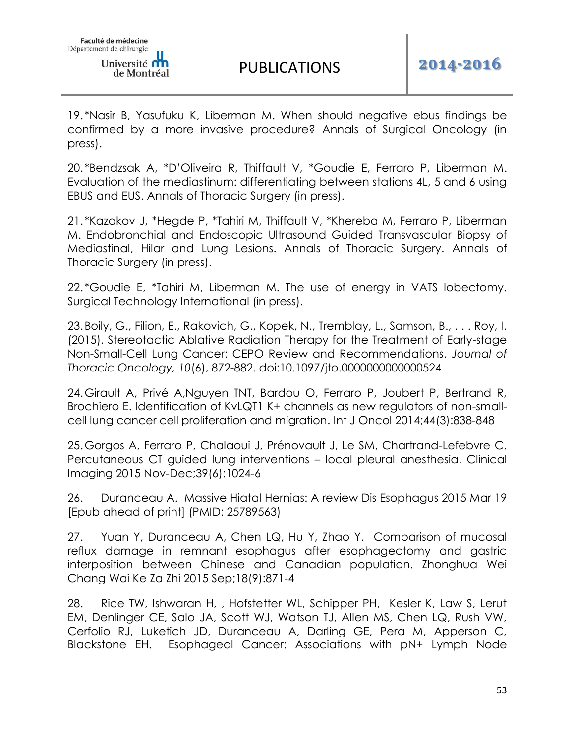19. \*Nasir B, Yasufuku K, Liberman M. When should negative ebus findings be confirmed by a more invasive procedure? Annals of Surgical Oncology (in press).

20. \*Bendzsak A, \*D'Oliveira R, Thiffault V, \*Goudie E, Ferraro P, Liberman M. Evaluation of the mediastinum: differentiating between stations 4L, 5 and 6 using EBUS and EUS. Annals of Thoracic Surgery (in press).

21. \*Kazakov J, \*Hegde P, \*Tahiri M, Thiffault V, \*Khereba M, Ferraro P, Liberman M. Endobronchial and Endoscopic Ultrasound Guided Transvascular Biopsy of Mediastinal, Hilar and Lung Lesions. Annals of Thoracic Surgery. Annals of Thoracic Surgery (in press).

22. \*Goudie E, \*Tahiri M, Liberman M. The use of energy in VATS lobectomy. Surgical Technology International (in press).

23.Boily, G., Filion, E., Rakovich, G., Kopek, N., Tremblay, L., Samson, B., . . . Roy, I. (2015). Stereotactic Ablative Radiation Therapy for the Treatment of Early-stage Non-Small-Cell Lung Cancer: CEPO Review and Recommendations. *Journal of Thoracic Oncology, 10*(6), 872-882. doi:10.1097/jto.0000000000000524

24.Girault A, Privé A,Nguyen TNT, Bardou O, Ferraro P, Joubert P, Bertrand R, Brochiero E. Identification of KvLQT1 K+ channels as new regulators of non-smallcell lung cancer cell proliferation and migration. Int J Oncol 2014;44(3):838-848

25.Gorgos A, Ferraro P, Chalaoui J, Prénovault J, Le SM, Chartrand-Lefebvre C. Percutaneous CT guided lung interventions – local pleural anesthesia. Clinical Imaging 2015 Nov-Dec;39(6):1024-6

26. Duranceau A. Massive Hiatal Hernias: A review Dis Esophagus 2015 Mar 19 [Epub ahead of print] (PMID: 25789563)

27. Yuan Y, Duranceau A, Chen LQ, Hu Y, Zhao Y. Comparison of mucosal reflux damage in remnant esophagus after esophagectomy and gastric interposition between Chinese and Canadian population. Zhonghua Wei Chang Wai Ke Za Zhi 2015 Sep;18(9):871-4

28. Rice TW, Ishwaran H, , Hofstetter WL, Schipper PH, Kesler K, Law S, Lerut EM, Denlinger CE, Salo JA, Scott WJ, Watson TJ, Allen MS, Chen LQ, Rush VW, Cerfolio RJ, Luketich JD, Duranceau A, Darling GE, Pera M, Apperson C, Blackstone EH. Esophageal Cancer: Associations with pN+ Lymph Node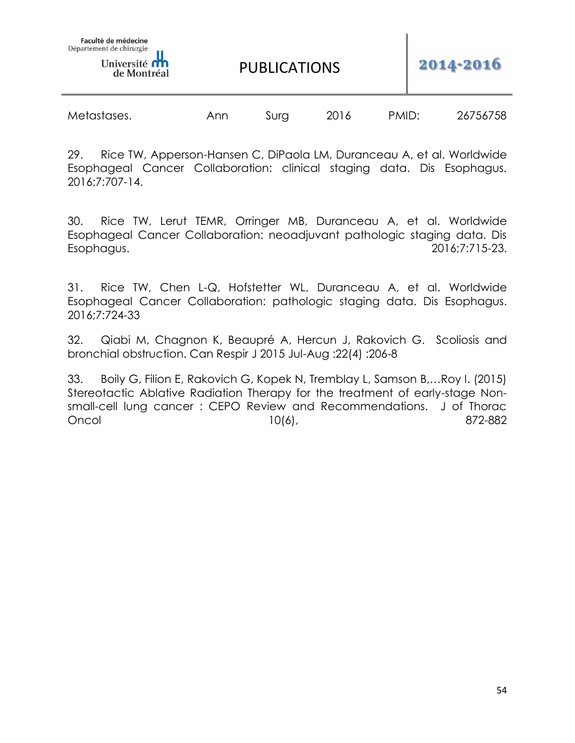de Montréal

PUBLICATIONS **2014-2016**

| Metastases. | Ann | Sura | 2016 | PMID: | 26756758 |
|-------------|-----|------|------|-------|----------|
|             |     |      |      |       |          |

29. Rice TW, Apperson-Hansen C, DiPaola LM, Duranceau A, et al. Worldwide Esophageal Cancer Collaboration: clinical staging data. Dis Esophagus. 2016;7:707-14.

30. Rice TW, Lerut TEMR, Orringer MB, Duranceau A, et al. Worldwide Esophageal Cancer Collaboration: neoadjuvant pathologic staging data. Dis Esophagus. 2016;7:715-23.

31. Rice TW, Chen L-Q, Hofstetter WL, Duranceau A, et al. Worldwide Esophageal Cancer Collaboration: pathologic staging data. Dis Esophagus. 2016;7:724-33

32. Qiabi M, Chagnon K, Beaupré A, Hercun J, Rakovich G. Scoliosis and bronchial obstruction. Can Respir J 2015 Jul-Aug :22(4) :206-8

33. Boily G, Filion E, Rakovich G, Kopek N, Tremblay L, Samson B,…Roy I. (2015) Stereotactic Ablative Radiation Therapy for the treatment of early-stage Nonsmall-cell lung cancer : CEPO Review and Recommendations. J of Thorac Oncol 10(6), 872-882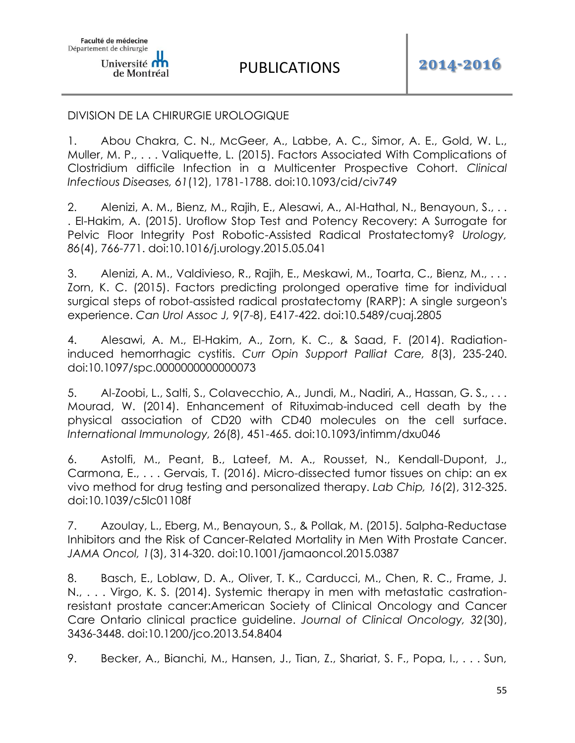### DIVISION DE LA CHIRURGIE UROLOGIQUE

1. Abou Chakra, C. N., McGeer, A., Labbe, A. C., Simor, A. E., Gold, W. L., Muller, M. P., . . . Valiquette, L. (2015). Factors Associated With Complications of Clostridium difficile Infection in a Multicenter Prospective Cohort. *Clinical Infectious Diseases, 61*(12), 1781-1788. doi:10.1093/cid/civ749

2. Alenizi, A. M., Bienz, M., Rajih, E., Alesawi, A., Al-Hathal, N., Benayoun, S., . . . El-Hakim, A. (2015). Uroflow Stop Test and Potency Recovery: A Surrogate for Pelvic Floor Integrity Post Robotic-Assisted Radical Prostatectomy? *Urology, 86*(4), 766-771. doi:10.1016/j.urology.2015.05.041

3. Alenizi, A. M., Valdivieso, R., Rajih, E., Meskawi, M., Toarta, C., Bienz, M., . . . Zorn, K. C. (2015). Factors predicting prolonged operative time for individual surgical steps of robot-assisted radical prostatectomy (RARP): A single surgeon's experience. *Can Urol Assoc J, 9*(7-8), E417-422. doi:10.5489/cuaj.2805

4. Alesawi, A. M., El-Hakim, A., Zorn, K. C., & Saad, F. (2014). Radiationinduced hemorrhagic cystitis. *Curr Opin Support Palliat Care, 8*(3), 235-240. doi:10.1097/spc.0000000000000073

5. Al-Zoobi, L., Salti, S., Colavecchio, A., Jundi, M., Nadiri, A., Hassan, G. S., . . . Mourad, W. (2014). Enhancement of Rituximab-induced cell death by the physical association of CD20 with CD40 molecules on the cell surface. *International Immunology, 26*(8), 451-465. doi:10.1093/intimm/dxu046

6. Astolfi, M., Peant, B., Lateef, M. A., Rousset, N., Kendall-Dupont, J., Carmona, E., . . . Gervais, T. (2016). Micro-dissected tumor tissues on chip: an ex vivo method for drug testing and personalized therapy. *Lab Chip, 16*(2), 312-325. doi:10.1039/c5lc01108f

7. Azoulay, L., Eberg, M., Benayoun, S., & Pollak, M. (2015). 5alpha-Reductase Inhibitors and the Risk of Cancer-Related Mortality in Men With Prostate Cancer. *JAMA Oncol, 1*(3), 314-320. doi:10.1001/jamaoncol.2015.0387

8. Basch, E., Loblaw, D. A., Oliver, T. K., Carducci, M., Chen, R. C., Frame, J. N., . . . Virgo, K. S. (2014). Systemic therapy in men with metastatic castrationresistant prostate cancer:American Society of Clinical Oncology and Cancer Care Ontario clinical practice guideline. *Journal of Clinical Oncology, 32*(30), 3436-3448. doi:10.1200/jco.2013.54.8404

9. Becker, A., Bianchi, M., Hansen, J., Tian, Z., Shariat, S. F., Popa, I., . . . Sun,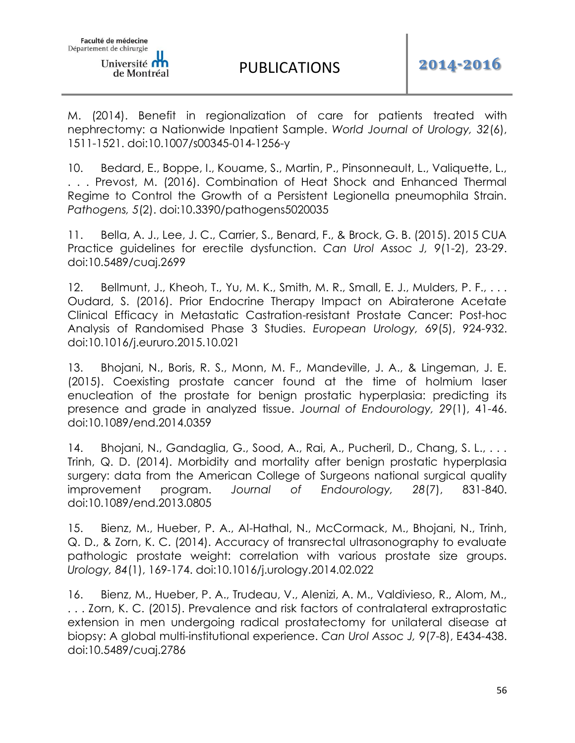M. (2014). Benefit in regionalization of care for patients treated with nephrectomy: a Nationwide Inpatient Sample. *World Journal of Urology, 32*(6), 1511-1521. doi:10.1007/s00345-014-1256-y

10. Bedard, E., Boppe, I., Kouame, S., Martin, P., Pinsonneault, L., Valiquette, L., . . . Prevost, M. (2016). Combination of Heat Shock and Enhanced Thermal Regime to Control the Growth of a Persistent Legionella pneumophila Strain. *Pathogens, 5*(2). doi:10.3390/pathogens5020035

11. Bella, A. J., Lee, J. C., Carrier, S., Benard, F., & Brock, G. B. (2015). 2015 CUA Practice guidelines for erectile dysfunction. *Can Urol Assoc J, 9*(1-2), 23-29. doi:10.5489/cuaj.2699

12. Bellmunt, J., Kheoh, T., Yu, M. K., Smith, M. R., Small, E. J., Mulders, P. F., . . . Oudard, S. (2016). Prior Endocrine Therapy Impact on Abiraterone Acetate Clinical Efficacy in Metastatic Castration-resistant Prostate Cancer: Post-hoc Analysis of Randomised Phase 3 Studies. *European Urology, 69*(5), 924-932. doi:10.1016/j.eururo.2015.10.021

13. Bhojani, N., Boris, R. S., Monn, M. F., Mandeville, J. A., & Lingeman, J. E. (2015). Coexisting prostate cancer found at the time of holmium laser enucleation of the prostate for benign prostatic hyperplasia: predicting its presence and grade in analyzed tissue. *Journal of Endourology, 29*(1), 41-46. doi:10.1089/end.2014.0359

14. Bhojani, N., Gandaglia, G., Sood, A., Rai, A., Pucheril, D., Chang, S. L., . . . Trinh, Q. D. (2014). Morbidity and mortality after benign prostatic hyperplasia surgery: data from the American College of Surgeons national surgical quality improvement program. *Journal of Endourology, 28*(7), 831-840. doi:10.1089/end.2013.0805

15. Bienz, M., Hueber, P. A., Al-Hathal, N., McCormack, M., Bhojani, N., Trinh, Q. D., & Zorn, K. C. (2014). Accuracy of transrectal ultrasonography to evaluate pathologic prostate weight: correlation with various prostate size groups. *Urology, 84*(1), 169-174. doi:10.1016/j.urology.2014.02.022

16. Bienz, M., Hueber, P. A., Trudeau, V., Alenizi, A. M., Valdivieso, R., Alom, M., . . . Zorn, K. C. (2015). Prevalence and risk factors of contralateral extraprostatic extension in men undergoing radical prostatectomy for unilateral disease at biopsy: A global multi-institutional experience. *Can Urol Assoc J, 9*(7-8), E434-438. doi:10.5489/cuaj.2786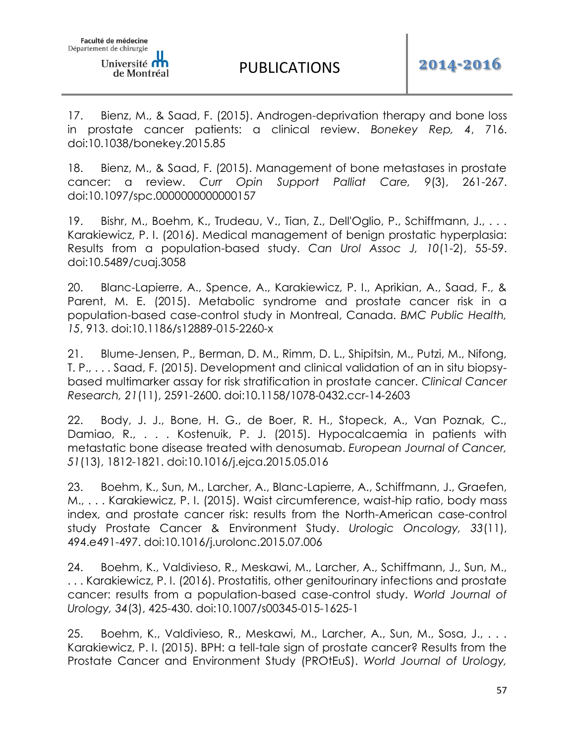17. Bienz, M., & Saad, F. (2015). Androgen-deprivation therapy and bone loss in prostate cancer patients: a clinical review. *Bonekey Rep, 4*, 716. doi:10.1038/bonekey.2015.85

18. Bienz, M., & Saad, F. (2015). Management of bone metastases in prostate cancer: a review. *Curr Opin Support Palliat Care, 9*(3), 261-267. doi:10.1097/spc.0000000000000157

19. Bishr, M., Boehm, K., Trudeau, V., Tian, Z., Dell'Oglio, P., Schiffmann, J., . . . Karakiewicz, P. I. (2016). Medical management of benign prostatic hyperplasia: Results from a population-based study. *Can Urol Assoc J, 10*(1-2), 55-59. doi:10.5489/cuaj.3058

20. Blanc-Lapierre, A., Spence, A., Karakiewicz, P. I., Aprikian, A., Saad, F., & Parent, M. E. (2015). Metabolic syndrome and prostate cancer risk in a population-based case-control study in Montreal, Canada. *BMC Public Health, 15*, 913. doi:10.1186/s12889-015-2260-x

21. Blume-Jensen, P., Berman, D. M., Rimm, D. L., Shipitsin, M., Putzi, M., Nifong, T. P., . . . Saad, F. (2015). Development and clinical validation of an in situ biopsybased multimarker assay for risk stratification in prostate cancer. *Clinical Cancer Research, 21*(11), 2591-2600. doi:10.1158/1078-0432.ccr-14-2603

22. Body, J. J., Bone, H. G., de Boer, R. H., Stopeck, A., Van Poznak, C., Damiao, R., . . . Kostenuik, P. J. (2015). Hypocalcaemia in patients with metastatic bone disease treated with denosumab. *European Journal of Cancer, 51*(13), 1812-1821. doi:10.1016/j.ejca.2015.05.016

23. Boehm, K., Sun, M., Larcher, A., Blanc-Lapierre, A., Schiffmann, J., Graefen, M., . . . Karakiewicz, P. I. (2015). Waist circumference, waist-hip ratio, body mass index, and prostate cancer risk: results from the North-American case-control study Prostate Cancer & Environment Study. *Urologic Oncology, 33*(11), 494.e491-497. doi:10.1016/j.urolonc.2015.07.006

24. Boehm, K., Valdivieso, R., Meskawi, M., Larcher, A., Schiffmann, J., Sun, M., . . . Karakiewicz, P. I. (2016). Prostatitis, other genitourinary infections and prostate cancer: results from a population-based case-control study. *World Journal of Urology, 34*(3), 425-430. doi:10.1007/s00345-015-1625-1

25. Boehm, K., Valdivieso, R., Meskawi, M., Larcher, A., Sun, M., Sosa, J., . . . Karakiewicz, P. I. (2015). BPH: a tell-tale sign of prostate cancer? Results from the Prostate Cancer and Environment Study (PROtEuS). *World Journal of Urology,*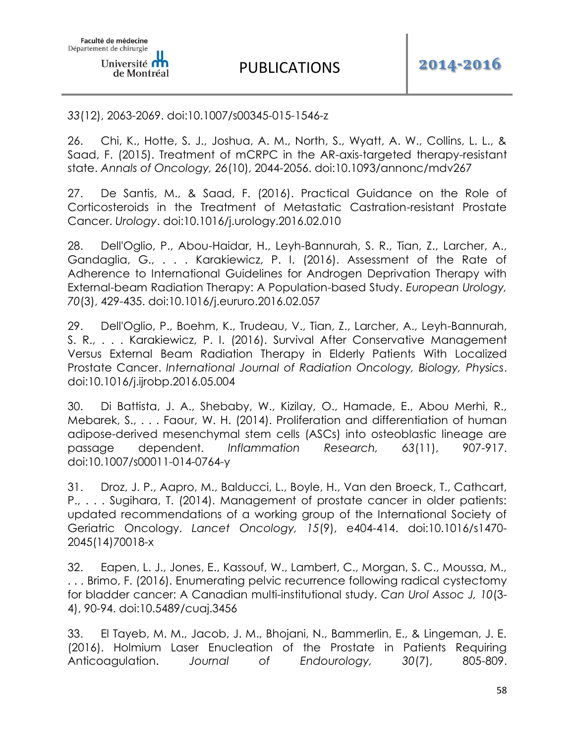### *33*(12), 2063-2069. doi:10.1007/s00345-015-1546-z

26. Chi, K., Hotte, S. J., Joshua, A. M., North, S., Wyatt, A. W., Collins, L. L., & Saad, F. (2015). Treatment of mCRPC in the AR-axis-targeted therapy-resistant state. *Annals of Oncology, 26*(10), 2044-2056. doi:10.1093/annonc/mdv267

27. De Santis, M., & Saad, F. (2016). Practical Guidance on the Role of Corticosteroids in the Treatment of Metastatic Castration-resistant Prostate Cancer. *Urology*. doi:10.1016/j.urology.2016.02.010

28. Dell'Oglio, P., Abou-Haidar, H., Leyh-Bannurah, S. R., Tian, Z., Larcher, A., Gandaglia, G., . . . Karakiewicz, P. I. (2016). Assessment of the Rate of Adherence to International Guidelines for Androgen Deprivation Therapy with External-beam Radiation Therapy: A Population-based Study. *European Urology, 70*(3), 429-435. doi:10.1016/j.eururo.2016.02.057

29. Dell'Oglio, P., Boehm, K., Trudeau, V., Tian, Z., Larcher, A., Leyh-Bannurah, S. R., . . . Karakiewicz, P. I. (2016). Survival After Conservative Management Versus External Beam Radiation Therapy in Elderly Patients With Localized Prostate Cancer. *International Journal of Radiation Oncology, Biology, Physics*. doi:10.1016/j.ijrobp.2016.05.004

30. Di Battista, J. A., Shebaby, W., Kizilay, O., Hamade, E., Abou Merhi, R., Mebarek, S., . . . Faour, W. H. (2014). Proliferation and differentiation of human adipose-derived mesenchymal stem cells (ASCs) into osteoblastic lineage are passage dependent. *Inflammation Research, 63*(11), 907-917. doi:10.1007/s00011-014-0764-y

31. Droz, J. P., Aapro, M., Balducci, L., Boyle, H., Van den Broeck, T., Cathcart, P., . . . Sugihara, T. (2014). Management of prostate cancer in older patients: updated recommendations of a working group of the International Society of Geriatric Oncology. *Lancet Oncology, 15*(9), e404-414. doi:10.1016/s1470- 2045(14)70018-x

32. Eapen, L. J., Jones, E., Kassouf, W., Lambert, C., Morgan, S. C., Moussa, M., . . . Brimo, F. (2016). Enumerating pelvic recurrence following radical cystectomy for bladder cancer: A Canadian multi-institutional study. *Can Urol Assoc J, 10*(3- 4), 90-94. doi:10.5489/cuaj.3456

33. El Tayeb, M. M., Jacob, J. M., Bhojani, N., Bammerlin, E., & Lingeman, J. E. (2016). Holmium Laser Enucleation of the Prostate in Patients Requiring Anticoagulation. *Journal of Endourology, 30*(7), 805-809.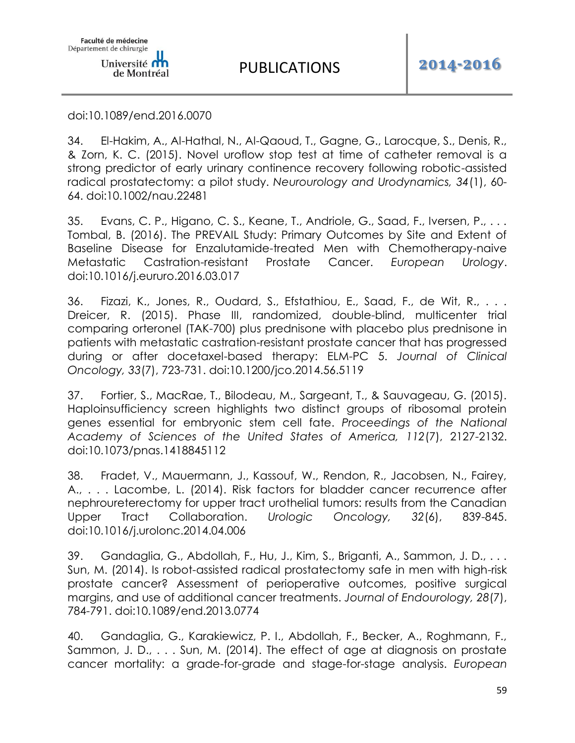doi:10.1089/end.2016.0070

Université **om** de Montréal

Faculté de médecine Département de chirurgie

34. El-Hakim, A., Al-Hathal, N., Al-Qaoud, T., Gagne, G., Larocque, S., Denis, R., & Zorn, K. C. (2015). Novel uroflow stop test at time of catheter removal is a strong predictor of early urinary continence recovery following robotic-assisted radical prostatectomy: a pilot study. *Neurourology and Urodynamics, 34*(1), 60- 64. doi:10.1002/nau.22481

35. Evans, C. P., Higano, C. S., Keane, T., Andriole, G., Saad, F., Iversen, P., . . . Tombal, B. (2016). The PREVAIL Study: Primary Outcomes by Site and Extent of Baseline Disease for Enzalutamide-treated Men with Chemotherapy-naive Metastatic Castration-resistant Prostate Cancer. *European Urology*. doi:10.1016/j.eururo.2016.03.017

36. Fizazi, K., Jones, R., Oudard, S., Efstathiou, E., Saad, F., de Wit, R., . . . Dreicer, R. (2015). Phase III, randomized, double-blind, multicenter trial comparing orteronel (TAK-700) plus prednisone with placebo plus prednisone in patients with metastatic castration-resistant prostate cancer that has progressed during or after docetaxel-based therapy: ELM-PC 5. *Journal of Clinical Oncology, 33*(7), 723-731. doi:10.1200/jco.2014.56.5119

37. Fortier, S., MacRae, T., Bilodeau, M., Sargeant, T., & Sauvageau, G. (2015). Haploinsufficiency screen highlights two distinct groups of ribosomal protein genes essential for embryonic stem cell fate. *Proceedings of the National Academy of Sciences of the United States of America, 112*(7), 2127-2132. doi:10.1073/pnas.1418845112

38. Fradet, V., Mauermann, J., Kassouf, W., Rendon, R., Jacobsen, N., Fairey, A., . . . Lacombe, L. (2014). Risk factors for bladder cancer recurrence after nephroureterectomy for upper tract urothelial tumors: results from the Canadian Upper Tract Collaboration. *Urologic Oncology, 32*(6), 839-845. doi:10.1016/j.urolonc.2014.04.006

39. Gandaglia, G., Abdollah, F., Hu, J., Kim, S., Briganti, A., Sammon, J. D., . . . Sun, M. (2014). Is robot-assisted radical prostatectomy safe in men with high-risk prostate cancer? Assessment of perioperative outcomes, positive surgical margins, and use of additional cancer treatments. *Journal of Endourology, 28*(7), 784-791. doi:10.1089/end.2013.0774

40. Gandaglia, G., Karakiewicz, P. I., Abdollah, F., Becker, A., Roghmann, F., Sammon, J. D., . . . Sun, M. (2014). The effect of age at diagnosis on prostate cancer mortality: a grade-for-grade and stage-for-stage analysis. *European*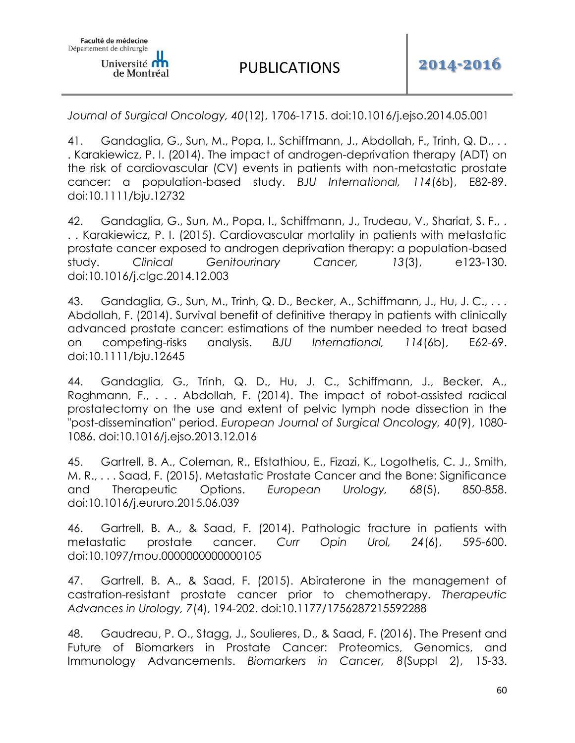*Journal of Surgical Oncology, 40*(12), 1706-1715. doi:10.1016/j.ejso.2014.05.001

41. Gandaglia, G., Sun, M., Popa, I., Schiffmann, J., Abdollah, F., Trinh, Q. D., . . . Karakiewicz, P. I. (2014). The impact of androgen-deprivation therapy (ADT) on the risk of cardiovascular (CV) events in patients with non-metastatic prostate cancer: a population-based study. *BJU International, 114*(6b), E82-89. doi:10.1111/bju.12732

42. Gandaglia, G., Sun, M., Popa, I., Schiffmann, J., Trudeau, V., Shariat, S. F., . . . Karakiewicz, P. I. (2015). Cardiovascular mortality in patients with metastatic prostate cancer exposed to androgen deprivation therapy: a population-based study. *Clinical Genitourinary Cancer, 13*(3), e123-130. doi:10.1016/j.clgc.2014.12.003

43. Gandaglia, G., Sun, M., Trinh, Q. D., Becker, A., Schiffmann, J., Hu, J. C., ... Abdollah, F. (2014). Survival benefit of definitive therapy in patients with clinically advanced prostate cancer: estimations of the number needed to treat based on competing-risks analysis. *BJU International, 114*(6b), E62-69. doi:10.1111/bju.12645

44. Gandaglia, G., Trinh, Q. D., Hu, J. C., Schiffmann, J., Becker, A., Roghmann, F., . . . Abdollah, F. (2014). The impact of robot-assisted radical prostatectomy on the use and extent of pelvic lymph node dissection in the "post-dissemination" period. *European Journal of Surgical Oncology, 40*(9), 1080- 1086. doi:10.1016/j.ejso.2013.12.016

45. Gartrell, B. A., Coleman, R., Efstathiou, E., Fizazi, K., Logothetis, C. J., Smith, M. R., . . . Saad, F. (2015). Metastatic Prostate Cancer and the Bone: Significance and Therapeutic Options. *European Urology, 68*(5), 850-858. doi:10.1016/j.eururo.2015.06.039

46. Gartrell, B. A., & Saad, F. (2014). Pathologic fracture in patients with metastatic prostate cancer. *Curr Opin Urol, 24*(6), 595-600. doi:10.1097/mou.0000000000000105

47. Gartrell, B. A., & Saad, F. (2015). Abiraterone in the management of castration-resistant prostate cancer prior to chemotherapy. *Therapeutic Advances in Urology, 7*(4), 194-202. doi:10.1177/1756287215592288

48. Gaudreau, P. O., Stagg, J., Soulieres, D., & Saad, F. (2016). The Present and Future of Biomarkers in Prostate Cancer: Proteomics, Genomics, and Immunology Advancements. *Biomarkers in Cancer, 8*(Suppl 2), 15-33.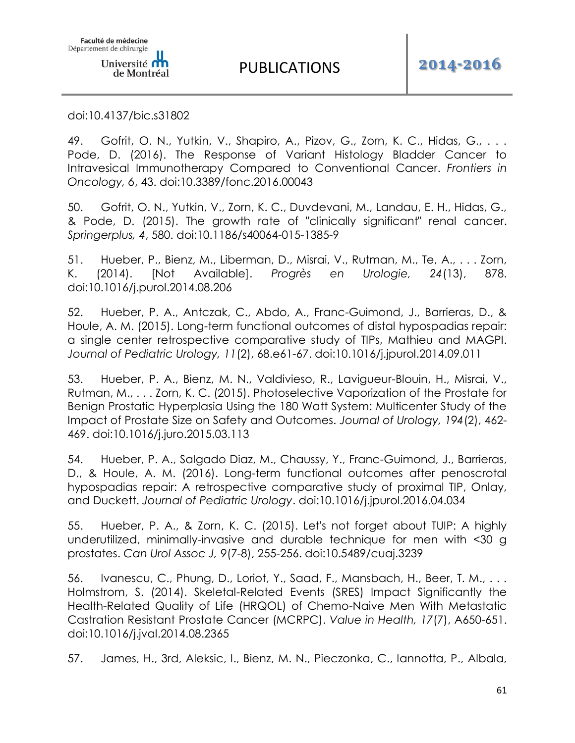doi:10.4137/bic.s31802

49. Gofrit, O. N., Yutkin, V., Shapiro, A., Pizov, G., Zorn, K. C., Hidas, G., . . . Pode, D. (2016). The Response of Variant Histology Bladder Cancer to Intravesical Immunotherapy Compared to Conventional Cancer. *Frontiers in Oncology, 6*, 43. doi:10.3389/fonc.2016.00043

50. Gofrit, O. N., Yutkin, V., Zorn, K. C., Duvdevani, M., Landau, E. H., Hidas, G., & Pode, D. (2015). The growth rate of "clinically significant" renal cancer. *Springerplus, 4*, 580. doi:10.1186/s40064-015-1385-9

51. Hueber, P., Bienz, M., Liberman, D., Misrai, V., Rutman, M., Te, A., . . . Zorn, K. (2014). [Not Available]. *Progrès en Urologie, 24*(13), 878. doi:10.1016/j.purol.2014.08.206

52. Hueber, P. A., Antczak, C., Abdo, A., Franc-Guimond, J., Barrieras, D., & Houle, A. M. (2015). Long-term functional outcomes of distal hypospadias repair: a single center retrospective comparative study of TIPs, Mathieu and MAGPI. *Journal of Pediatric Urology, 11*(2), 68.e61-67. doi:10.1016/j.jpurol.2014.09.011

53. Hueber, P. A., Bienz, M. N., Valdivieso, R., Lavigueur-Blouin, H., Misrai, V., Rutman, M., . . . Zorn, K. C. (2015). Photoselective Vaporization of the Prostate for Benign Prostatic Hyperplasia Using the 180 Watt System: Multicenter Study of the Impact of Prostate Size on Safety and Outcomes. *Journal of Urology, 194*(2), 462- 469. doi:10.1016/j.juro.2015.03.113

54. Hueber, P. A., Salgado Diaz, M., Chaussy, Y., Franc-Guimond, J., Barrieras, D., & Houle, A. M. (2016). Long-term functional outcomes after penoscrotal hypospadias repair: A retrospective comparative study of proximal TIP, Onlay, and Duckett. *Journal of Pediatric Urology*. doi:10.1016/j.jpurol.2016.04.034

55. Hueber, P. A., & Zorn, K. C. (2015). Let's not forget about TUIP: A highly underutilized, minimally-invasive and durable technique for men with <30 g prostates. *Can Urol Assoc J, 9*(7-8), 255-256. doi:10.5489/cuaj.3239

56. Ivanescu, C., Phung, D., Loriot, Y., Saad, F., Mansbach, H., Beer, T. M., . . . Holmstrom, S. (2014). Skeletal-Related Events (SRES) Impact Significantly the Health-Related Quality of Life (HRQOL) of Chemo-Naive Men With Metastatic Castration Resistant Prostate Cancer (MCRPC). *Value in Health, 17*(7), A650-651. doi:10.1016/j.jval.2014.08.2365

57. James, H., 3rd, Aleksic, I., Bienz, M. N., Pieczonka, C., Iannotta, P., Albala,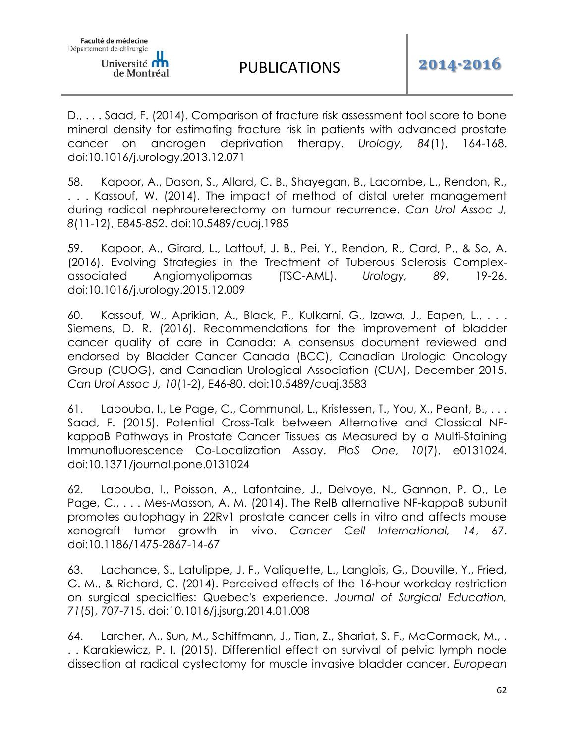D., . . . Saad, F. (2014). Comparison of fracture risk assessment tool score to bone mineral density for estimating fracture risk in patients with advanced prostate cancer on androgen deprivation therapy. *Urology, 84*(1), 164-168. doi:10.1016/j.urology.2013.12.071

58. Kapoor, A., Dason, S., Allard, C. B., Shayegan, B., Lacombe, L., Rendon, R., . . . Kassouf, W. (2014). The impact of method of distal ureter management during radical nephroureterectomy on tumour recurrence. *Can Urol Assoc J, 8*(11-12), E845-852. doi:10.5489/cuaj.1985

59. Kapoor, A., Girard, L., Lattouf, J. B., Pei, Y., Rendon, R., Card, P., & So, A. (2016). Evolving Strategies in the Treatment of Tuberous Sclerosis Complexassociated Angiomyolipomas (TSC-AML). *Urology, 89*, 19-26. doi:10.1016/j.urology.2015.12.009

60. Kassouf, W., Aprikian, A., Black, P., Kulkarni, G., Izawa, J., Eapen, L., . . . Siemens, D. R. (2016). Recommendations for the improvement of bladder cancer quality of care in Canada: A consensus document reviewed and endorsed by Bladder Cancer Canada (BCC), Canadian Urologic Oncology Group (CUOG), and Canadian Urological Association (CUA), December 2015. *Can Urol Assoc J, 10*(1-2), E46-80. doi:10.5489/cuaj.3583

61. Labouba, I., Le Page, C., Communal, L., Kristessen, T., You, X., Peant, B., . . . Saad, F. (2015). Potential Cross-Talk between Alternative and Classical NFkappaB Pathways in Prostate Cancer Tissues as Measured by a Multi-Staining Immunofluorescence Co-Localization Assay. *PloS One, 10*(7), e0131024. doi:10.1371/journal.pone.0131024

62. Labouba, I., Poisson, A., Lafontaine, J., Delvoye, N., Gannon, P. O., Le Page, C., . . . Mes-Masson, A. M. (2014). The RelB alternative NF-kappaB subunit promotes autophagy in 22Rv1 prostate cancer cells in vitro and affects mouse xenograft tumor growth in vivo. *Cancer Cell International, 14*, 67. doi:10.1186/1475-2867-14-67

63. Lachance, S., Latulippe, J. F., Valiquette, L., Langlois, G., Douville, Y., Fried, G. M., & Richard, C. (2014). Perceived effects of the 16-hour workday restriction on surgical specialties: Quebec's experience. *Journal of Surgical Education, 71*(5), 707-715. doi:10.1016/j.jsurg.2014.01.008

64. Larcher, A., Sun, M., Schiffmann, J., Tian, Z., Shariat, S. F., McCormack, M., . . . Karakiewicz, P. I. (2015). Differential effect on survival of pelvic lymph node dissection at radical cystectomy for muscle invasive bladder cancer. *European*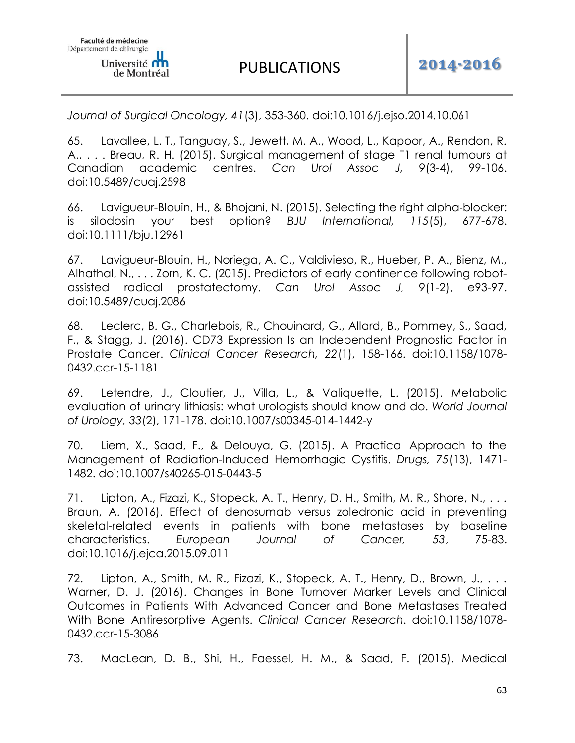*Journal of Surgical Oncology, 41*(3), 353-360. doi:10.1016/j.ejso.2014.10.061

65. Lavallee, L. T., Tanguay, S., Jewett, M. A., Wood, L., Kapoor, A., Rendon, R. A., . . . Breau, R. H. (2015). Surgical management of stage T1 renal tumours at Canadian academic centres. *Can Urol Assoc J, 9*(3-4), 99-106. doi:10.5489/cuaj.2598

66. Lavigueur-Blouin, H., & Bhojani, N. (2015). Selecting the right alpha-blocker: is silodosin your best option? *BJU International, 115*(5), 677-678. doi:10.1111/bju.12961

67. Lavigueur-Blouin, H., Noriega, A. C., Valdivieso, R., Hueber, P. A., Bienz, M., Alhathal, N., . . . Zorn, K. C. (2015). Predictors of early continence following robotassisted radical prostatectomy. *Can Urol Assoc J, 9*(1-2), e93-97. doi:10.5489/cuaj.2086

68. Leclerc, B. G., Charlebois, R., Chouinard, G., Allard, B., Pommey, S., Saad, F., & Stagg, J. (2016). CD73 Expression Is an Independent Prognostic Factor in Prostate Cancer. *Clinical Cancer Research, 22*(1), 158-166. doi:10.1158/1078- 0432.ccr-15-1181

69. Letendre, J., Cloutier, J., Villa, L., & Valiquette, L. (2015). Metabolic evaluation of urinary lithiasis: what urologists should know and do. *World Journal of Urology, 33*(2), 171-178. doi:10.1007/s00345-014-1442-y

70. Liem, X., Saad, F., & Delouya, G. (2015). A Practical Approach to the Management of Radiation-Induced Hemorrhagic Cystitis. *Drugs, 75*(13), 1471- 1482. doi:10.1007/s40265-015-0443-5

71. Lipton, A., Fizazi, K., Stopeck, A. T., Henry, D. H., Smith, M. R., Shore, N., . . . Braun, A. (2016). Effect of denosumab versus zoledronic acid in preventing skeletal-related events in patients with bone metastases by baseline characteristics. *European Journal of Cancer, 53*, 75-83. doi:10.1016/j.ejca.2015.09.011

72. Lipton, A., Smith, M. R., Fizazi, K., Stopeck, A. T., Henry, D., Brown, J., . . . Warner, D. J. (2016). Changes in Bone Turnover Marker Levels and Clinical Outcomes in Patients With Advanced Cancer and Bone Metastases Treated With Bone Antiresorptive Agents. *Clinical Cancer Research*. doi:10.1158/1078- 0432.ccr-15-3086

73. MacLean, D. B., Shi, H., Faessel, H. M., & Saad, F. (2015). Medical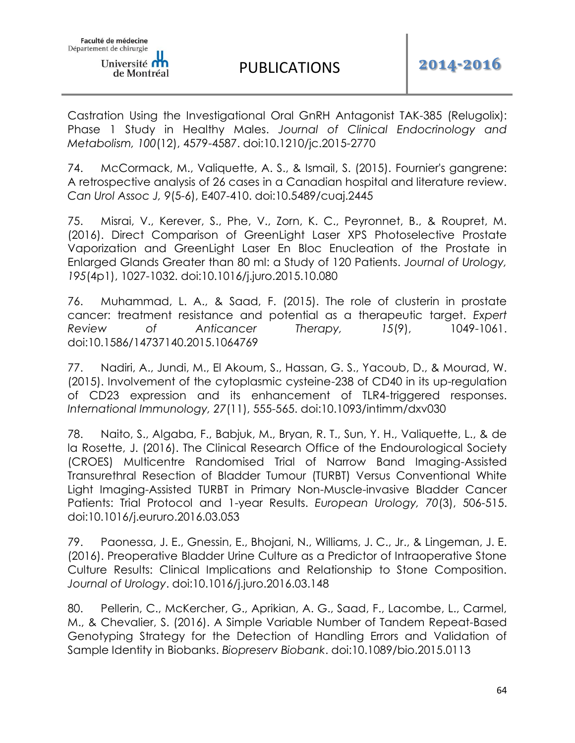Castration Using the Investigational Oral GnRH Antagonist TAK-385 (Relugolix): Phase 1 Study in Healthy Males. *Journal of Clinical Endocrinology and Metabolism, 100*(12), 4579-4587. doi:10.1210/jc.2015-2770

74. McCormack, M., Valiquette, A. S., & Ismail, S. (2015). Fournier's gangrene: A retrospective analysis of 26 cases in a Canadian hospital and literature review. *Can Urol Assoc J, 9*(5-6), E407-410. doi:10.5489/cuaj.2445

75. Misrai, V., Kerever, S., Phe, V., Zorn, K. C., Peyronnet, B., & Roupret, M. (2016). Direct Comparison of GreenLight Laser XPS Photoselective Prostate Vaporization and GreenLight Laser En Bloc Enucleation of the Prostate in Enlarged Glands Greater than 80 ml: a Study of 120 Patients. *Journal of Urology, 195*(4p1), 1027-1032. doi:10.1016/j.juro.2015.10.080

76. Muhammad, L. A., & Saad, F. (2015). The role of clusterin in prostate cancer: treatment resistance and potential as a therapeutic target. *Expert Review of Anticancer Therapy, 15*(9), 1049-1061. doi:10.1586/14737140.2015.1064769

77. Nadiri, A., Jundi, M., El Akoum, S., Hassan, G. S., Yacoub, D., & Mourad, W. (2015). Involvement of the cytoplasmic cysteine-238 of CD40 in its up-regulation of CD23 expression and its enhancement of TLR4-triggered responses. *International Immunology, 27*(11), 555-565. doi:10.1093/intimm/dxv030

78. Naito, S., Algaba, F., Babjuk, M., Bryan, R. T., Sun, Y. H., Valiquette, L., & de la Rosette, J. (2016). The Clinical Research Office of the Endourological Society (CROES) Multicentre Randomised Trial of Narrow Band Imaging-Assisted Transurethral Resection of Bladder Tumour (TURBT) Versus Conventional White Light Imaging-Assisted TURBT in Primary Non-Muscle-invasive Bladder Cancer Patients: Trial Protocol and 1-year Results. *European Urology, 70*(3), 506-515. doi:10.1016/j.eururo.2016.03.053

79. Paonessa, J. E., Gnessin, E., Bhojani, N., Williams, J. C., Jr., & Lingeman, J. E. (2016). Preoperative Bladder Urine Culture as a Predictor of Intraoperative Stone Culture Results: Clinical Implications and Relationship to Stone Composition. *Journal of Urology*. doi:10.1016/j.juro.2016.03.148

80. Pellerin, C., McKercher, G., Aprikian, A. G., Saad, F., Lacombe, L., Carmel, M., & Chevalier, S. (2016). A Simple Variable Number of Tandem Repeat-Based Genotyping Strategy for the Detection of Handling Errors and Validation of Sample Identity in Biobanks. *Biopreserv Biobank*. doi:10.1089/bio.2015.0113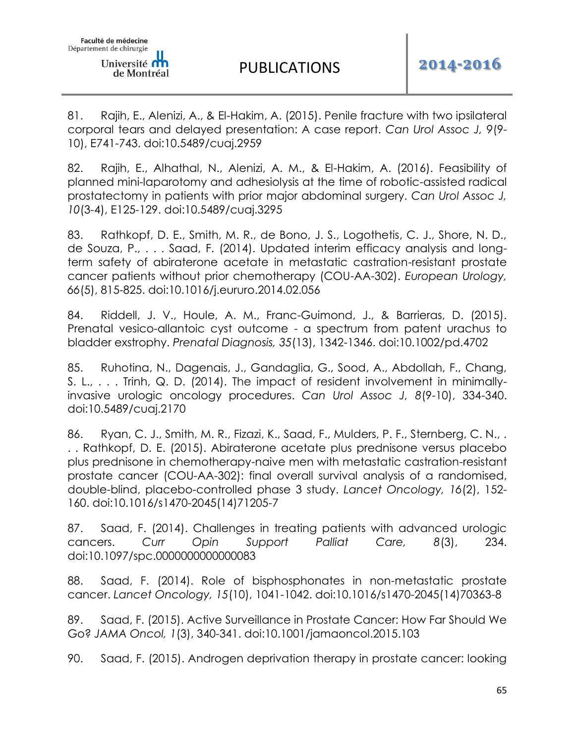81. Rajih, E., Alenizi, A., & El-Hakim, A. (2015). Penile fracture with two ipsilateral corporal tears and delayed presentation: A case report. *Can Urol Assoc J, 9*(9- 10), E741-743. doi:10.5489/cuaj.2959

82. Rajih, E., Alhathal, N., Alenizi, A. M., & El-Hakim, A. (2016). Feasibility of planned mini-laparotomy and adhesiolysis at the time of robotic-assisted radical prostatectomy in patients with prior major abdominal surgery. *Can Urol Assoc J, 10*(3-4), E125-129. doi:10.5489/cuaj.3295

83. Rathkopf, D. E., Smith, M. R., de Bono, J. S., Logothetis, C. J., Shore, N. D., de Souza, P., . . . Saad, F. (2014). Updated interim efficacy analysis and longterm safety of abiraterone acetate in metastatic castration-resistant prostate cancer patients without prior chemotherapy (COU-AA-302). *European Urology, 66*(5), 815-825. doi:10.1016/j.eururo.2014.02.056

84. Riddell, J. V., Houle, A. M., Franc-Guimond, J., & Barrieras, D. (2015). Prenatal vesico-allantoic cyst outcome - a spectrum from patent urachus to bladder exstrophy. *Prenatal Diagnosis, 35*(13), 1342-1346. doi:10.1002/pd.4702

85. Ruhotina, N., Dagenais, J., Gandaglia, G., Sood, A., Abdollah, F., Chang, S. L., . . . Trinh, Q. D. (2014). The impact of resident involvement in minimallyinvasive urologic oncology procedures. *Can Urol Assoc J, 8*(9-10), 334-340. doi:10.5489/cuaj.2170

86. Ryan, C. J., Smith, M. R., Fizazi, K., Saad, F., Mulders, P. F., Sternberg, C. N.,. . . Rathkopf, D. E. (2015). Abiraterone acetate plus prednisone versus placebo plus prednisone in chemotherapy-naive men with metastatic castration-resistant prostate cancer (COU-AA-302): final overall survival analysis of a randomised, double-blind, placebo-controlled phase 3 study. *Lancet Oncology, 16*(2), 152- 160. doi:10.1016/s1470-2045(14)71205-7

87. Saad, F. (2014). Challenges in treating patients with advanced urologic cancers. *Curr Opin Support Palliat Care, 8*(3), 234. doi:10.1097/spc.0000000000000083

88. Saad, F. (2014). Role of bisphosphonates in non-metastatic prostate cancer. *Lancet Oncology, 15*(10), 1041-1042. doi:10.1016/s1470-2045(14)70363-8

89. Saad, F. (2015). Active Surveillance in Prostate Cancer: How Far Should We Go? *JAMA Oncol, 1*(3), 340-341. doi:10.1001/jamaoncol.2015.103

90. Saad, F. (2015). Androgen deprivation therapy in prostate cancer: looking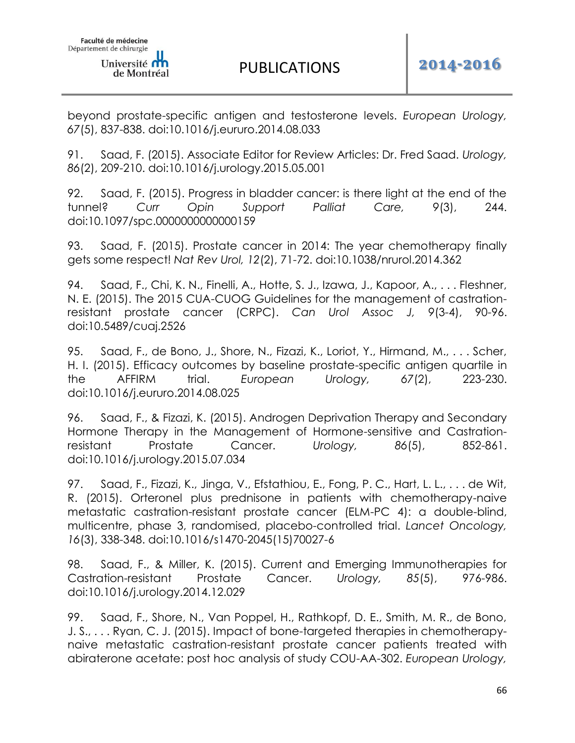beyond prostate-specific antigen and testosterone levels. *European Urology, 67*(5), 837-838. doi:10.1016/j.eururo.2014.08.033

91. Saad, F. (2015). Associate Editor for Review Articles: Dr. Fred Saad. *Urology, 86*(2), 209-210. doi:10.1016/j.urology.2015.05.001

92. Saad, F. (2015). Progress in bladder cancer: is there light at the end of the tunnel? *Curr Opin Support Palliat Care, 9*(3), 244. doi:10.1097/spc.0000000000000159

93. Saad, F. (2015). Prostate cancer in 2014: The year chemotherapy finally gets some respect! *Nat Rev Urol, 12*(2), 71-72. doi:10.1038/nrurol.2014.362

94. Saad, F., Chi, K. N., Finelli, A., Hotte, S. J., Izawa, J., Kapoor, A., . . . Fleshner, N. E. (2015). The 2015 CUA-CUOG Guidelines for the management of castrationresistant prostate cancer (CRPC). *Can Urol Assoc J, 9*(3-4), 90-96. doi:10.5489/cuaj.2526

95. Saad, F., de Bono, J., Shore, N., Fizazi, K., Loriot, Y., Hirmand, M., . . . Scher, H. I. (2015). Efficacy outcomes by baseline prostate-specific antigen quartile in the AFFIRM trial. *European Urology, 67*(2), 223-230. doi:10.1016/j.eururo.2014.08.025

96. Saad, F., & Fizazi, K. (2015). Androgen Deprivation Therapy and Secondary Hormone Therapy in the Management of Hormone-sensitive and Castrationresistant Prostate Cancer. *Urology, 86*(5), 852-861. doi:10.1016/j.urology.2015.07.034

97. Saad, F., Fizazi, K., Jinga, V., Efstathiou, E., Fong, P. C., Hart, L. L., . . . de Wit, R. (2015). Orteronel plus prednisone in patients with chemotherapy-naive metastatic castration-resistant prostate cancer (ELM-PC 4): a double-blind, multicentre, phase 3, randomised, placebo-controlled trial. *Lancet Oncology, 16*(3), 338-348. doi:10.1016/s1470-2045(15)70027-6

98. Saad, F., & Miller, K. (2015). Current and Emerging Immunotherapies for Castration-resistant Prostate Cancer. *Urology, 85*(5), 976-986. doi:10.1016/j.urology.2014.12.029

99. Saad, F., Shore, N., Van Poppel, H., Rathkopf, D. E., Smith, M. R., de Bono, J. S., . . . Ryan, C. J. (2015). Impact of bone-targeted therapies in chemotherapynaive metastatic castration-resistant prostate cancer patients treated with abiraterone acetate: post hoc analysis of study COU-AA-302. *European Urology,*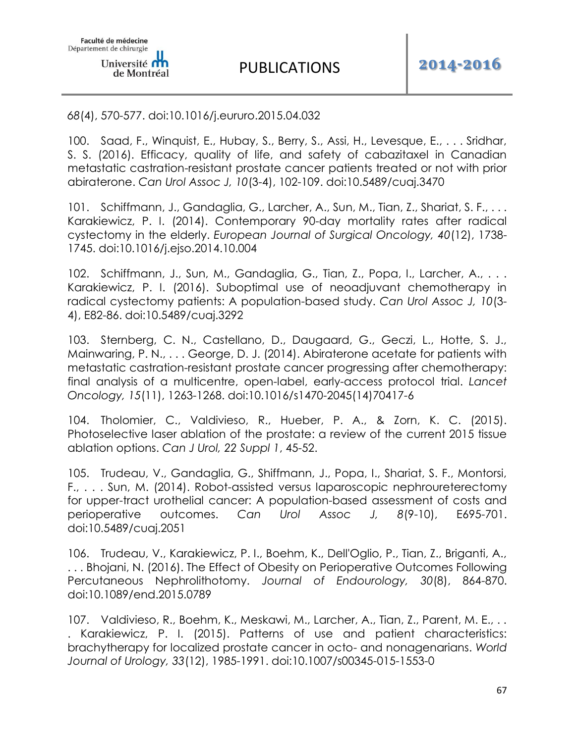# *68*(4), 570-577. doi:10.1016/j.eururo.2015.04.032

100. Saad, F., Winquist, E., Hubay, S., Berry, S., Assi, H., Levesque, E., . . . Sridhar, S. S. (2016). Efficacy, quality of life, and safety of cabazitaxel in Canadian metastatic castration-resistant prostate cancer patients treated or not with prior abiraterone. *Can Urol Assoc J, 10*(3-4), 102-109. doi:10.5489/cuaj.3470

101. Schiffmann, J., Gandaglia, G., Larcher, A., Sun, M., Tian, Z., Shariat, S. F., ... Karakiewicz, P. I. (2014). Contemporary 90-day mortality rates after radical cystectomy in the elderly. *European Journal of Surgical Oncology, 40*(12), 1738- 1745. doi:10.1016/j.ejso.2014.10.004

102. Schiffmann, J., Sun, M., Gandaglia, G., Tian, Z., Popa, I., Larcher, A., ... Karakiewicz, P. I. (2016). Suboptimal use of neoadjuvant chemotherapy in radical cystectomy patients: A population-based study. *Can Urol Assoc J, 10*(3- 4), E82-86. doi:10.5489/cuaj.3292

103. Sternberg, C. N., Castellano, D., Daugaard, G., Geczi, L., Hotte, S. J., Mainwaring, P. N., . . . George, D. J. (2014). Abiraterone acetate for patients with metastatic castration-resistant prostate cancer progressing after chemotherapy: final analysis of a multicentre, open-label, early-access protocol trial. *Lancet Oncology, 15*(11), 1263-1268. doi:10.1016/s1470-2045(14)70417-6

104. Tholomier, C., Valdivieso, R., Hueber, P. A., & Zorn, K. C. (2015). Photoselective laser ablation of the prostate: a review of the current 2015 tissue ablation options. *Can J Urol, 22 Suppl 1*, 45-52.

105. Trudeau, V., Gandaglia, G., Shiffmann, J., Popa, I., Shariat, S. F., Montorsi, F., . . . Sun, M. (2014). Robot-assisted versus laparoscopic nephroureterectomy for upper-tract urothelial cancer: A population-based assessment of costs and perioperative outcomes. *Can Urol Assoc J, 8*(9-10), E695-701. doi:10.5489/cuaj.2051

106. Trudeau, V., Karakiewicz, P. I., Boehm, K., Dell'Oglio, P., Tian, Z., Briganti, A., . . . Bhojani, N. (2016). The Effect of Obesity on Perioperative Outcomes Following Percutaneous Nephrolithotomy. *Journal of Endourology, 30*(8), 864-870. doi:10.1089/end.2015.0789

107. Valdivieso, R., Boehm, K., Meskawi, M., Larcher, A., Tian, Z., Parent, M. E., .. . Karakiewicz, P. I. (2015). Patterns of use and patient characteristics: brachytherapy for localized prostate cancer in octo- and nonagenarians. *World Journal of Urology, 33*(12), 1985-1991. doi:10.1007/s00345-015-1553-0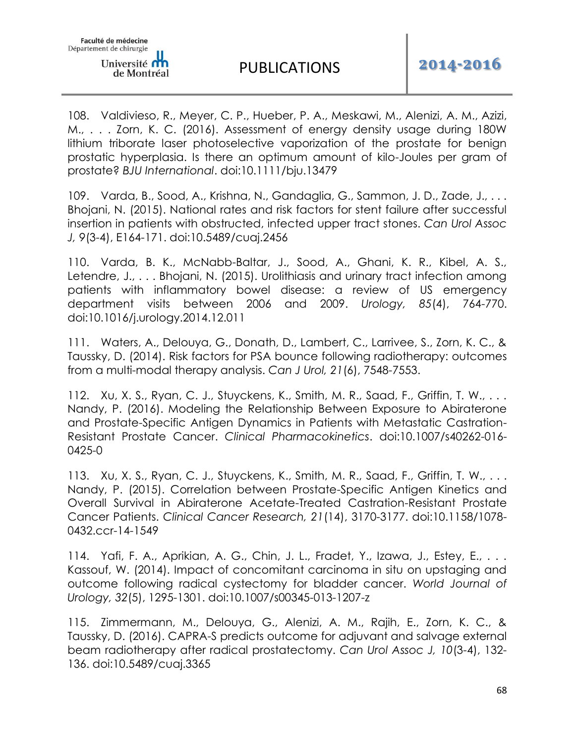108. Valdivieso, R., Meyer, C. P., Hueber, P. A., Meskawi, M., Alenizi, A. M., Azizi, M., . . . Zorn, K. C. (2016). Assessment of energy density usage during 180W lithium triborate laser photoselective vaporization of the prostate for benign prostatic hyperplasia. Is there an optimum amount of kilo-Joules per gram of prostate? *BJU International*. doi:10.1111/bju.13479

109. Varda, B., Sood, A., Krishna, N., Gandaglia, G., Sammon, J. D., Zade, J., . . . Bhojani, N. (2015). National rates and risk factors for stent failure after successful insertion in patients with obstructed, infected upper tract stones. *Can Urol Assoc J, 9*(3-4), E164-171. doi:10.5489/cuaj.2456

110. Varda, B. K., McNabb-Baltar, J., Sood, A., Ghani, K. R., Kibel, A. S., Letendre, J., . . . Bhojani, N. (2015). Urolithiasis and urinary tract infection among patients with inflammatory bowel disease: a review of US emergency department visits between 2006 and 2009. *Urology, 85*(4), 764-770. doi:10.1016/j.urology.2014.12.011

111. Waters, A., Delouya, G., Donath, D., Lambert, C., Larrivee, S., Zorn, K. C., & Taussky, D. (2014). Risk factors for PSA bounce following radiotherapy: outcomes from a multi-modal therapy analysis. *Can J Urol, 21*(6), 7548-7553.

112. Xu, X. S., Ryan, C. J., Stuyckens, K., Smith, M. R., Saad, F., Griffin, T. W., . . . Nandy, P. (2016). Modeling the Relationship Between Exposure to Abiraterone and Prostate-Specific Antigen Dynamics in Patients with Metastatic Castration-Resistant Prostate Cancer. *Clinical Pharmacokinetics*. doi:10.1007/s40262-016- 0425-0

113. Xu, X. S., Ryan, C. J., Stuyckens, K., Smith, M. R., Saad, F., Griffin, T. W., . . . Nandy, P. (2015). Correlation between Prostate-Specific Antigen Kinetics and Overall Survival in Abiraterone Acetate-Treated Castration-Resistant Prostate Cancer Patients. *Clinical Cancer Research, 21*(14), 3170-3177. doi:10.1158/1078- 0432.ccr-14-1549

114. Yafi, F. A., Aprikian, A. G., Chin, J. L., Fradet, Y., Izawa, J., Estey, E., . . . Kassouf, W. (2014). Impact of concomitant carcinoma in situ on upstaging and outcome following radical cystectomy for bladder cancer. *World Journal of Urology, 32*(5), 1295-1301. doi:10.1007/s00345-013-1207-z

115. Zimmermann, M., Delouya, G., Alenizi, A. M., Rajih, E., Zorn, K. C., & Taussky, D. (2016). CAPRA-S predicts outcome for adjuvant and salvage external beam radiotherapy after radical prostatectomy. *Can Urol Assoc J, 10*(3-4), 132- 136. doi:10.5489/cuaj.3365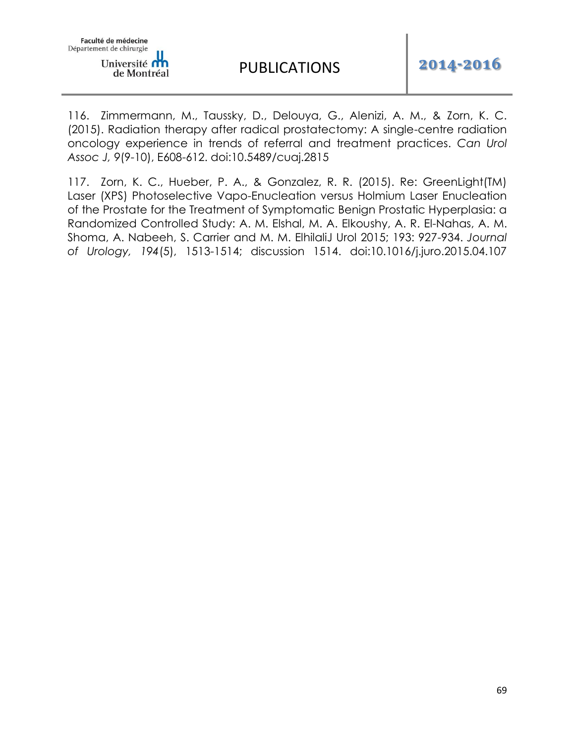116. Zimmermann, M., Taussky, D., Delouya, G., Alenizi, A. M., & Zorn, K. C. (2015). Radiation therapy after radical prostatectomy: A single-centre radiation oncology experience in trends of referral and treatment practices. *Can Urol Assoc J, 9*(9-10), E608-612. doi:10.5489/cuaj.2815

117. Zorn, K. C., Hueber, P. A., & Gonzalez, R. R. (2015). Re: GreenLight(TM) Laser (XPS) Photoselective Vapo-Enucleation versus Holmium Laser Enucleation of the Prostate for the Treatment of Symptomatic Benign Prostatic Hyperplasia: a Randomized Controlled Study: A. M. Elshal, M. A. Elkoushy, A. R. El-Nahas, A. M. Shoma, A. Nabeeh, S. Carrier and M. M. ElhilaliJ Urol 2015; 193: 927-934. *Journal of Urology, 194*(5), 1513-1514; discussion 1514. doi:10.1016/j.juro.2015.04.107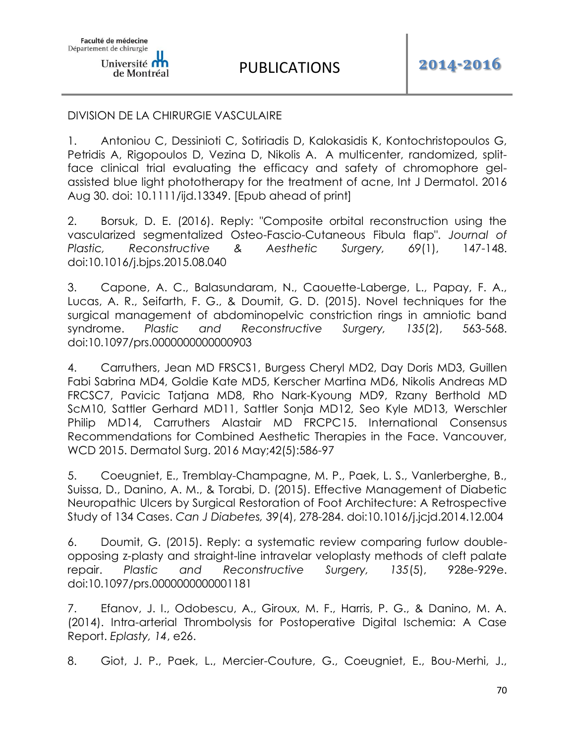### DIVISION DE LA CHIRURGIE VASCULAIRE

1. Antoniou C, Dessinioti C, Sotiriadis D, Kalokasidis K, Kontochristopoulos G, Petridis A, Rigopoulos D, Vezina D, Nikolis A. A multicenter, randomized, splitface clinical trial evaluating the efficacy and safety of chromophore gelassisted blue light phototherapy for the treatment of acne, Int J Dermatol. 2016 Aug 30. doi: 10.1111/ijd.13349. [Epub ahead of print]

2. Borsuk, D. E. (2016). Reply: "Composite orbital reconstruction using the vascularized segmentalized Osteo-Fascio-Cutaneous Fibula flap". *Journal of Plastic, Reconstructive & Aesthetic Surgery, 69*(1), 147-148. doi:10.1016/j.bjps.2015.08.040

3. Capone, A. C., Balasundaram, N., Caouette-Laberge, L., Papay, F. A., Lucas, A. R., Seifarth, F. G., & Doumit, G. D. (2015). Novel techniques for the surgical management of abdominopelvic constriction rings in amniotic band syndrome. *Plastic and Reconstructive Surgery, 135*(2), 563-568. doi:10.1097/prs.0000000000000903

4. Carruthers, Jean MD FRSCS1, Burgess Cheryl MD2, Day Doris MD3, Guillen Fabi Sabrina MD4, Goldie Kate MD5, Kerscher Martina MD6, Nikolis Andreas MD FRCSC7, Pavicic Tatjana MD8, Rho Nark-Kyoung MD9, Rzany Berthold MD ScM10, Sattler Gerhard MD11, Sattler Sonja MD12, Seo Kyle MD13, Werschler Philip MD14, Carruthers Alastair MD FRCPC15. International Consensus Recommendations for Combined Aesthetic Therapies in the Face. Vancouver, WCD 2015. Dermatol Surg. 2016 May;42(5):586-97

5. Coeugniet, E., Tremblay-Champagne, M. P., Paek, L. S., Vanlerberghe, B., Suissa, D., Danino, A. M., & Torabi, D. (2015). Effective Management of Diabetic Neuropathic Ulcers by Surgical Restoration of Foot Architecture: A Retrospective Study of 134 Cases. *Can J Diabetes, 39*(4), 278-284. doi:10.1016/j.jcjd.2014.12.004

6. Doumit, G. (2015). Reply: a systematic review comparing furlow doubleopposing z-plasty and straight-line intravelar veloplasty methods of cleft palate repair. *Plastic and Reconstructive Surgery, 135*(5), 928e-929e. doi:10.1097/prs.0000000000001181

7. Efanov, J. I., Odobescu, A., Giroux, M. F., Harris, P. G., & Danino, M. A. (2014). Intra-arterial Thrombolysis for Postoperative Digital Ischemia: A Case Report. *Eplasty, 14*, e26.

8. Giot, J. P., Paek, L., Mercier-Couture, G., Coeugniet, E., Bou-Merhi, J.,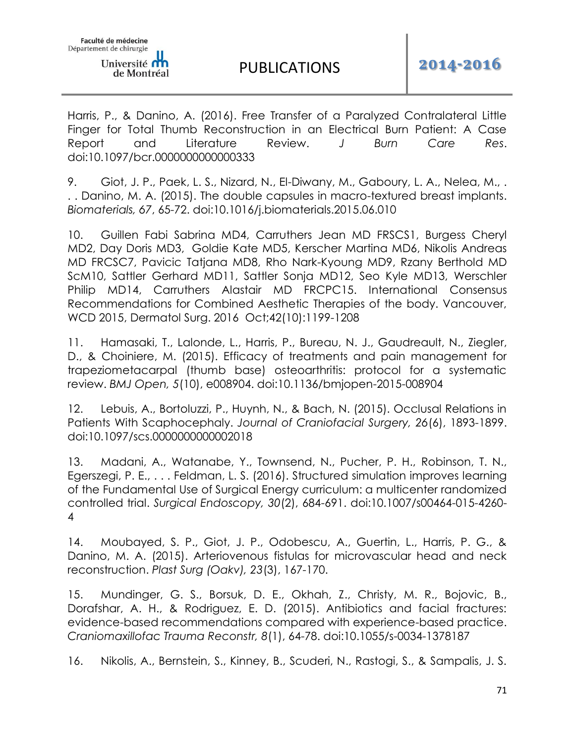Harris, P., & Danino, A. (2016). Free Transfer of a Paralyzed Contralateral Little Finger for Total Thumb Reconstruction in an Electrical Burn Patient: A Case Report and Literature Review. *J Burn Care Res*. doi:10.1097/bcr.0000000000000333

9. Giot, J. P., Paek, L. S., Nizard, N., El-Diwany, M., Gaboury, L. A., Nelea, M., . . . Danino, M. A. (2015). The double capsules in macro-textured breast implants. *Biomaterials, 67*, 65-72. doi:10.1016/j.biomaterials.2015.06.010

10. Guillen Fabi Sabrina MD4, Carruthers Jean MD FRSCS1, Burgess Cheryl MD2, Day Doris MD3, Goldie Kate MD5, Kerscher Martina MD6, Nikolis Andreas MD FRCSC7, Pavicic Tatjana MD8, Rho Nark-Kyoung MD9, Rzany Berthold MD ScM10, Sattler Gerhard MD11, Sattler Sonja MD12, Seo Kyle MD13, Werschler Philip MD14, Carruthers Alastair MD FRCPC15. International Consensus Recommendations for Combined Aesthetic Therapies of the body. Vancouver, WCD 2015, Dermatol Surg. 2016 Oct;42(10):1199-1208

11. Hamasaki, T., Lalonde, L., Harris, P., Bureau, N. J., Gaudreault, N., Ziegler, D., & Choiniere, M. (2015). Efficacy of treatments and pain management for trapeziometacarpal (thumb base) osteoarthritis: protocol for a systematic review. *BMJ Open, 5*(10), e008904. doi:10.1136/bmjopen-2015-008904

12. Lebuis, A., Bortoluzzi, P., Huynh, N., & Bach, N. (2015). Occlusal Relations in Patients With Scaphocephaly. *Journal of Craniofacial Surgery, 26*(6), 1893-1899. doi:10.1097/scs.0000000000002018

13. Madani, A., Watanabe, Y., Townsend, N., Pucher, P. H., Robinson, T. N., Egerszegi, P. E., . . . Feldman, L. S. (2016). Structured simulation improves learning of the Fundamental Use of Surgical Energy curriculum: a multicenter randomized controlled trial. *Surgical Endoscopy, 30*(2), 684-691. doi:10.1007/s00464-015-4260- 4

14. Moubayed, S. P., Giot, J. P., Odobescu, A., Guertin, L., Harris, P. G., & Danino, M. A. (2015). Arteriovenous fistulas for microvascular head and neck reconstruction. *Plast Surg (Oakv), 23*(3), 167-170.

15. Mundinger, G. S., Borsuk, D. E., Okhah, Z., Christy, M. R., Bojovic, B., Dorafshar, A. H., & Rodriguez, E. D. (2015). Antibiotics and facial fractures: evidence-based recommendations compared with experience-based practice. *Craniomaxillofac Trauma Reconstr, 8*(1), 64-78. doi:10.1055/s-0034-1378187

16. Nikolis, A., Bernstein, S., Kinney, B., Scuderi, N., Rastogi, S., & Sampalis, J. S.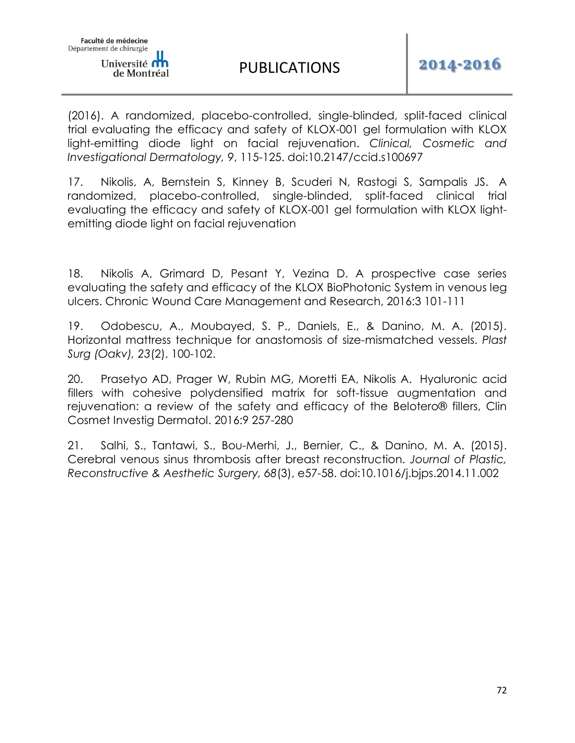(2016). A randomized, placebo-controlled, single-blinded, split-faced clinical trial evaluating the efficacy and safety of KLOX-001 gel formulation with KLOX light-emitting diode light on facial rejuvenation. *Clinical, Cosmetic and Investigational Dermatology, 9*, 115-125. doi:10.2147/ccid.s100697

17. Nikolis, A, Bernstein S, Kinney B, Scuderi N, Rastogi S, Sampalis JS. A randomized, placebo-controlled, single-blinded, split-faced clinical trial evaluating the efficacy and safety of KLOX-001 gel formulation with KLOX lightemitting diode light on facial rejuvenation

18. Nikolis A, Grimard D, Pesant Y, Vezina D. A prospective case series evaluating the safety and efficacy of the KLOX BioPhotonic System in venous leg ulcers. Chronic Wound Care Management and Research, 2016:3 101-111

19. Odobescu, A., Moubayed, S. P., Daniels, E., & Danino, M. A. (2015). Horizontal mattress technique for anastomosis of size-mismatched vessels. *Plast Surg (Oakv), 23*(2), 100-102.

20. Prasetyo AD, Prager W, Rubin MG, Moretti EA, Nikolis A. Hyaluronic acid fillers with cohesive polydensified matrix for soft-tissue augmentation and rejuvenation: a review of the safety and efficacy of the Belotero® fillers, Clin Cosmet Investig Dermatol. 2016:9 257-280

21. Salhi, S., Tantawi, S., Bou-Merhi, J., Bernier, C., & Danino, M. A. (2015). Cerebral venous sinus thrombosis after breast reconstruction. *Journal of Plastic, Reconstructive & Aesthetic Surgery, 68*(3), e57-58. doi:10.1016/j.bjps.2014.11.002